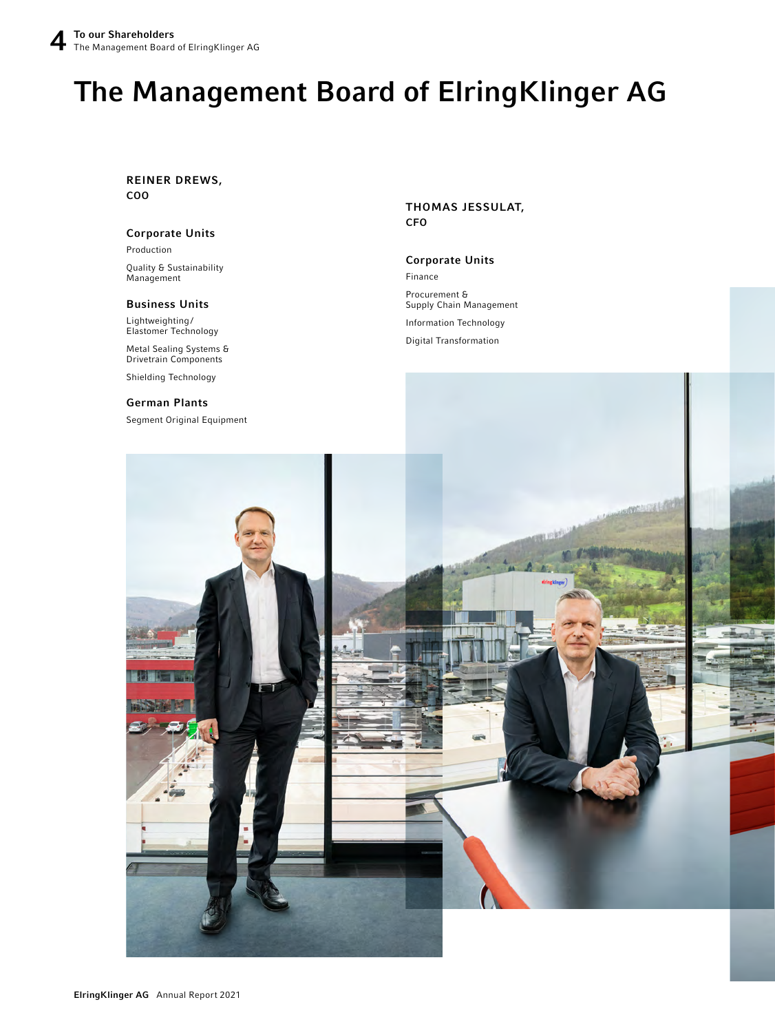

# The Management Board of ElringKlinger AG

REINER DREWS, COO

# Corporate Units

Production

Quality & Sustainability Management

### Business Units

Lightweighting / Elastomer Technology

Metal Sealing Systems & Drivetrain Components

Shielding Technology

### German Plants

Segment Original Equipment

### THOMAS JESSULAT, CFO

### Corporate Units

Finance Procurement & Supply Chain Management Information Technology Digital Transformation

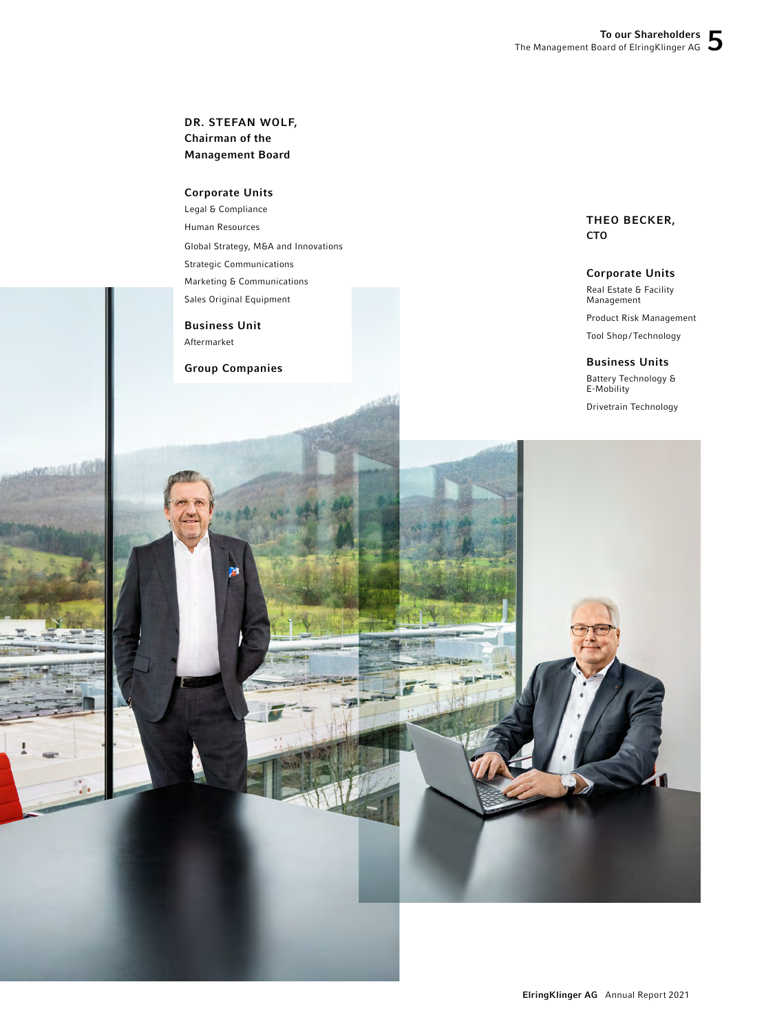DR. STEFAN WOLF, Chairman of the Management Board

# Corporate Units

Legal & Compliance Human Resources Global Strategy, M&A and Innovations Strategic Communications Marketing & Communications Sales Original Equipment

Business Unit Aftermarket

Group Companies

# THEO BECKER, CTO

# Corporate Units

Real Estate & Facility Management Product Risk Management Tool Shop /Technology

### Business Units

Battery Technology & E-Mobility Drivetrain Technology

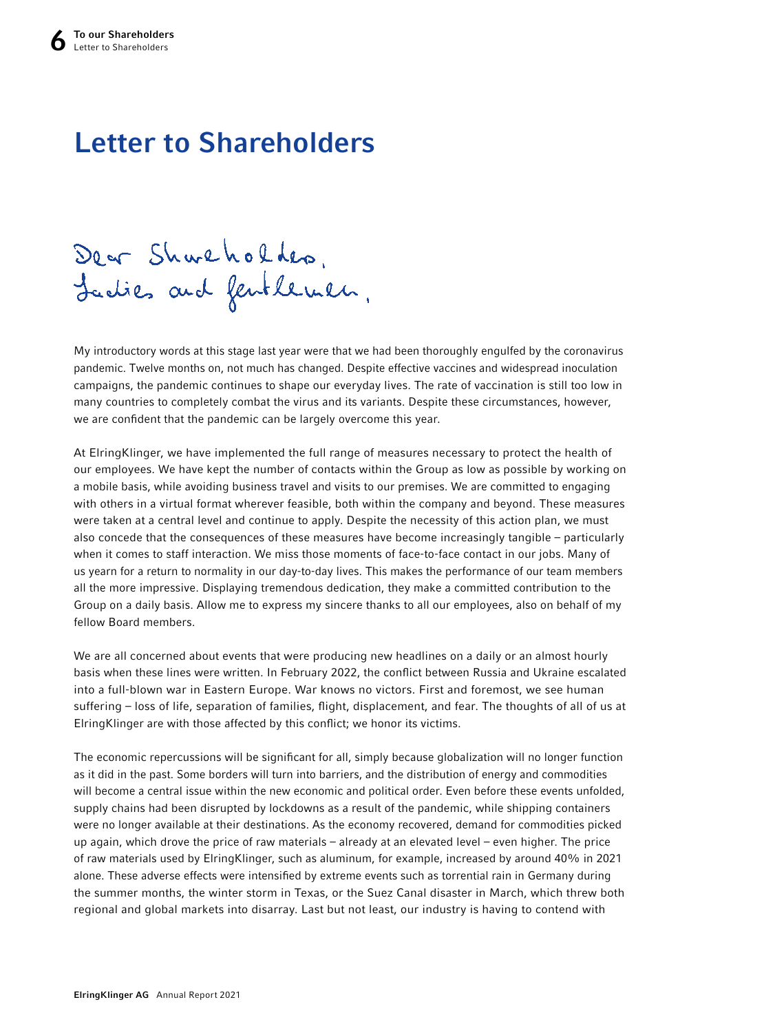# Letter to Shareholders

Deur Shweholdes.<br>Jadies and fentlemen.

My introductory words at this stage last year were that we had been thoroughly engulfed by the coronavirus pandemic. Twelve months on, not much has changed. Despite effective vaccines and widespread inoculation campaigns, the pandemic continues to shape our everyday lives. The rate of vaccination is still too low in many countries to completely combat the virus and its variants. Despite these circumstances, however, we are confident that the pandemic can be largely overcome this year.

At ElringKlinger, we have implemented the full range of measures necessary to protect the health of our employees. We have kept the number of contacts within the Group as low as possible by working on a mobile basis, while avoiding business travel and visits to our premises. We are committed to engaging with others in a virtual format wherever feasible, both within the company and beyond. These measures were taken at a central level and continue to apply. Despite the necessity of this action plan, we must also concede that the consequences of these measures have become increasingly tangible – particularly when it comes to staff interaction. We miss those moments of face-to-face contact in our jobs. Many of us yearn for a return to normality in our day-to-day lives. This makes the performance of our team members all the more impressive. Displaying tremendous dedication, they make a committed contribution to the Group on a daily basis. Allow me to express my sincere thanks to all our employees, also on behalf of my fellow Board members.

We are all concerned about events that were producing new headlines on a daily or an almost hourly basis when these lines were written. In February 2022, the conflict between Russia and Ukraine escalated into a full-blown war in Eastern Europe. War knows no victors. First and foremost, we see human suffering – loss of life, separation of families, flight, displacement, and fear. The thoughts of all of us at ElringKlinger are with those affected by this conflict; we honor its victims.

The economic repercussions will be significant for all, simply because globalization will no longer function as it did in the past. Some borders will turn into barriers, and the distribution of energy and commodities will become a central issue within the new economic and political order. Even before these events unfolded, supply chains had been disrupted by lockdowns as a result of the pandemic, while shipping containers were no longer available at their destinations. As the economy recovered, demand for commodities picked up again, which drove the price of raw materials – already at an elevated level – even higher. The price of raw materials used by ElringKlinger, such as aluminum, for example, increased by around 40% in 2021 alone. These adverse effects were intensified by extreme events such as torrential rain in Germany during the summer months, the winter storm in Texas, or the Suez Canal disaster in March, which threw both regional and global markets into disarray. Last but not least, our industry is having to contend with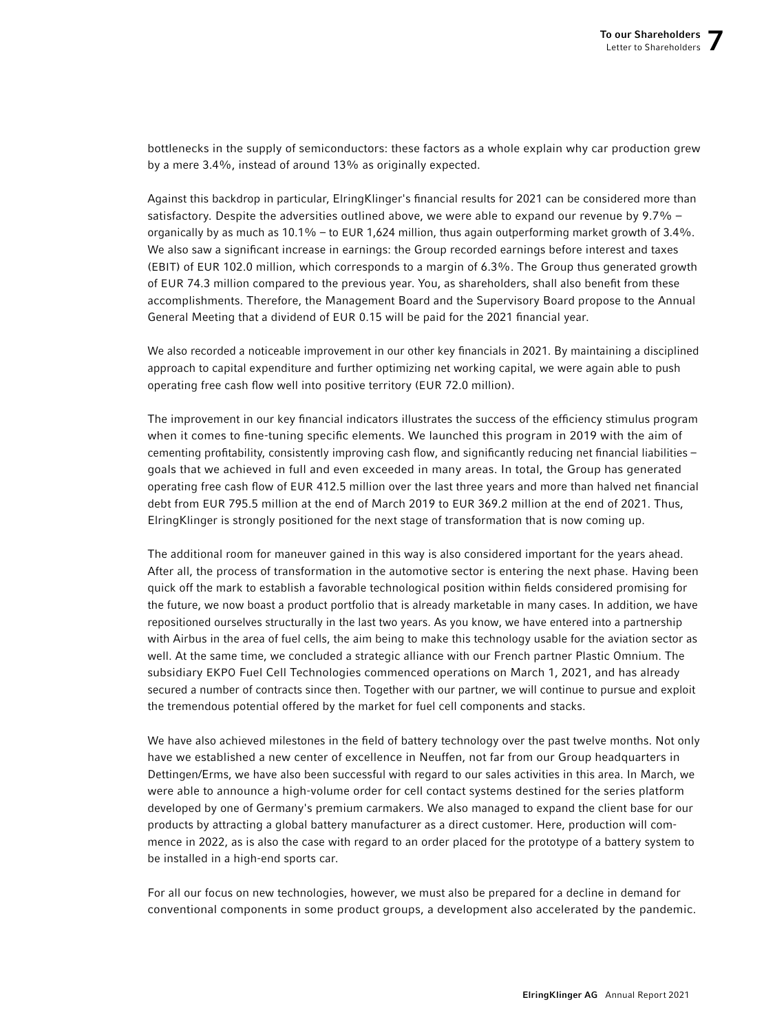bottlenecks in the supply of semiconductors: these factors as a whole explain why car production grew by a mere 3.4%, instead of around 13% as originally expected.

Against this backdrop in particular, ElringKlinger's financial results for 2021 can be considered more than satisfactory. Despite the adversities outlined above, we were able to expand our revenue by 9.7% – organically by as much as 10.1% – to EUR 1,624 million, thus again outperforming market growth of 3.4%. We also saw a significant increase in earnings: the Group recorded earnings before interest and taxes (EBIT) of EUR 102.0 million, which corresponds to a margin of 6.3%. The Group thus generated growth of EUR 74.3 million compared to the previous year. You, as shareholders, shall also benefit from these accomplishments. Therefore, the Management Board and the Supervisory Board propose to the Annual General Meeting that a dividend of EUR 0.15 will be paid for the 2021 financial year.

We also recorded a noticeable improvement in our other key financials in 2021. By maintaining a disciplined approach to capital expenditure and further optimizing net working capital, we were again able to push operating free cash flow well into positive territory (EUR 72.0 million).

The improvement in our key financial indicators illustrates the success of the efficiency stimulus program when it comes to fine-tuning specific elements. We launched this program in 2019 with the aim of cementing profitability, consistently improving cash flow, and significantly reducing net financial liabilities – goals that we achieved in full and even exceeded in many areas. In total, the Group has generated operating free cash flow of EUR 412.5 million over the last three years and more than halved net financial debt from EUR 795.5 million at the end of March 2019 to EUR 369.2 million at the end of 2021. Thus, ElringKlinger is strongly positioned for the next stage of transformation that is now coming up.

The additional room for maneuver gained in this way is also considered important for the years ahead. After all, the process of transformation in the automotive sector is entering the next phase. Having been quick off the mark to establish a favorable technological position within fields considered promising for the future, we now boast a product portfolio that is already marketable in many cases. In addition, we have repositioned ourselves structurally in the last two years. As you know, we have entered into a partnership with Airbus in the area of fuel cells, the aim being to make this technology usable for the aviation sector as well. At the same time, we concluded a strategic alliance with our French partner Plastic Omnium. The subsidiary EKPO Fuel Cell Technologies commenced operations on March 1, 2021, and has already secured a number of contracts since then. Together with our partner, we will continue to pursue and exploit the tremendous potential offered by the market for fuel cell components and stacks.

We have also achieved milestones in the field of battery technology over the past twelve months. Not only have we established a new center of excellence in Neuffen, not far from our Group headquarters in Dettingen/Erms, we have also been successful with regard to our sales activities in this area. In March, we were able to announce a high-volume order for cell contact systems destined for the series platform developed by one of Germany's premium carmakers. We also managed to expand the client base for our products by attracting a global battery manufacturer as a direct customer. Here, production will commence in 2022, as is also the case with regard to an order placed for the prototype of a battery system to be installed in a high-end sports car.

For all our focus on new technologies, however, we must also be prepared for a decline in demand for conventional components in some product groups, a development also accelerated by the pandemic.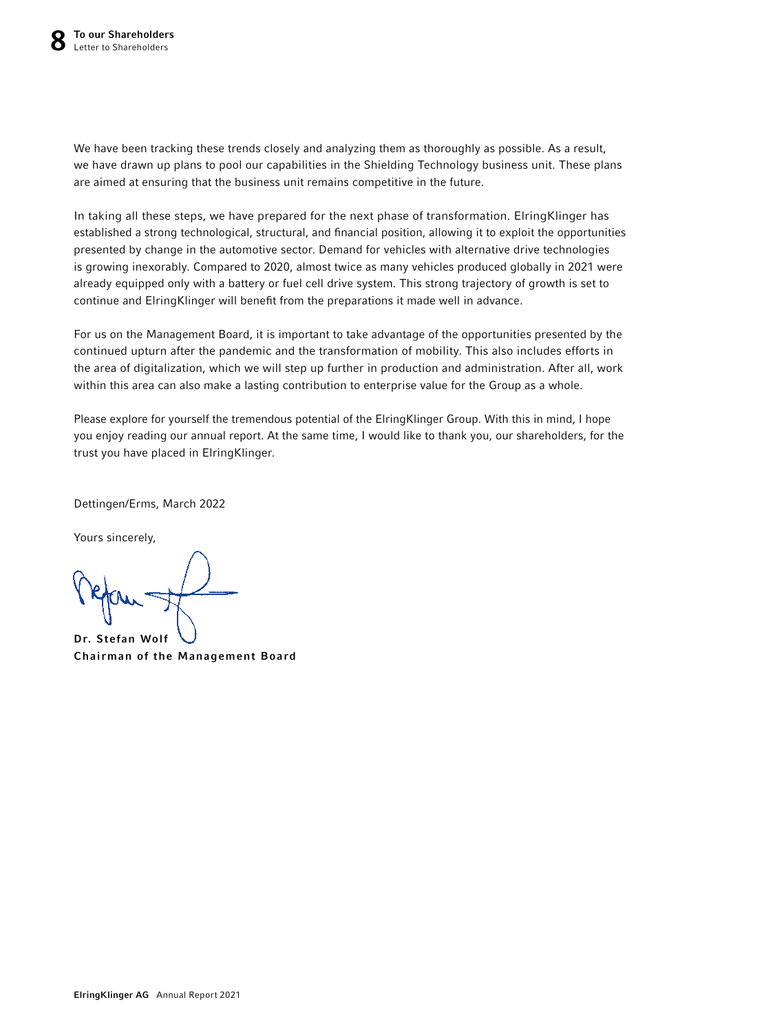We have been tracking these trends closely and analyzing them as thoroughly as possible. As a result, we have drawn up plans to pool our capabilities in the Shielding Technology business unit. These plans are aimed at ensuring that the business unit remains competitive in the future.

In taking all these steps, we have prepared for the next phase of transformation. ElringKlinger has established a strong technological, structural, and financial position, allowing it to exploit the opportunities presented by change in the automotive sector. Demand for vehicles with alternative drive technologies is growing inexorably. Compared to 2020, almost twice as many vehicles produced globally in 2021 were already equipped only with a battery or fuel cell drive system. This strong trajectory of growth is set to continue and ElringKlinger will benefit from the preparations it made well in advance.

For us on the Management Board, it is important to take advantage of the opportunities presented by the continued upturn after the pandemic and the transformation of mobility. This also includes efforts in the area of digitalization, which we will step up further in production and administration. After all, work within this area can also make a lasting contribution to enterprise value for the Group as a whole.

Please explore for yourself the tremendous potential of the ElringKlinger Group. With this in mind, I hope you enjoy reading our annual report. At the same time, I would like to thank you, our shareholders, for the trust you have placed in ElringKlinger.

Dettingen/Erms, March 2022

Yours sincerely,

Dr. Stefan Wolf Chairman of the Management Board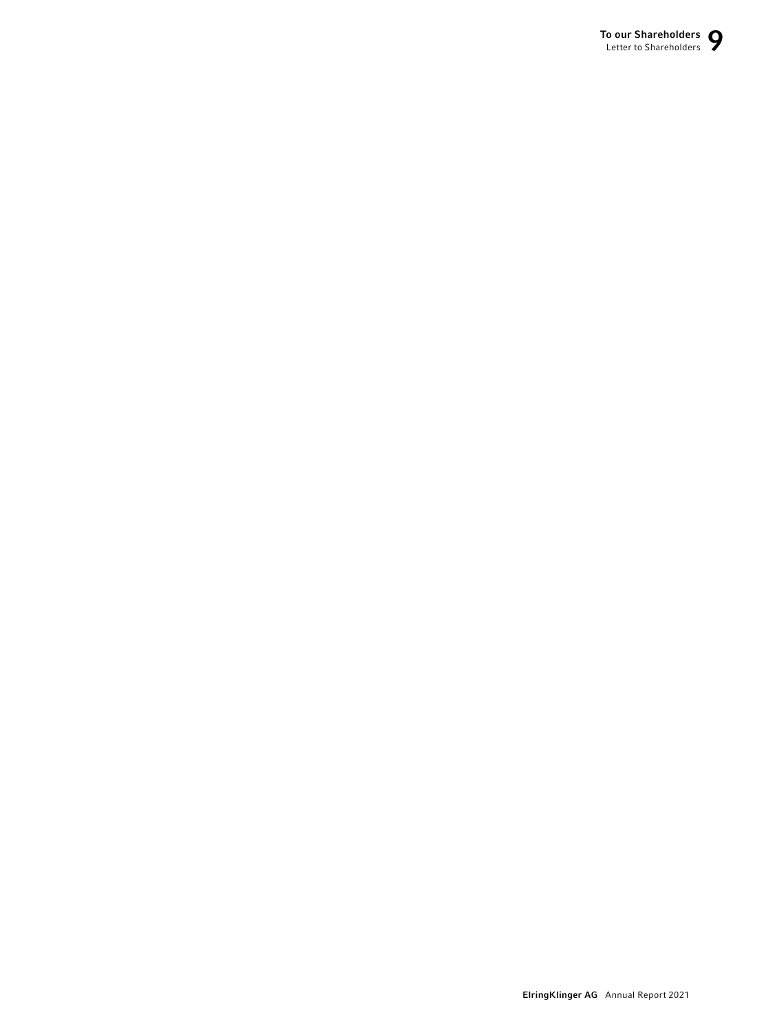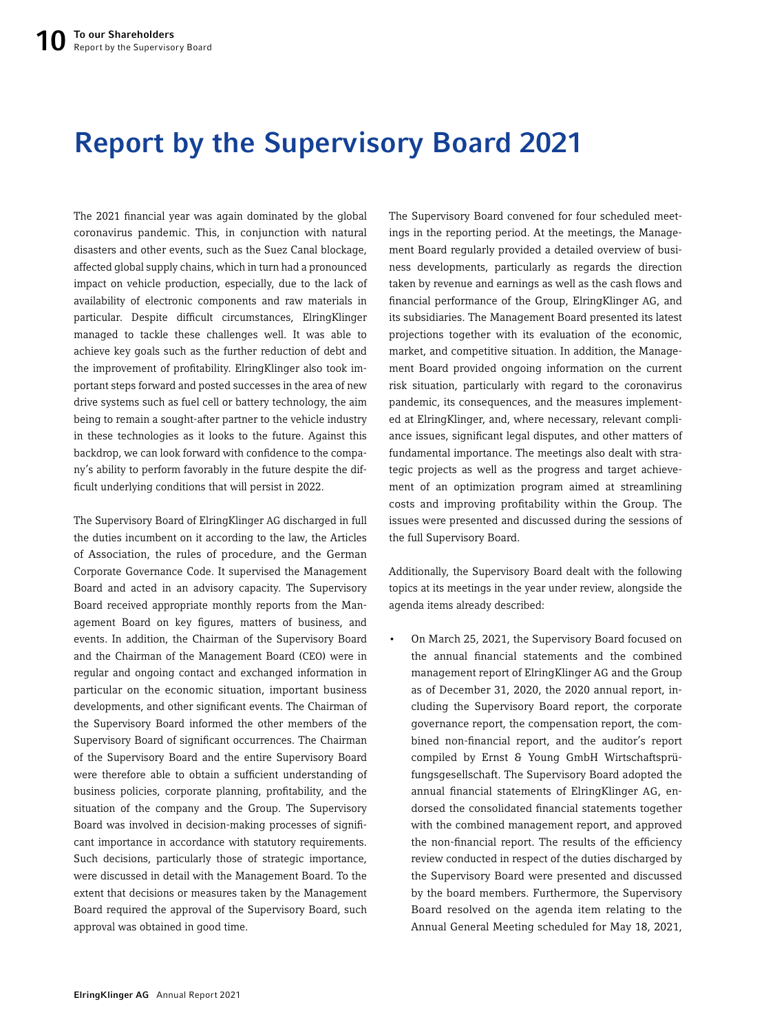# Report by the Supervisory Board 2021

The 2021 financial year was again dominated by the global coronavirus pandemic. This, in conjunction with natural disasters and other events, such as the Suez Canal blockage, affected global supply chains, which in turn had a pronounced impact on vehicle production, especially, due to the lack of availability of electronic components and raw materials in particular. Despite difficult circumstances, ElringKlinger managed to tackle these challenges well. It was able to achieve key goals such as the further reduction of debt and the improvement of profitability. ElringKlinger also took important steps forward and posted successes in the area of new drive systems such as fuel cell or battery technology, the aim being to remain a sought-after partner to the vehicle industry in these technologies as it looks to the future. Against this backdrop, we can look forward with confidence to the company's ability to perform favorably in the future despite the difficult underlying conditions that will persist in 2022.

The Supervisory Board of ElringKlinger AG discharged in full the duties incumbent on it according to the law, the Articles of Association, the rules of procedure, and the German Corporate Governance Code. It supervised the Management Board and acted in an advisory capacity. The Supervisory Board received appropriate monthly reports from the Management Board on key figures, matters of business, and events. In addition, the Chairman of the Supervisory Board and the Chairman of the Management Board (CEO) were in regular and ongoing contact and exchanged information in particular on the economic situation, important business developments, and other significant events. The Chairman of the Supervisory Board informed the other members of the Supervisory Board of significant occurrences. The Chairman of the Supervisory Board and the entire Supervisory Board were therefore able to obtain a sufficient understanding of business policies, corporate planning, profitability, and the situation of the company and the Group. The Supervisory Board was involved in decision-making processes of significant importance in accordance with statutory requirements. Such decisions, particularly those of strategic importance, were discussed in detail with the Management Board. To the extent that decisions or measures taken by the Management Board required the approval of the Supervisory Board, such approval was obtained in good time.

The Supervisory Board convened for four scheduled meetings in the reporting period. At the meetings, the Management Board regularly provided a detailed overview of business developments, particularly as regards the direction taken by revenue and earnings as well as the cash flows and financial performance of the Group, ElringKlinger AG, and its subsidiaries. The Management Board presented its latest projections together with its evaluation of the economic, market, and competitive situation. In addition, the Management Board provided ongoing information on the current risk situation, particularly with regard to the coronavirus pandemic, its consequences, and the measures implemented at ElringKlinger, and, where necessary, relevant compliance issues, significant legal disputes, and other matters of fundamental importance. The meetings also dealt with strategic projects as well as the progress and target achievement of an optimization program aimed at streamlining costs and improving profitability within the Group. The issues were presented and discussed during the sessions of the full Supervisory Board.

Additionally, the Supervisory Board dealt with the following topics at its meetings in the year under review, alongside the agenda items already described:

• On March 25, 2021, the Supervisory Board focused on the annual financial statements and the combined management report of ElringKlinger AG and the Group as of December 31, 2020, the 2020 annual report, including the Supervisory Board report, the corporate governance report, the compensation report, the combined non-financial report, and the auditor's report compiled by Ernst & Young GmbH Wirtschaftsprüfungsgesellschaft. The Supervisory Board adopted the annual financial statements of ElringKlinger AG, endorsed the consolidated financial statements together with the combined management report, and approved the non-financial report. The results of the efficiency review conducted in respect of the duties discharged by the Supervisory Board were presented and discussed by the board members. Furthermore, the Supervisory Board resolved on the agenda item relating to the Annual General Meeting scheduled for May 18, 2021,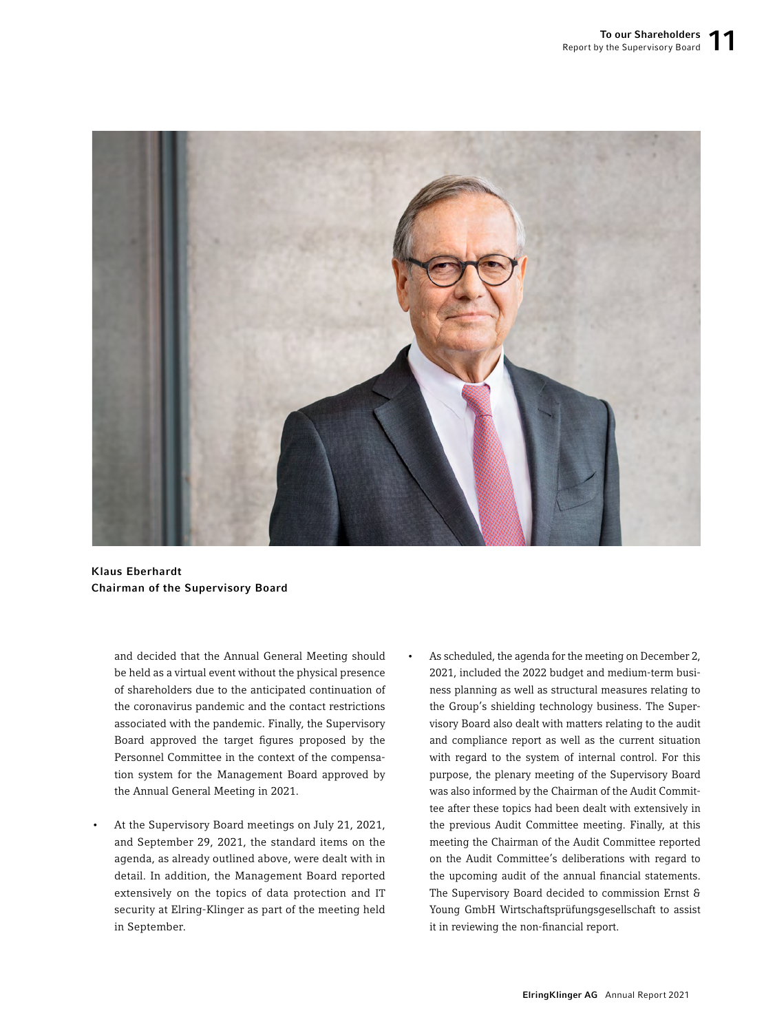

Klaus Eberhardt Chairman of the Supervisory Board

and decided that the Annual General Meeting should be held as a virtual event without the physical presence of shareholders due to the anticipated continuation of the coronavirus pandemic and the contact restrictions associated with the pandemic. Finally, the Supervisory Board approved the target figures proposed by the Personnel Committee in the context of the compensation system for the Management Board approved by the Annual General Meeting in 2021.

- At the Supervisory Board meetings on July 21, 2021, and September 29, 2021, the standard items on the agenda, as already outlined above, were dealt with in detail. In addition, the Management Board reported extensively on the topics of data protection and IT security at Elring-Klinger as part of the meeting held in September.
- As scheduled, the agenda for the meeting on December 2, 2021, included the 2022 budget and medium-term business planning as well as structural measures relating to the Group's shielding technology business. The Supervisory Board also dealt with matters relating to the audit and compliance report as well as the current situation with regard to the system of internal control. For this purpose, the plenary meeting of the Supervisory Board was also informed by the Chairman of the Audit Committee after these topics had been dealt with extensively in the previous Audit Committee meeting. Finally, at this meeting the Chairman of the Audit Committee reported on the Audit Committee's deliberations with regard to the upcoming audit of the annual financial statements. The Supervisory Board decided to commission Ernst & Young GmbH Wirtschaftsprüfungsgesellschaft to assist it in reviewing the non-financial report.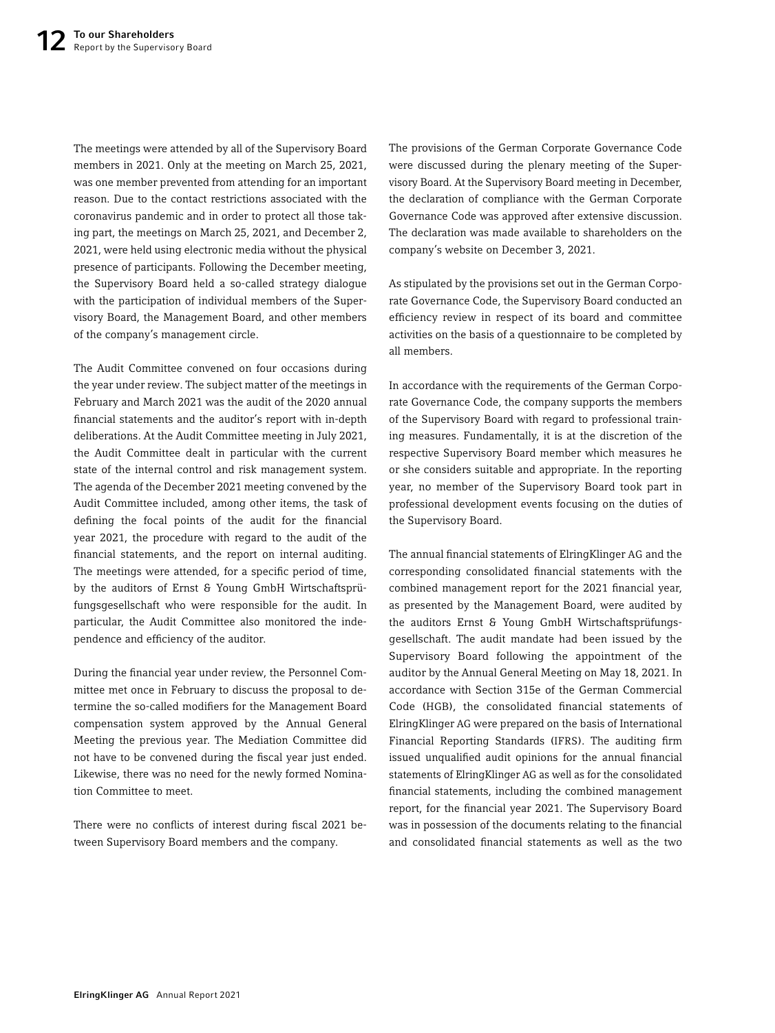The meetings were attended by all of the Supervisory Board members in 2021. Only at the meeting on March 25, 2021, was one member prevented from attending for an important reason. Due to the contact restrictions associated with the coronavirus pandemic and in order to protect all those taking part, the meetings on March 25, 2021, and December 2, 2021, were held using electronic media without the physical presence of participants. Following the December meeting, the Supervisory Board held a so-called strategy dialogue with the participation of individual members of the Supervisory Board, the Management Board, and other members of the company's management circle.

The Audit Committee convened on four occasions during the year under review. The subject matter of the meetings in February and March 2021 was the audit of the 2020 annual financial statements and the auditor's report with in-depth deliberations. At the Audit Committee meeting in July 2021, the Audit Committee dealt in particular with the current state of the internal control and risk management system. The agenda of the December 2021 meeting convened by the Audit Committee included, among other items, the task of defining the focal points of the audit for the financial year 2021, the procedure with regard to the audit of the financial statements, and the report on internal auditing. The meetings were attended, for a specific period of time, by the auditors of Ernst & Young GmbH Wirtschaftsprüfungsgesellschaft who were responsible for the audit. In particular, the Audit Committee also monitored the independence and efficiency of the auditor.

During the financial year under review, the Personnel Committee met once in February to discuss the proposal to determine the so-called modifiers for the Management Board compensation system approved by the Annual General Meeting the previous year. The Mediation Committee did not have to be convened during the fiscal year just ended. Likewise, there was no need for the newly formed Nomination Committee to meet.

There were no conflicts of interest during fiscal 2021 between Supervisory Board members and the company.

The provisions of the German Corporate Governance Code were discussed during the plenary meeting of the Supervisory Board. At the Supervisory Board meeting in December, the declaration of compliance with the German Corporate Governance Code was approved after extensive discussion. The declaration was made available to shareholders on the company's website on December 3, 2021.

As stipulated by the provisions set out in the German Corporate Governance Code, the Supervisory Board conducted an efficiency review in respect of its board and committee activities on the basis of a questionnaire to be completed by all members.

In accordance with the requirements of the German Corporate Governance Code, the company supports the members of the Supervisory Board with regard to professional training measures. Fundamentally, it is at the discretion of the respective Supervisory Board member which measures he or she considers suitable and appropriate. In the reporting year, no member of the Supervisory Board took part in professional development events focusing on the duties of the Supervisory Board.

The annual financial statements of ElringKlinger AG and the corresponding consolidated financial statements with the combined management report for the 2021 financial year, as presented by the Management Board, were audited by the auditors Ernst & Young GmbH Wirtschaftsprüfungsgesellschaft. The audit mandate had been issued by the Supervisory Board following the appointment of the auditor by the Annual General Meeting on May 18, 2021. In accordance with Section 315e of the German Commercial Code (HGB), the consolidated financial statements of ElringKlinger AG were prepared on the basis of International Financial Reporting Standards (IFRS). The auditing firm issued unqualified audit opinions for the annual financial statements of ElringKlinger AG as well as for the consolidated financial statements, including the combined management report, for the financial year 2021. The Supervisory Board was in possession of the documents relating to the financial and consolidated financial statements as well as the two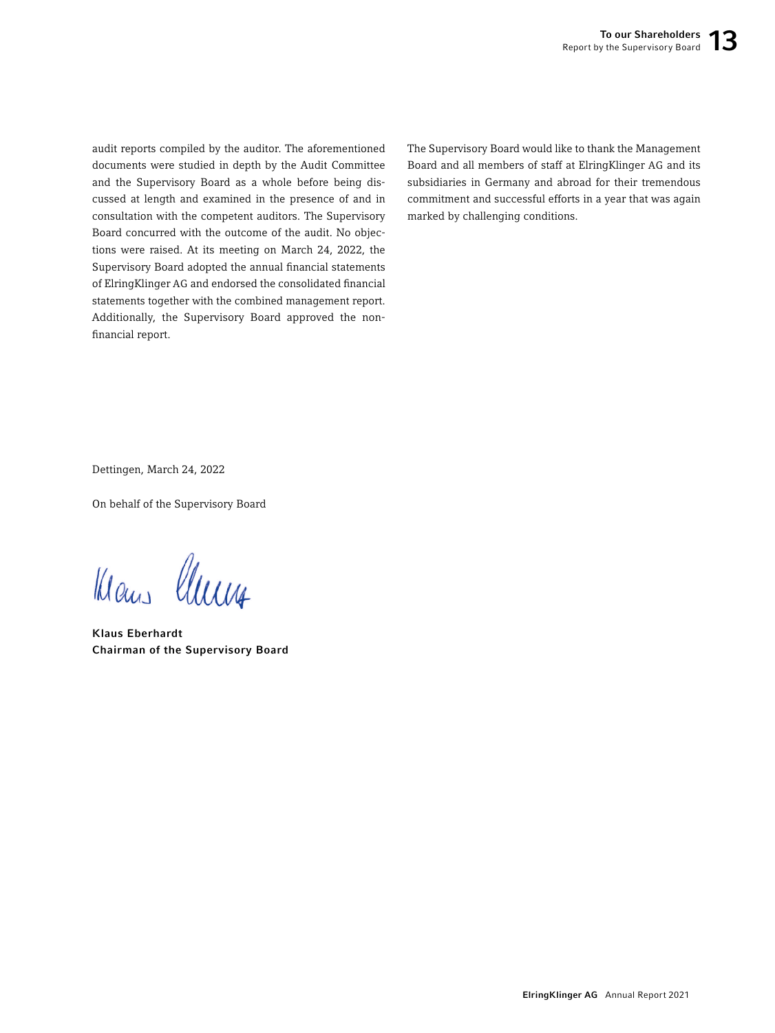audit reports compiled by the auditor. The aforementioned documents were studied in depth by the Audit Committee and the Supervisory Board as a whole before being discussed at length and examined in the presence of and in consultation with the competent auditors. The Supervisory Board concurred with the outcome of the audit. No objections were raised. At its meeting on March 24, 2022, the Supervisory Board adopted the annual financial statements of ElringKlinger AG and endorsed the consolidated financial statements together with the combined management report. Additionally, the Supervisory Board approved the nonfinancial report.

The Supervisory Board would like to thank the Management Board and all members of staff at ElringKlinger AG and its subsidiaries in Germany and abroad for their tremendous commitment and successful efforts in a year that was again marked by challenging conditions.

Dettingen, March 24, 2022

On behalf of the Supervisory Board

Klaus Clean

Klaus Eberhardt Chairman of the Supervisory Board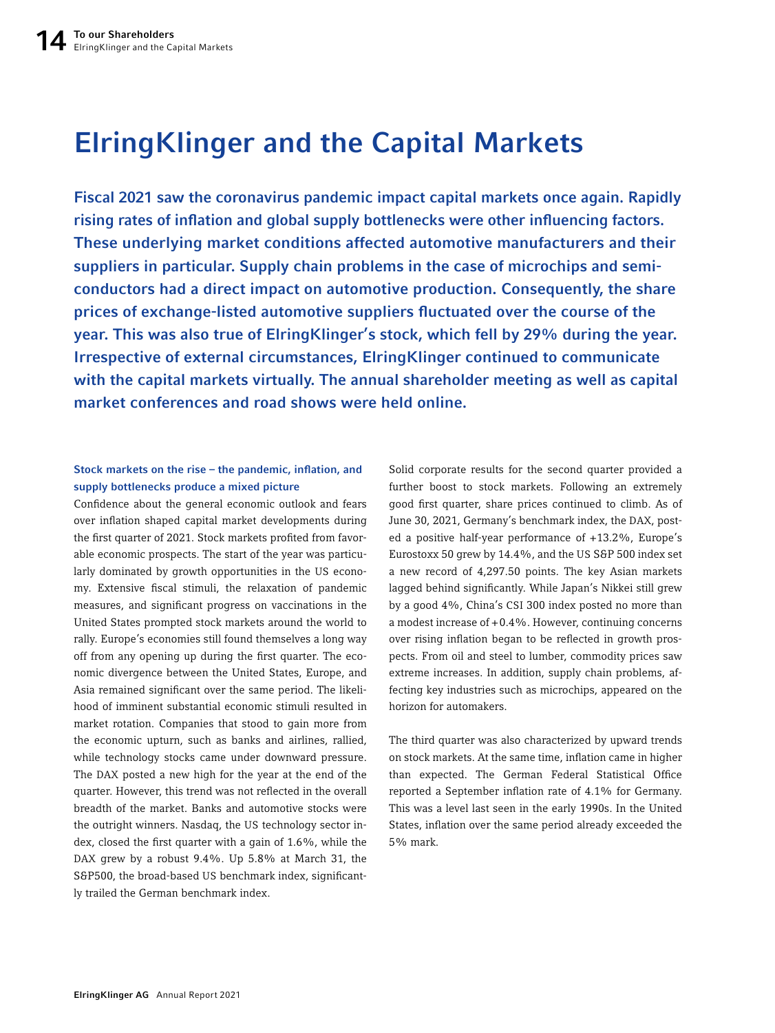# ElringKlinger and the Capital Markets

Fiscal 2021 saw the coronavirus pandemic impact capital markets once again. Rapidly rising rates of inflation and global supply bottlenecks were other influencing factors. These underlying market conditions affected automotive manufacturers and their suppliers in particular. Supply chain problems in the case of microchips and semiconductors had a direct impact on automotive production. Consequently, the share prices of exchange-listed automotive suppliers fluctuated over the course of the year. This was also true of ElringKlinger's stock, which fell by 29% during the year. Irrespective of external circumstances, ElringKlinger continued to communicate with the capital markets virtually. The annual shareholder meeting as well as capital market conferences and road shows were held online.

# Stock markets on the rise – the pandemic, inflation, and supply bottlenecks produce a mixed picture

Confidence about the general economic outlook and fears over inflation shaped capital market developments during the first quarter of 2021. Stock markets profited from favorable economic prospects. The start of the year was particularly dominated by growth opportunities in the US economy. Extensive fiscal stimuli, the relaxation of pandemic measures, and significant progress on vaccinations in the United States prompted stock markets around the world to rally. Europe's economies still found themselves a long way off from any opening up during the first quarter. The economic divergence between the United States, Europe, and Asia remained significant over the same period. The likelihood of imminent substantial economic stimuli resulted in market rotation. Companies that stood to gain more from the economic upturn, such as banks and airlines, rallied, while technology stocks came under downward pressure. The DAX posted a new high for the year at the end of the quarter. However, this trend was not reflected in the overall breadth of the market. Banks and automotive stocks were the outright winners. Nasdaq, the US technology sector index, closed the first quarter with a gain of 1.6%, while the DAX grew by a robust 9.4%. Up 5.8% at March 31, the S&P500, the broad-based US benchmark index, significantly trailed the German benchmark index.

Solid corporate results for the second quarter provided a further boost to stock markets. Following an extremely good first quarter, share prices continued to climb. As of June 30, 2021, Germany's benchmark index, the DAX, posted a positive half-year performance of +13.2%, Europe's Eurostoxx 50 grew by 14.4%, and the US S&P 500 index set a new record of 4,297.50 points. The key Asian markets lagged behind significantly. While Japan's Nikkei still grew by a good 4%, China's CSI 300 index posted no more than a modest increase of +0.4%. However, continuing concerns over rising inflation began to be reflected in growth prospects. From oil and steel to lumber, commodity prices saw extreme increases. In addition, supply chain problems, affecting key industries such as microchips, appeared on the horizon for automakers.

The third quarter was also characterized by upward trends on stock markets. At the same time, inflation came in higher than expected. The German Federal Statistical Office reported a September inflation rate of 4.1% for Germany. This was a level last seen in the early 1990s. In the United States, inflation over the same period already exceeded the 5% mark.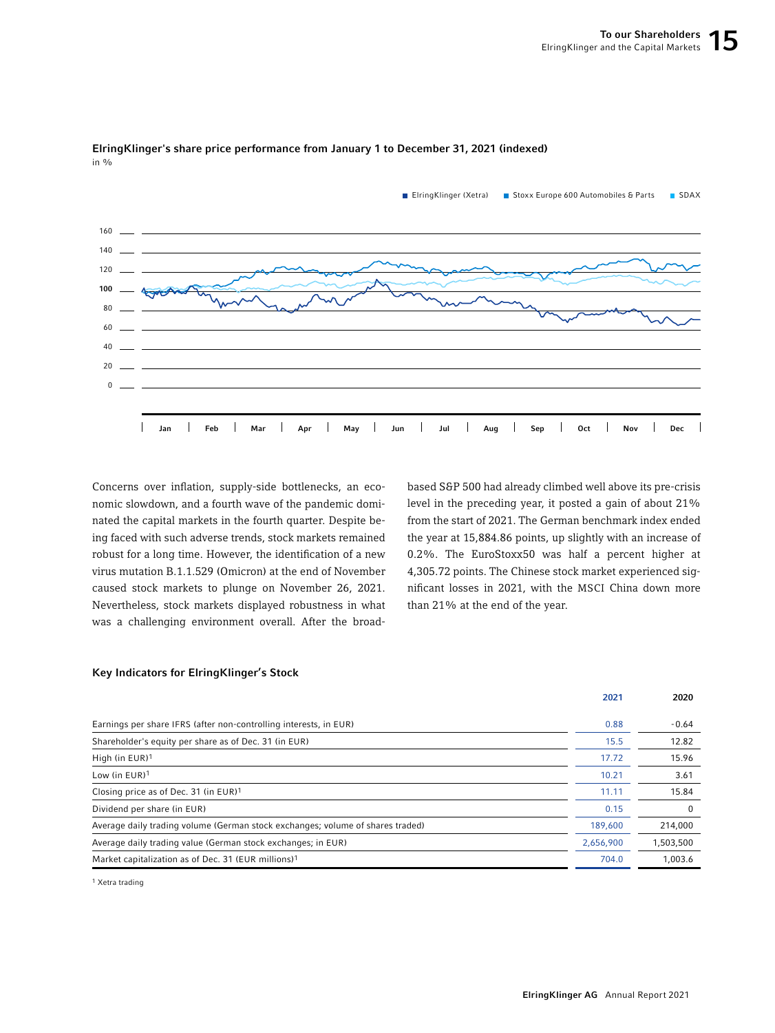

#### ElringKlinger's share price performance from January 1 to December 31, 2021 (indexed) in %

Concerns over inflation, supply-side bottlenecks, an economic slowdown, and a fourth wave of the pandemic dominated the capital markets in the fourth quarter. Despite being faced with such adverse trends, stock markets remained robust for a long time. However, the identification of a new virus mutation B.1.1.529 (Omicron) at the end of November caused stock markets to plunge on November 26, 2021. Nevertheless, stock markets displayed robustness in what was a challenging environment overall. After the broadbased S&P 500 had already climbed well above its pre-crisis level in the preceding year, it posted a gain of about 21% from the start of 2021. The German benchmark index ended the year at 15,884.86 points, up slightly with an increase of 0.2%. The EuroStoxx50 was half a percent higher at 4,305.72 points. The Chinese stock market experienced significant losses in 2021, with the MSCI China down more than 21% at the end of the year.

# Key Indicators for ElringKlinger's Stock

|                                                                                | 2021      | 2020      |
|--------------------------------------------------------------------------------|-----------|-----------|
| Earnings per share IFRS (after non-controlling interests, in EUR)              | 0.88      | $-0.64$   |
| Shareholder's equity per share as of Dec. 31 (in EUR)                          | 15.5      | 12.82     |
| High (in EUR) <sup>1</sup>                                                     | 17.72     | 15.96     |
| Low (in $EUR$ ) <sup>1</sup>                                                   | 10.21     | 3.61      |
| Closing price as of Dec. 31 (in EUR) <sup>1</sup>                              | 11.11     | 15.84     |
| Dividend per share (in EUR)                                                    | 0.15      | 0         |
| Average daily trading volume (German stock exchanges; volume of shares traded) | 189,600   | 214,000   |
| Average daily trading value (German stock exchanges; in EUR)                   | 2,656,900 | 1,503,500 |
| Market capitalization as of Dec. 31 (EUR millions) <sup>1</sup>                | 704.0     | 1.003.6   |
|                                                                                |           |           |

1 Xetra trading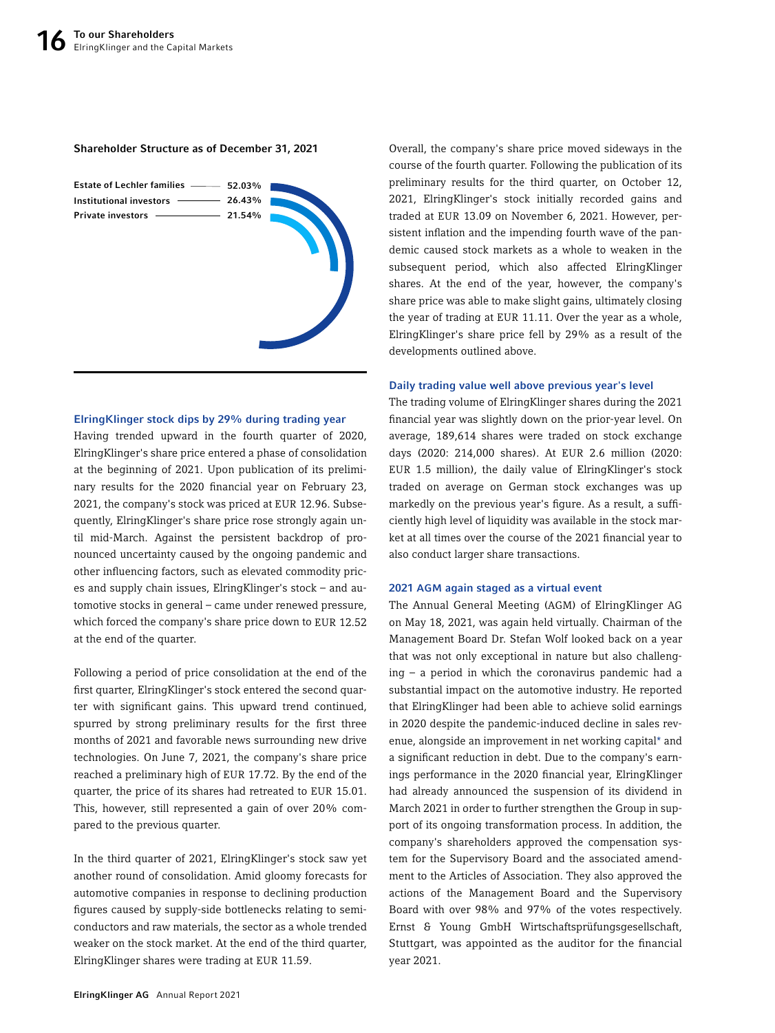Shareholder Structure as of December 31, 2021



#### ElringKlinger stock dips by 29% during trading year

Having trended upward in the fourth quarter of 2020, ElringKlinger's share price entered a phase of consolidation at the beginning of 2021. Upon publication of its preliminary results for the 2020 financial year on February 23, 2021, the company's stock was priced at EUR 12.96. Subsequently, ElringKlinger's share price rose strongly again until mid-March. Against the persistent backdrop of pronounced uncertainty caused by the ongoing pandemic and other influencing factors, such as elevated commodity prices and supply chain issues, ElringKlinger's stock – and automotive stocks in general – came under renewed pressure, which forced the company's share price down to EUR 12.52 at the end of the quarter.

Following a period of price consolidation at the end of the first quarter, ElringKlinger's stock entered the second quarter with significant gains. This upward trend continued, spurred by strong preliminary results for the first three months of 2021 and favorable news surrounding new drive technologies. On June 7, 2021, the company's share price reached a preliminary high of EUR 17.72. By the end of the quarter, the price of its shares had retreated to EUR 15.01. This, however, still represented a gain of over 20% compared to the previous quarter.

In the third quarter of 2021, ElringKlinger's stock saw yet another round of consolidation. Amid gloomy forecasts for automotive companies in response to declining production figures caused by supply-side bottlenecks relating to semiconductors and raw materials, the sector as a whole trended weaker on the stock market. At the end of the third quarter, ElringKlinger shares were trading at EUR 11.59.

Overall, the company's share price moved sideways in the course of the fourth quarter. Following the publication of its preliminary results for the third quarter, on October 12, 2021, ElringKlinger's stock initially recorded gains and traded at EUR 13.09 on November 6, 2021. However, persistent inflation and the impending fourth wave of the pandemic caused stock markets as a whole to weaken in the subsequent period, which also affected ElringKlinger shares. At the end of the year, however, the company's share price was able to make slight gains, ultimately closing the year of trading at EUR 11.11. Over the year as a whole, ElringKlinger's share price fell by 29% as a result of the developments outlined above.

#### Daily trading value well above previous year's level

The trading volume of ElringKlinger shares during the 2021 financial year was slightly down on the prior-year level. On average, 189,614 shares were traded on stock exchange days (2020: 214,000 shares). At EUR 2.6 million (2020: EUR 1.5 million), the daily value of ElringKlinger's stock traded on average on German stock exchanges was up markedly on the previous year's figure. As a result, a sufficiently high level of liquidity was available in the stock market at all times over the course of the 2021 financial year to also conduct larger share transactions.

#### 2021 AGM again staged as a virtual event

The Annual General Meeting (AGM) of ElringKlinger AG on May 18, 2021, was again held virtually. Chairman of the Management Board Dr. Stefan Wolf looked back on a year that was not only exceptional in nature but also challenging – a period in which the coronavirus pandemic had a substantial impact on the automotive industry. He reported that ElringKlinger had been able to achieve solid earnings in 2020 despite the pandemic-induced decline in sales revenue, alongside an improvement in net working capital\* and a significant reduction in debt. Due to the company's earnings performance in the 2020 financial year, ElringKlinger had already announced the suspension of its dividend in March 2021 in order to further strengthen the Group in support of its ongoing transformation process. In addition, the company's shareholders approved the compensation system for the Supervisory Board and the associated amendment to the Articles of Association. They also approved the actions of the Management Board and the Supervisory Board with over 98% and 97% of the votes respectively. Ernst & Young GmbH Wirtschaftsprüfungsgesellschaft, Stuttgart, was appointed as the auditor for the financial year 2021.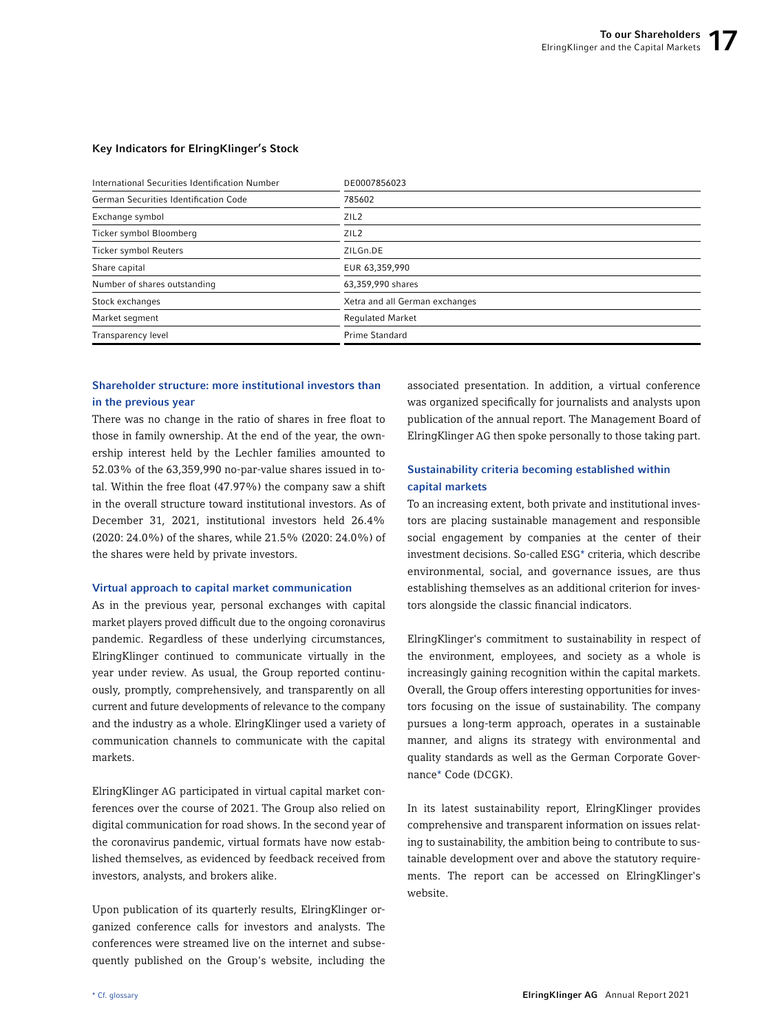### Key Indicators for ElringKlinger's Stock

| International Securities Identification Number | DE0007856023                   |
|------------------------------------------------|--------------------------------|
| German Securities Identification Code          | 785602                         |
| Exchange symbol                                | ZIL2                           |
| Ticker symbol Bloomberg                        | ZIL2                           |
| <b>Ticker symbol Reuters</b>                   | ZILGn.DE                       |
| Share capital                                  | EUR 63,359,990                 |
| Number of shares outstanding                   | 63,359,990 shares              |
| Stock exchanges                                | Xetra and all German exchanges |
| Market segment                                 | <b>Regulated Market</b>        |
| Transparency level                             | Prime Standard                 |

# Shareholder structure: more institutional investors than in the previous year

There was no change in the ratio of shares in free float to those in family ownership. At the end of the year, the ownership interest held by the Lechler families amounted to 52.03% of the 63,359,990 no-par-value shares issued in total. Within the free float (47.97%) the company saw a shift in the overall structure toward institutional investors. As of December 31, 2021, institutional investors held 26.4% (2020: 24.0%) of the shares, while 21.5% (2020: 24.0%) of the shares were held by private investors.

### Virtual approach to capital market communication

As in the previous year, personal exchanges with capital market players proved difficult due to the ongoing coronavirus pandemic. Regardless of these underlying circumstances, ElringKlinger continued to communicate virtually in the year under review. As usual, the Group reported continuously, promptly, comprehensively, and transparently on all current and future developments of relevance to the company and the industry as a whole. ElringKlinger used a variety of communication channels to communicate with the capital markets.

ElringKlinger AG participated in virtual capital market conferences over the course of 2021. The Group also relied on digital communication for road shows. In the second year of the coronavirus pandemic, virtual formats have now established themselves, as evidenced by feedback received from investors, analysts, and brokers alike.

Upon publication of its quarterly results, ElringKlinger organized conference calls for investors and analysts. The conferences were streamed live on the internet and subsequently published on the Group's website, including the

associated presentation. In addition, a virtual conference was organized specifically for journalists and analysts upon publication of the annual report. The Management Board of ElringKlinger AG then spoke personally to those taking part.

# Sustainability criteria becoming established within capital markets

To an increasing extent, both private and institutional investors are placing sustainable management and responsible social engagement by companies at the center of their investment decisions. So-called ESG\* criteria, which describe environmental, social, and governance issues, are thus establishing themselves as an additional criterion for investors alongside the classic financial indicators.

ElringKlinger's commitment to sustainability in respect of the environment, employees, and society as a whole is increasingly gaining recognition within the capital markets. Overall, the Group offers interesting opportunities for investors focusing on the issue of sustainability. The company pursues a long-term approach, operates in a sustainable manner, and aligns its strategy with environmental and quality standards as well as the German Corporate Governance\* Code (DCGK).

In its latest sustainability report, ElringKlinger provides comprehensive and transparent information on issues relating to sustainability, the ambition being to contribute to sustainable development over and above the statutory requirements. The report can be accessed on ElringKlinger's website.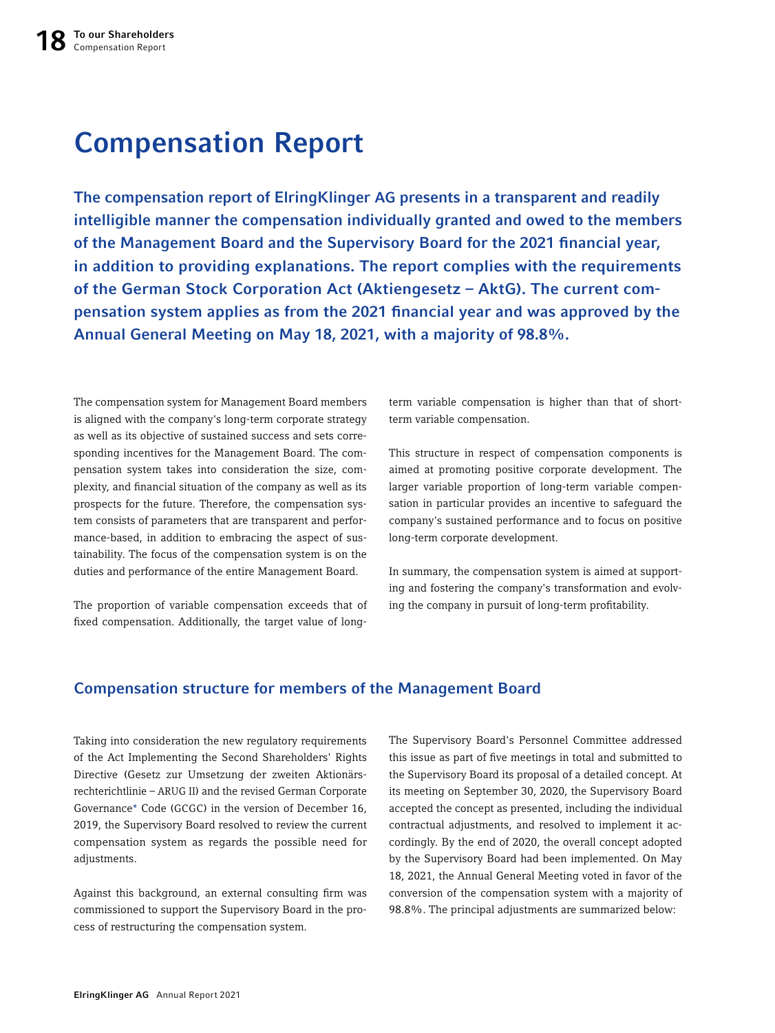# Compensation Report

The compensation report of ElringKlinger AG presents in a transparent and readily intelligible manner the compensation individually granted and owed to the members of the Management Board and the Supervisory Board for the 2021 financial year, in addition to providing explanations. The report complies with the requirements of the German Stock Corporation Act (Aktiengesetz – AktG). The current compensation system applies as from the 2021 financial year and was approved by the Annual General Meeting on May 18, 2021, with a majority of 98.8%.

The compensation system for Management Board members is aligned with the company's long-term corporate strategy as well as its objective of sustained success and sets corresponding incentives for the Management Board. The compensation system takes into consideration the size, complexity, and financial situation of the company as well as its prospects for the future. Therefore, the compensation system consists of parameters that are transparent and performance-based, in addition to embracing the aspect of sustainability. The focus of the compensation system is on the duties and performance of the entire Management Board.

The proportion of variable compensation exceeds that of fixed compensation. Additionally, the target value of longterm variable compensation is higher than that of shortterm variable compensation.

This structure in respect of compensation components is aimed at promoting positive corporate development. The larger variable proportion of long-term variable compensation in particular provides an incentive to safeguard the company's sustained performance and to focus on positive long-term corporate development.

In summary, the compensation system is aimed at supporting and fostering the company's transformation and evolving the company in pursuit of long-term profitability.

# Compensation structure for members of the Management Board

Taking into consideration the new regulatory requirements of the Act Implementing the Second Shareholders' Rights Directive (Gesetz zur Umsetzung der zweiten Aktionärsrechterichtlinie – ARUG II) and the revised German Corporate Governance\* Code (GCGC) in the version of December 16, 2019, the Supervisory Board resolved to review the current compensation system as regards the possible need for adjustments.

Against this background, an external consulting firm was commissioned to support the Supervisory Board in the process of restructuring the compensation system.

The Supervisory Board's Personnel Committee addressed this issue as part of five meetings in total and submitted to the Supervisory Board its proposal of a detailed concept. At its meeting on September 30, 2020, the Supervisory Board accepted the concept as presented, including the individual contractual adjustments, and resolved to implement it accordingly. By the end of 2020, the overall concept adopted by the Supervisory Board had been implemented. On May 18, 2021, the Annual General Meeting voted in favor of the conversion of the compensation system with a majority of 98.8%. The principal adjustments are summarized below: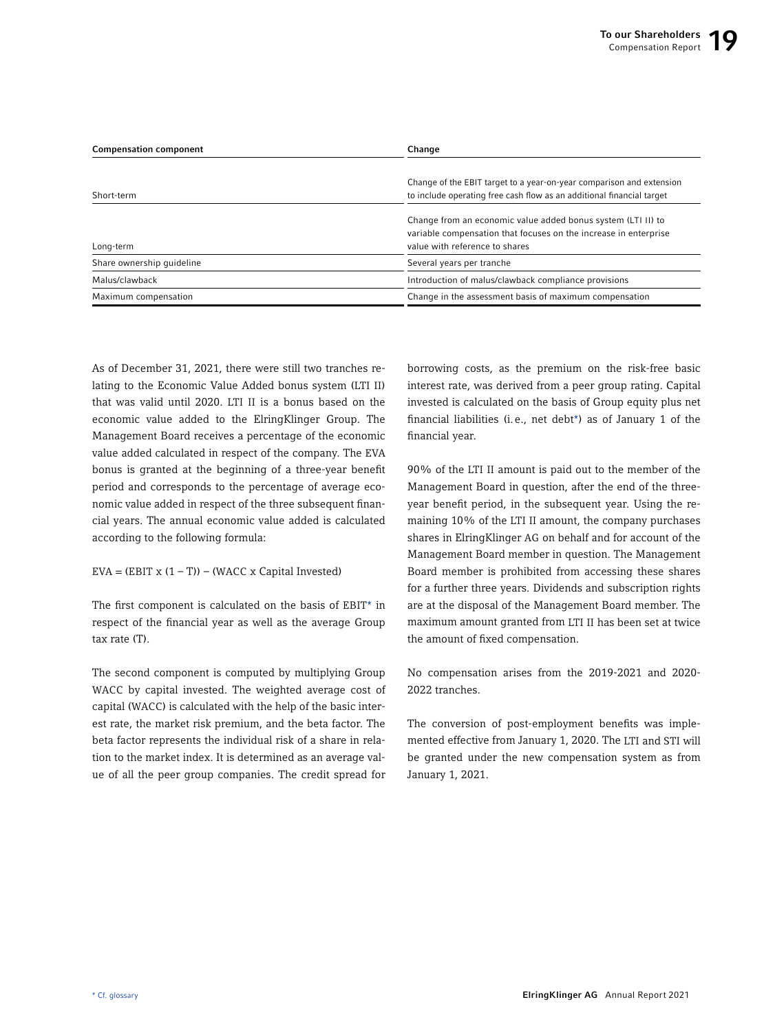| Change                                                                                                                                                             |  |  |  |  |
|--------------------------------------------------------------------------------------------------------------------------------------------------------------------|--|--|--|--|
| Change of the EBIT target to a year-on-year comparison and extension<br>to include operating free cash flow as an additional financial target                      |  |  |  |  |
| Change from an economic value added bonus system (LTI II) to<br>variable compensation that focuses on the increase in enterprise<br>value with reference to shares |  |  |  |  |
| Several years per tranche                                                                                                                                          |  |  |  |  |
| Introduction of malus/clawback compliance provisions                                                                                                               |  |  |  |  |
| Change in the assessment basis of maximum compensation                                                                                                             |  |  |  |  |
|                                                                                                                                                                    |  |  |  |  |

As of December 31, 2021, there were still two tranches relating to the Economic Value Added bonus system (LTI II) that was valid until 2020. LTI II is a bonus based on the economic value added to the ElringKlinger Group. The Management Board receives a percentage of the economic value added calculated in respect of the company. The EVA bonus is granted at the beginning of a three-year benefit period and corresponds to the percentage of average economic value added in respect of the three subsequent financial years. The annual economic value added is calculated according to the following formula:

EVA =  $(EBIT x (1 - T)) - (WACC x Capital Invested)$ 

The first component is calculated on the basis of EBIT\* in respect of the financial year as well as the average Group tax rate (T).

The second component is computed by multiplying Group WACC by capital invested. The weighted average cost of capital (WACC) is calculated with the help of the basic interest rate, the market risk premium, and the beta factor. The beta factor represents the individual risk of a share in relation to the market index. It is determined as an average value of all the peer group companies. The credit spread for

borrowing costs, as the premium on the risk-free basic interest rate, was derived from a peer group rating. Capital invested is calculated on the basis of Group equity plus net financial liabilities (i.e., net debt\*) as of January 1 of the financial year.

90% of the LTI II amount is paid out to the member of the Management Board in question, after the end of the threeyear benefit period, in the subsequent year. Using the remaining 10% of the LTI II amount, the company purchases shares in ElringKlinger AG on behalf and for account of the Management Board member in question. The Management Board member is prohibited from accessing these shares for a further three years. Dividends and subscription rights are at the disposal of the Management Board member. The maximum amount granted from LTI II has been set at twice the amount of fixed compensation.

No compensation arises from the 2019-2021 and 2020- 2022 tranches.

The conversion of post-employment benefits was implemented effective from January 1, 2020. The LTI and STI will be granted under the new compensation system as from January 1, 2021.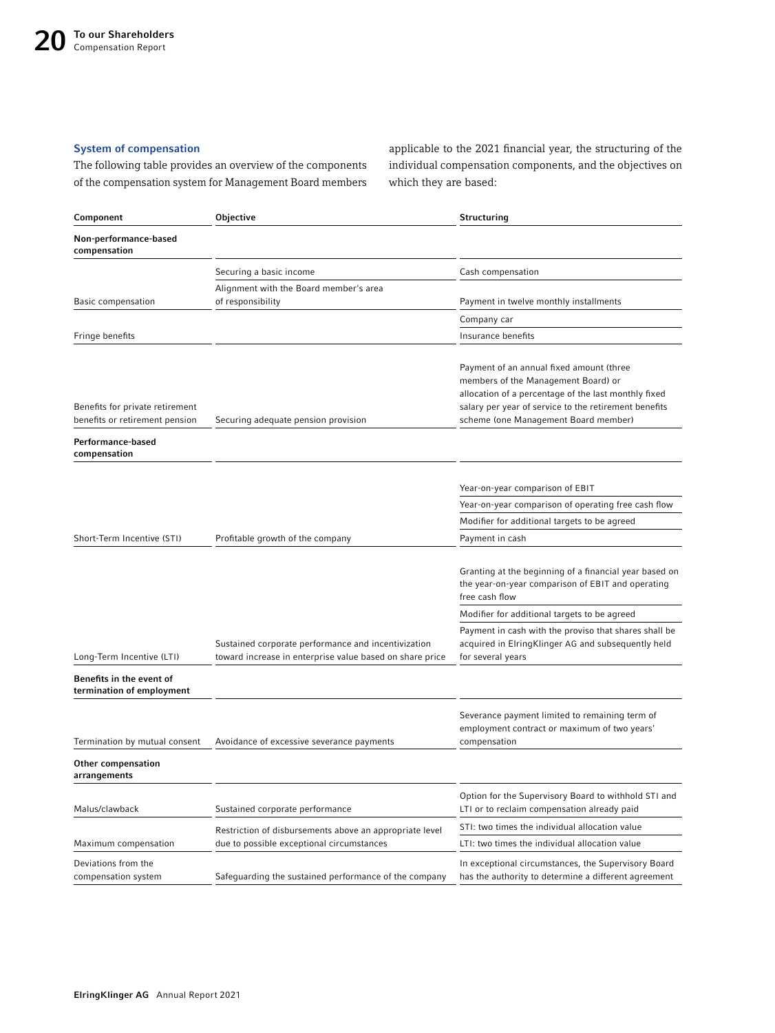# System of compensation

The following table provides an overview of the components of the compensation system for Management Board members

applicable to the 2021 financial year, the structuring of the individual compensation components, and the objectives on which they are based:

| Component                                                         | Objective                                                                                                       | Structuring                                                                                                                                                                                                                              |  |  |  |
|-------------------------------------------------------------------|-----------------------------------------------------------------------------------------------------------------|------------------------------------------------------------------------------------------------------------------------------------------------------------------------------------------------------------------------------------------|--|--|--|
| Non-performance-based<br>compensation                             |                                                                                                                 |                                                                                                                                                                                                                                          |  |  |  |
|                                                                   | Securing a basic income                                                                                         | Cash compensation                                                                                                                                                                                                                        |  |  |  |
|                                                                   | Alignment with the Board member's area                                                                          |                                                                                                                                                                                                                                          |  |  |  |
| Basic compensation                                                | of responsibility                                                                                               | Payment in twelve monthly installments                                                                                                                                                                                                   |  |  |  |
|                                                                   |                                                                                                                 | Company car                                                                                                                                                                                                                              |  |  |  |
| Fringe benefits                                                   |                                                                                                                 | Insurance benefits                                                                                                                                                                                                                       |  |  |  |
| Benefits for private retirement<br>benefits or retirement pension | Securing adequate pension provision                                                                             | Payment of an annual fixed amount (three<br>members of the Management Board) or<br>allocation of a percentage of the last monthly fixed<br>salary per year of service to the retirement benefits<br>scheme (one Management Board member) |  |  |  |
| Performance-based<br>compensation                                 |                                                                                                                 |                                                                                                                                                                                                                                          |  |  |  |
|                                                                   |                                                                                                                 | Year-on-year comparison of EBIT                                                                                                                                                                                                          |  |  |  |
|                                                                   |                                                                                                                 | Year-on-year comparison of operating free cash flow                                                                                                                                                                                      |  |  |  |
|                                                                   |                                                                                                                 | Modifier for additional targets to be agreed                                                                                                                                                                                             |  |  |  |
| Short-Term Incentive (STI)                                        | Profitable growth of the company                                                                                | Payment in cash                                                                                                                                                                                                                          |  |  |  |
|                                                                   |                                                                                                                 | Granting at the beginning of a financial year based on<br>the year-on-year comparison of EBIT and operating<br>free cash flow                                                                                                            |  |  |  |
|                                                                   |                                                                                                                 | Modifier for additional targets to be agreed                                                                                                                                                                                             |  |  |  |
| Long-Term Incentive (LTI)                                         | Sustained corporate performance and incentivization<br>toward increase in enterprise value based on share price | Payment in cash with the proviso that shares shall be<br>acquired in ElringKlinger AG and subsequently held<br>for several years                                                                                                         |  |  |  |
| Benefits in the event of<br>termination of employment             |                                                                                                                 |                                                                                                                                                                                                                                          |  |  |  |
| Termination by mutual consent                                     | Avoidance of excessive severance payments                                                                       | Severance payment limited to remaining term of<br>employment contract or maximum of two years'<br>compensation                                                                                                                           |  |  |  |
| Other compensation<br>arrangements                                |                                                                                                                 |                                                                                                                                                                                                                                          |  |  |  |
| Malus/clawback                                                    | Sustained corporate performance                                                                                 | Option for the Supervisory Board to withhold STI and<br>LTI or to reclaim compensation already paid                                                                                                                                      |  |  |  |
|                                                                   | Restriction of disbursements above an appropriate level                                                         | STI: two times the individual allocation value                                                                                                                                                                                           |  |  |  |
| Maximum compensation                                              | due to possible exceptional circumstances                                                                       | LTI: two times the individual allocation value                                                                                                                                                                                           |  |  |  |
| Deviations from the<br>compensation system                        | Safeguarding the sustained performance of the company                                                           | In exceptional circumstances, the Supervisory Board<br>has the authority to determine a different agreement                                                                                                                              |  |  |  |
|                                                                   |                                                                                                                 |                                                                                                                                                                                                                                          |  |  |  |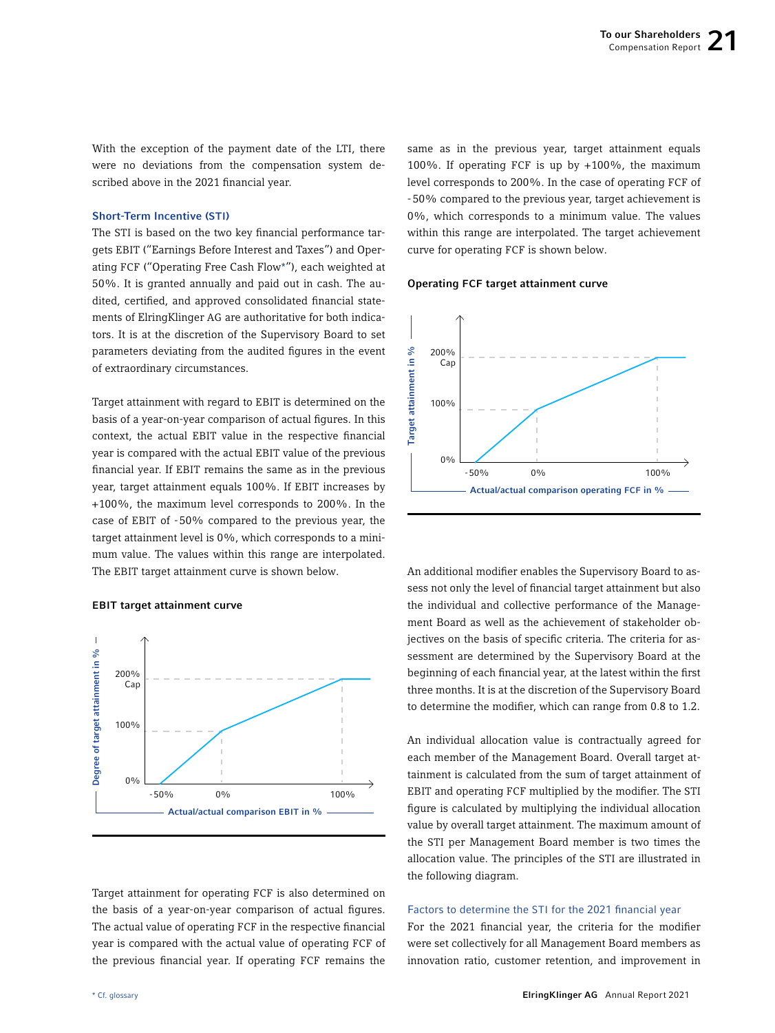With the exception of the payment date of the LTI, there were no deviations from the compensation system described above in the 2021 financial year.

#### Short-Term Incentive (STI)

The STI is based on the two key financial performance targets EBIT ("Earnings Before Interest and Taxes") and Operating FCF ("Operating Free Cash Flow\*"), each weighted at 50%. It is granted annually and paid out in cash. The audited, certified, and approved consolidated financial statements of ElringKlinger AG are authoritative for both indicators. It is at the discretion of the Supervisory Board to set parameters deviating from the audited figures in the event of extraordinary circumstances.

Target attainment with regard to EBIT is determined on the basis of a year-on-year comparison of actual figures. In this context, the actual EBIT value in the respective financial year is compared with the actual EBIT value of the previous financial year. If EBIT remains the same as in the previous year, target attainment equals 100%. If EBIT increases by +100%, the maximum level corresponds to 200%. In the case of EBIT of -50% compared to the previous year, the target attainment level is 0%, which corresponds to a minimum value. The values within this range are interpolated. The EBIT target attainment curve is shown below.

#### EBIT target attainment curve



Target attainment for operating FCF is also determined on the basis of a year-on-year comparison of actual figures. The actual value of operating FCF in the respective financial year is compared with the actual value of operating FCF of the previous financial year. If operating FCF remains the

same as in the previous year, target attainment equals 100%. If operating FCF is up by +100%, the maximum level corresponds to 200%. In the case of operating FCF of -50% compared to the previous year, target achievement is 0%, which corresponds to a minimum value. The values within this range are interpolated. The target achievement curve for operating FCF is shown below.

Operating FCF target attainment curve



An additional modifier enables the Supervisory Board to assess not only the level of financial target attainment but also the individual and collective performance of the Management Board as well as the achievement of stakeholder objectives on the basis of specific criteria. The criteria for assessment are determined by the Supervisory Board at the beginning of each financial year, at the latest within the first three months. It is at the discretion of the Supervisory Board to determine the modifier, which can range from 0.8 to 1.2.

An individual allocation value is contractually agreed for each member of the Management Board. Overall target attainment is calculated from the sum of target attainment of EBIT and operating FCF multiplied by the modifier. The STI figure is calculated by multiplying the individual allocation value by overall target attainment. The maximum amount of the STI per Management Board member is two times the allocation value. The principles of the STI are illustrated in the following diagram.

#### Factors to determine the STI for the 2021 financial year

For the 2021 financial year, the criteria for the modifier were set collectively for all Management Board members as innovation ratio, customer retention, and improvement in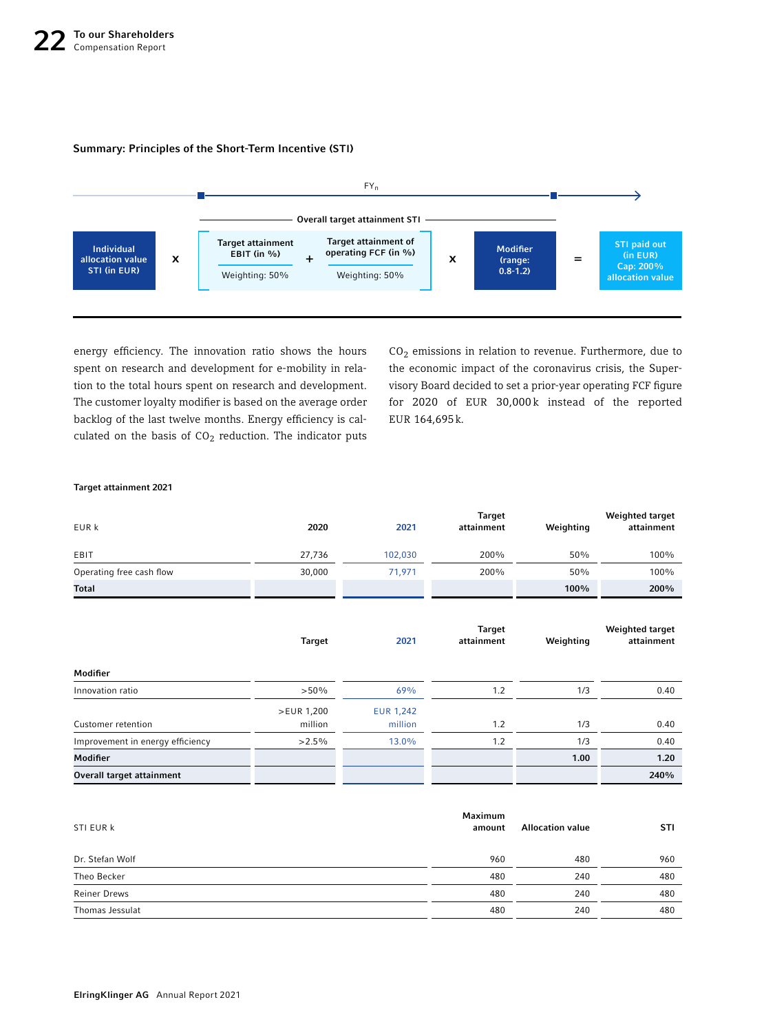### Summary: Principles of the Short-Term Incentive (STI)



energy efficiency. The innovation ratio shows the hours spent on research and development for e-mobility in relation to the total hours spent on research and development. The customer loyalty modifier is based on the average order backlog of the last twelve months. Energy efficiency is calculated on the basis of  $CO<sub>2</sub>$  reduction. The indicator puts

CO2 emissions in relation to revenue. Furthermore, due to the economic impact of the coronavirus crisis, the Supervisory Board decided to set a prior-year operating FCF figure for 2020 of EUR 30,000k instead of the reported EUR 164,695k.

#### Target attainment 2021

| EUR k                            | 2020                  | 2021                        | <b>Target</b><br>attainment | Weighting | Weighted target<br>attainment        |  |
|----------------------------------|-----------------------|-----------------------------|-----------------------------|-----------|--------------------------------------|--|
|                                  |                       |                             |                             |           |                                      |  |
| EBIT                             | 27,736                | 102,030                     | 200%                        | 50%       | 100%                                 |  |
| Operating free cash flow         | 30,000                | 71,971                      | 200%                        | 50%       | 100%                                 |  |
| <b>Total</b>                     |                       |                             |                             | 100%      | 200%                                 |  |
| Modifier                         | <b>Target</b>         | 2021                        | Target<br>attainment        | Weighting | <b>Weighted target</b><br>attainment |  |
| Innovation ratio                 | >50%                  | 69%                         | 1.2                         | 1/3       | 0.40                                 |  |
| Customer retention               | >EUR 1,200<br>million | <b>EUR 1,242</b><br>million | 1.2                         | 1/3       | 0.40                                 |  |
| Improvement in energy efficiency | $>2.5\%$              | 13.0%                       | 1.2                         | 1/3       | 0.40                                 |  |
| Modifier                         |                       |                             |                             | 1.00      | 1.20                                 |  |
| Overall target attainment        |                       |                             |                             |           | 240%                                 |  |

| STI EUR k           | <b>Maximum</b><br><b>Allocation value</b><br>amount |     |     |  |  |  |  |
|---------------------|-----------------------------------------------------|-----|-----|--|--|--|--|
| Dr. Stefan Wolf     | 960                                                 | 480 | 960 |  |  |  |  |
| Theo Becker         | 480                                                 | 240 | 480 |  |  |  |  |
| <b>Reiner Drews</b> | 480                                                 | 240 | 480 |  |  |  |  |
| Thomas Jessulat     | 480                                                 | 240 | 480 |  |  |  |  |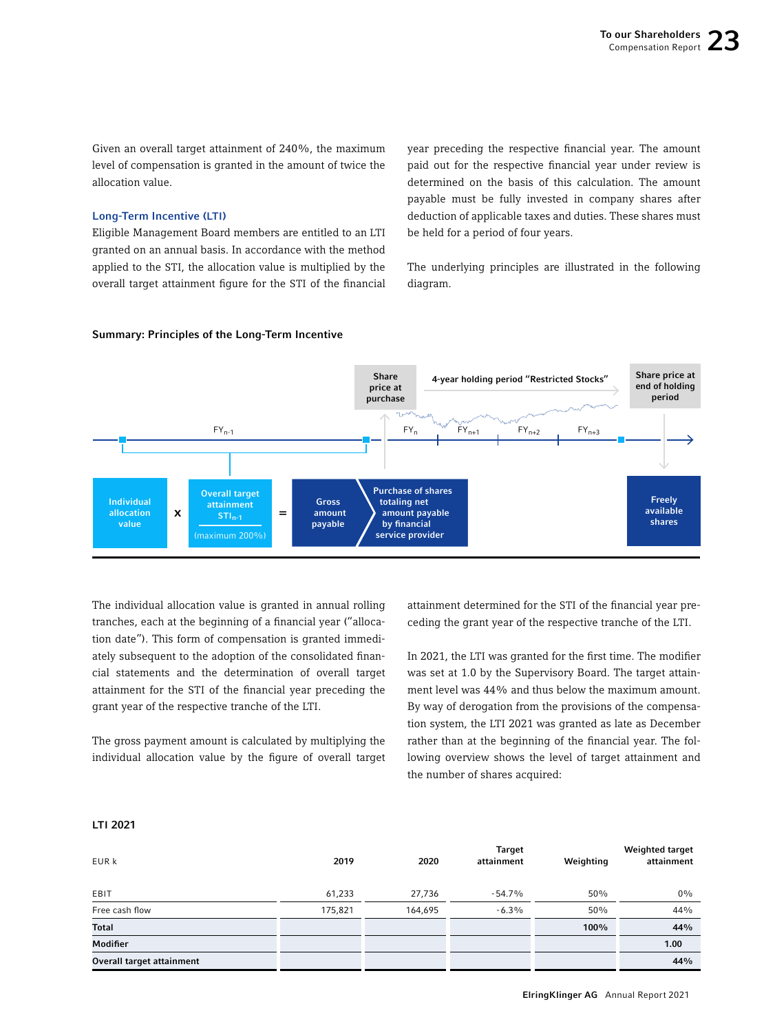Given an overall target attainment of 240%, the maximum level of compensation is granted in the amount of twice the allocation value.

### Long-Term Incentive (LTI)

Eligible Management Board members are entitled to an LTI granted on an annual basis. In accordance with the method applied to the STI, the allocation value is multiplied by the overall target attainment figure for the STI of the financial year preceding the respective financial year. The amount paid out for the respective financial year under review is determined on the basis of this calculation. The amount payable must be fully invested in company shares after deduction of applicable taxes and duties. These shares must be held for a period of four years.

The underlying principles are illustrated in the following diagram.



# Summary: Principles of the Long-Term Incentive

The individual allocation value is granted in annual rolling tranches, each at the beginning of a financial year ("allocation date"). This form of compensation is granted immediately subsequent to the adoption of the consolidated financial statements and the determination of overall target attainment for the STI of the financial year preceding the grant year of the respective tranche of the LTI.

The gross payment amount is calculated by multiplying the individual allocation value by the figure of overall target

attainment determined for the STI of the financial year preceding the grant year of the respective tranche of the LTI.

In 2021, the LTI was granted for the first time. The modifier was set at 1.0 by the Supervisory Board. The target attainment level was 44% and thus below the maximum amount. By way of derogation from the provisions of the compensation system, the LTI 2021 was granted as late as December rather than at the beginning of the financial year. The following overview shows the level of target attainment and the number of shares acquired:

#### LTI 2021

| EUR k                     | 2019    | 2020    | <b>Target</b><br>attainment | Weighting | <b>Weighted target</b><br>attainment |
|---------------------------|---------|---------|-----------------------------|-----------|--------------------------------------|
| EBIT                      | 61,233  | 27,736  | $-54.7%$                    | 50%       | $0\%$                                |
| Free cash flow            | 175,821 | 164,695 | $-6.3%$                     | 50%       | 44%                                  |
| <b>Total</b>              |         |         |                             | 100%      | 44%                                  |
| Modifier                  |         |         |                             |           | 1.00                                 |
| Overall target attainment |         |         |                             |           | 44%                                  |

Weighted target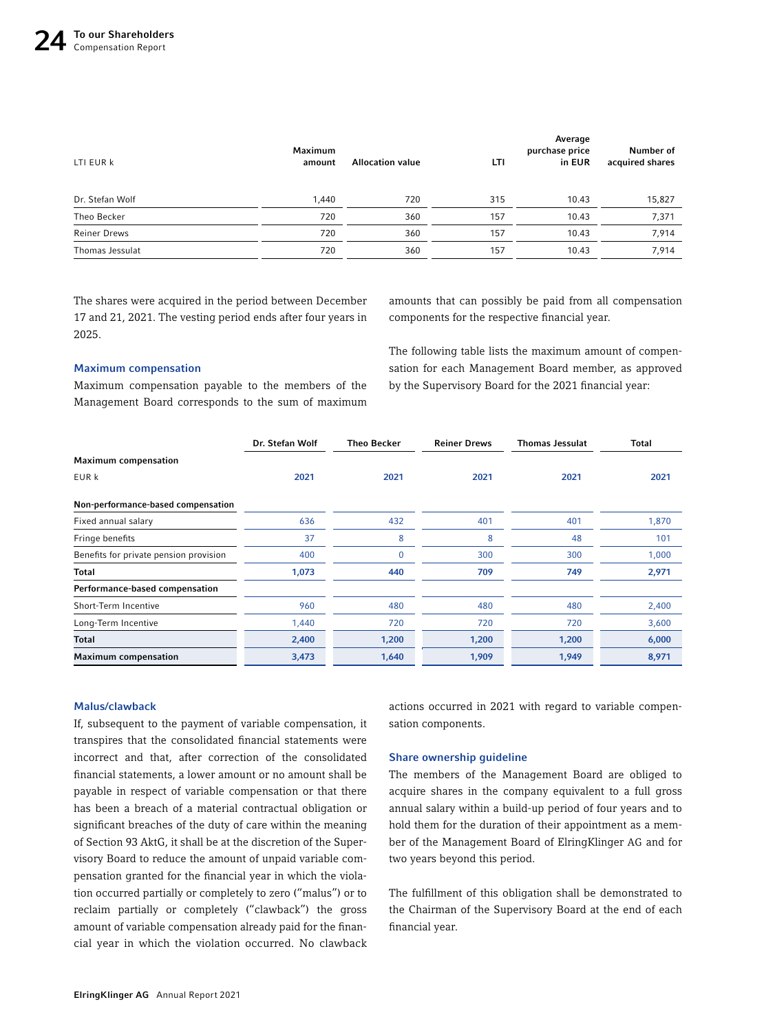| LTI EUR k           | <b>Maximum</b><br>amount | <b>Allocation value</b> | LTI | Average<br>purchase price<br>in EUR | Number of<br>acquired shares |  |
|---------------------|--------------------------|-------------------------|-----|-------------------------------------|------------------------------|--|
| Dr. Stefan Wolf     | 1.440                    | 720                     | 315 | 10.43                               | 15,827                       |  |
| Theo Becker         | 720                      | 360                     | 157 | 10.43                               | 7,371                        |  |
| <b>Reiner Drews</b> | 720                      | 360                     | 157 | 10.43                               | 7,914                        |  |
| Thomas Jessulat     | 720                      | 360                     | 157 | 10.43                               | 7,914                        |  |
|                     |                          |                         |     |                                     |                              |  |

The shares were acquired in the period between December 17 and 21, 2021. The vesting period ends after four years in 2025.

amounts that can possibly be paid from all compensation components for the respective financial year.

#### Maximum compensation

Maximum compensation payable to the members of the Management Board corresponds to the sum of maximum The following table lists the maximum amount of compensation for each Management Board member, as approved by the Supervisory Board for the 2021 financial year:

|                                        | Dr. Stefan Wolf | <b>Theo Becker</b><br><b>Reiner Drews</b><br><b>Thomas Jessulat</b> |       |       |       |
|----------------------------------------|-----------------|---------------------------------------------------------------------|-------|-------|-------|
| <b>Maximum compensation</b>            |                 |                                                                     |       |       |       |
| EUR k                                  | 2021            | 2021                                                                | 2021  | 2021  | 2021  |
| Non-performance-based compensation     |                 |                                                                     |       |       |       |
| Fixed annual salary                    | 636             | 432                                                                 | 401   | 401   | 1,870 |
| Fringe benefits                        | 37              | 8                                                                   | 8     | 48    | 101   |
| Benefits for private pension provision | 400             | $\mathbf{0}$                                                        | 300   | 300   | 1,000 |
| Total                                  | 1,073           | 440                                                                 | 709   | 749   | 2,971 |
| Performance-based compensation         |                 |                                                                     |       |       |       |
| Short-Term Incentive                   | 960             | 480                                                                 | 480   | 480   | 2,400 |
| Long-Term Incentive                    | 1,440           | 720                                                                 | 720   | 720   | 3,600 |
| Total                                  | 2,400           | 1,200                                                               | 1,200 | 1,200 | 6,000 |
| <b>Maximum compensation</b>            | 3,473           | 1,640                                                               | 1,909 | 1,949 | 8,971 |

#### Malus/clawback

If, subsequent to the payment of variable compensation, it transpires that the consolidated financial statements were incorrect and that, after correction of the consolidated financial statements, a lower amount or no amount shall be payable in respect of variable compensation or that there has been a breach of a material contractual obligation or significant breaches of the duty of care within the meaning of Section 93 AktG, it shall be at the discretion of the Supervisory Board to reduce the amount of unpaid variable compensation granted for the financial year in which the violation occurred partially or completely to zero ("malus") or to reclaim partially or completely ("clawback") the gross amount of variable compensation already paid for the financial year in which the violation occurred. No clawback

actions occurred in 2021 with regard to variable compensation components.

#### Share ownership guideline

The members of the Management Board are obliged to acquire shares in the company equivalent to a full gross annual salary within a build-up period of four years and to hold them for the duration of their appointment as a member of the Management Board of ElringKlinger AG and for two years beyond this period.

The fulfillment of this obligation shall be demonstrated to the Chairman of the Supervisory Board at the end of each financial year.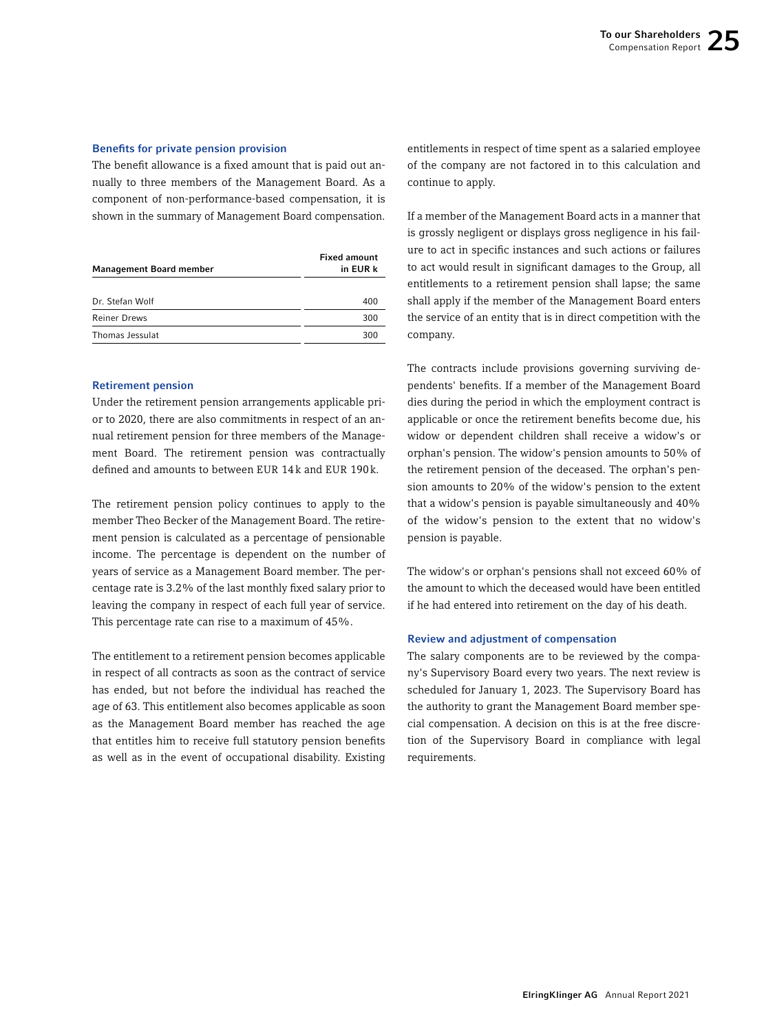#### Benefits for private pension provision

The benefit allowance is a fixed amount that is paid out annually to three members of the Management Board. As a component of non-performance-based compensation, it is shown in the summary of Management Board compensation.

| <b>Management Board member</b> | <b>Fixed amount</b><br>in EUR k |
|--------------------------------|---------------------------------|
|                                |                                 |
| Dr. Stefan Wolf                | 400                             |
| <b>Reiner Drews</b>            | 300                             |
| Thomas Jessulat                | 300                             |

#### Retirement pension

Under the retirement pension arrangements applicable prior to 2020, there are also commitments in respect of an annual retirement pension for three members of the Management Board. The retirement pension was contractually defined and amounts to between EUR 14k and EUR 190k.

The retirement pension policy continues to apply to the member Theo Becker of the Management Board. The retirement pension is calculated as a percentage of pensionable income. The percentage is dependent on the number of years of service as a Management Board member. The percentage rate is 3.2% of the last monthly fixed salary prior to leaving the company in respect of each full year of service. This percentage rate can rise to a maximum of 45%.

The entitlement to a retirement pension becomes applicable in respect of all contracts as soon as the contract of service has ended, but not before the individual has reached the age of 63. This entitlement also becomes applicable as soon as the Management Board member has reached the age that entitles him to receive full statutory pension benefits as well as in the event of occupational disability. Existing

entitlements in respect of time spent as a salaried employee of the company are not factored in to this calculation and continue to apply.

If a member of the Management Board acts in a manner that is grossly negligent or displays gross negligence in his failure to act in specific instances and such actions or failures to act would result in significant damages to the Group, all entitlements to a retirement pension shall lapse; the same shall apply if the member of the Management Board enters the service of an entity that is in direct competition with the company.

The contracts include provisions governing surviving dependents' benefits. If a member of the Management Board dies during the period in which the employment contract is applicable or once the retirement benefits become due, his widow or dependent children shall receive a widow's or orphan's pension. The widow's pension amounts to 50% of the retirement pension of the deceased. The orphan's pension amounts to 20% of the widow's pension to the extent that a widow's pension is payable simultaneously and 40% of the widow's pension to the extent that no widow's pension is payable.

The widow's or orphan's pensions shall not exceed 60% of the amount to which the deceased would have been entitled if he had entered into retirement on the day of his death.

#### Review and adjustment of compensation

The salary components are to be reviewed by the company's Supervisory Board every two years. The next review is scheduled for January 1, 2023. The Supervisory Board has the authority to grant the Management Board member special compensation. A decision on this is at the free discretion of the Supervisory Board in compliance with legal requirements.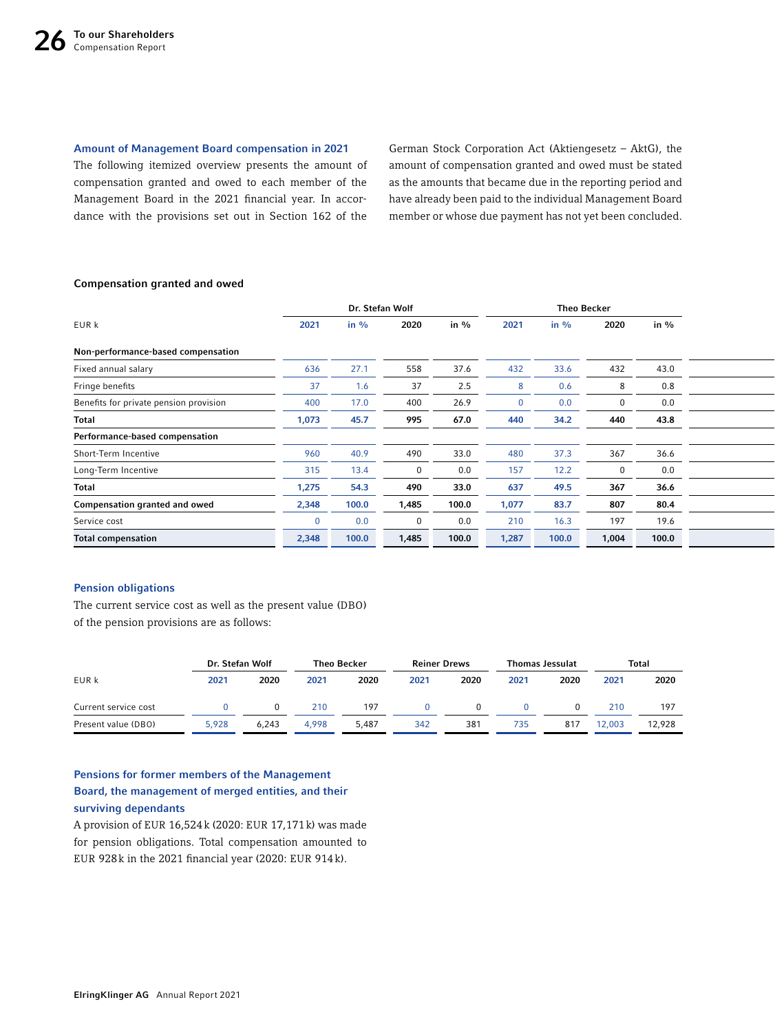### Amount of Management Board compensation in 2021

The following itemized overview presents the amount of compensation granted and owed to each member of the Management Board in the 2021 financial year. In accordance with the provisions set out in Section 162 of the German Stock Corporation Act (Aktiengesetz – AktG), the amount of compensation granted and owed must be stated as the amounts that became due in the reporting period and have already been paid to the individual Management Board member or whose due payment has not yet been concluded.

# Compensation granted and owed

| Dr. Stefan Wolf |        |       |       |       | <b>Theo Becker</b> |       |       |  |
|-----------------|--------|-------|-------|-------|--------------------|-------|-------|--|
| 2021            | in $%$ | 2020  | in %  | 2021  | in $%$             | 2020  | in %  |  |
|                 |        |       |       |       |                    |       |       |  |
| 636             | 27.1   | 558   | 37.6  | 432   | 33.6               | 432   | 43.0  |  |
| 37              | 1.6    | 37    | 2.5   |       | 0.6                |       | 0.8   |  |
| 400             | 17.0   | 400   | 26.9  |       | 0.0                |       | 0.0   |  |
| 1,073           | 45.7   | 995   | 67.0  | 440   | 34.2               | 440   | 43.8  |  |
|                 |        |       |       |       |                    |       |       |  |
| 960             | 40.9   | 490   | 33.0  | 480   | 37.3               | 367   | 36.6  |  |
| 315             | 13.4   |       | 0.0   | 157   | 12.2               |       | 0.0   |  |
| 1,275           | 54.3   | 490   | 33.0  | 637   | 49.5               | 367   | 36.6  |  |
| 2,348           | 100.0  | 1,485 | 100.0 | 1,077 | 83.7               | 807   | 80.4  |  |
|                 | 0.0    |       | 0.0   | 210   | 16.3               | 197   | 19.6  |  |
| 2,348           | 100.0  | 1,485 | 100.0 | 1,287 | 100.0              | 1,004 | 100.0 |  |
|                 |        |       |       |       |                    |       |       |  |

### Pension obligations

The current service cost as well as the present value (DBO) of the pension provisions are as follows:

| Dr. Stefan Wolf      |       | <b>Theo Becker</b> |       | <b>Reiner Drews</b> |      | <b>Thomas Jessulat</b> |      | Total |        |        |
|----------------------|-------|--------------------|-------|---------------------|------|------------------------|------|-------|--------|--------|
| EUR k                | 2021  | 2020               | 2021  | 2020                | 2021 | 2020                   | 2021 | 2020  | 2021   | 2020   |
| Current service cost |       | 0                  | 210   | 197                 |      |                        |      |       | 210    | 197    |
| Present value (DBO)  | 5,928 | 6.243              | 4.998 | 5.487               | 342  | 381                    | 735  | 817   | 12.003 | 12.928 |

# Pensions for former members of the Management Board, the management of merged entities, and their surviving dependants

A provision of EUR 16,524k (2020: EUR 17,171k) was made for pension obligations. Total compensation amounted to EUR 928k in the 2021 financial year (2020: EUR 914k).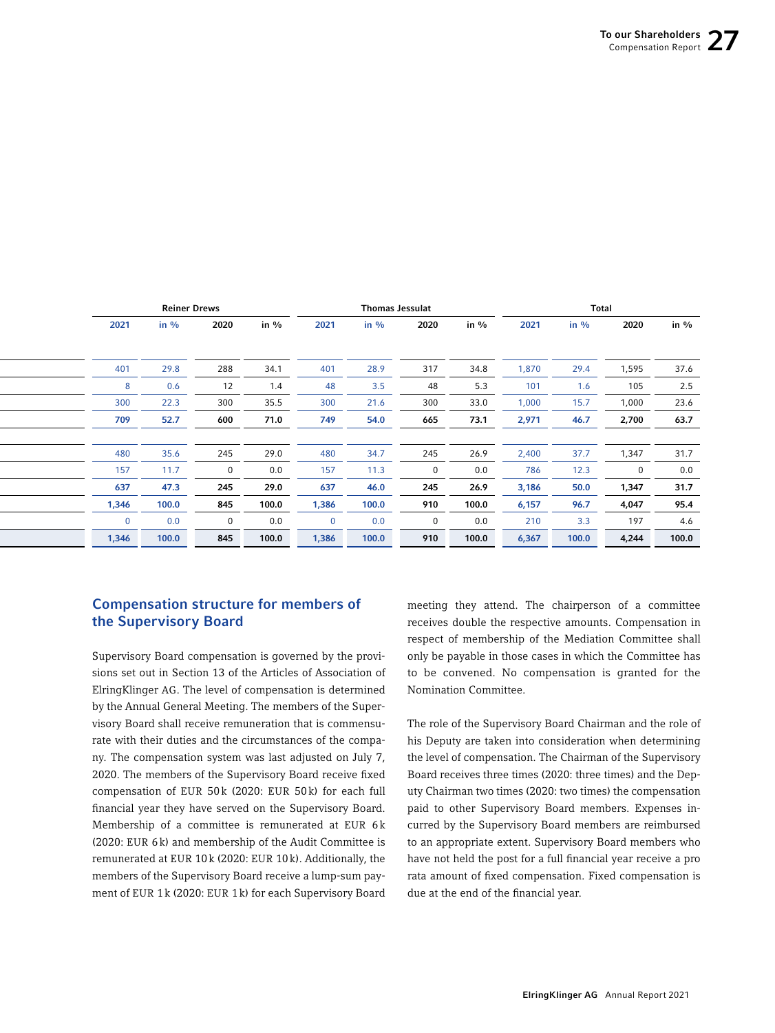|       |       | <b>Reiner Drews</b> |       |       |         | <b>Thomas Jessulat</b> |       |       |        | Total |       |
|-------|-------|---------------------|-------|-------|---------|------------------------|-------|-------|--------|-------|-------|
| 2021  | in %  | 2020                | in %  | 2021  | in $\%$ | 2020                   | in %  | 2021  | in $%$ | 2020  | in %  |
| 401   | 29.8  | 288                 | 34.1  | 401   | 28.9    | 317                    | 34.8  | 1,870 | 29.4   | 1,595 | 37.6  |
|       | 0.6   | 12                  | 14    |       |         | 48                     | 5.3   | 101   | 1.6    | 105   | 2.5   |
| 300   | 22.3  | 300                 | 35.5  | 300   | 21.6    | 300                    | 33.0  | 1,000 | 15.7   | 1,000 | 23.6  |
| 709   | 52.7  | 600                 | 71.0  | 749   | 54.0    | 665                    | 73.1  | 2,971 | 46.7   | 2,700 | 63.7  |
|       |       |                     |       |       |         |                        |       |       |        |       |       |
| 480   | 35.6  | 245                 | 29.0  | 480   | 34.7    | 245                    | 26.9  | 2,400 | 37.7   | 1,347 | 31.7  |
| 157   | 11.7  |                     | 0.0   | 157   | 11.3    |                        | 0.0   | 786   | 12.3   |       | 0.0   |
| 637   | 47.3  | 245                 | 29.0  | 637   | 46.0    | 245                    | 26.9  | 3,186 | 50.0   | 1,347 | 31.7  |
| 1,346 | 100.0 | 845                 | 100.0 | 1,386 | 100.0   | 910                    | 100.0 | 6,157 | 96.7   | 4,047 | 95.4  |
|       | 0.0   |                     | 0.0   |       | 0.0     |                        | 0.0   | 210   | 3.3    | 197   | 4.6   |
| 1,346 | 100.0 | 845                 | 100.0 | 1,386 | 100.0   | 910                    | 100.0 | 6,367 | 100.0  | 4,244 | 100.0 |

# Compensation structure for members of the Supervisory Board

Supervisory Board compensation is governed by the provisions set out in Section 13 of the Articles of Association of ElringKlinger AG. The level of compensation is determined by the Annual General Meeting. The members of the Supervisory Board shall receive remuneration that is commensurate with their duties and the circumstances of the company. The compensation system was last adjusted on July 7, 2020. The members of the Supervisory Board receive fixed compensation of EUR 50k (2020: EUR 50k) for each full financial year they have served on the Supervisory Board. Membership of a committee is remunerated at EUR 6k (2020: EUR 6k) and membership of the Audit Committee is remunerated at EUR 10k (2020: EUR 10k). Additionally, the members of the Supervisory Board receive a lump-sum payment of EUR 1k (2020: EUR 1k) for each Supervisory Board

meeting they attend. The chairperson of a committee receives double the respective amounts. Compensation in respect of membership of the Mediation Committee shall only be payable in those cases in which the Committee has to be convened. No compensation is granted for the Nomination Committee.

The role of the Supervisory Board Chairman and the role of his Deputy are taken into consideration when determining the level of compensation. The Chairman of the Supervisory Board receives three times (2020: three times) and the Deputy Chairman two times (2020: two times) the compensation paid to other Supervisory Board members. Expenses incurred by the Supervisory Board members are reimbursed to an appropriate extent. Supervisory Board members who have not held the post for a full financial year receive a pro rata amount of fixed compensation. Fixed compensation is due at the end of the financial year.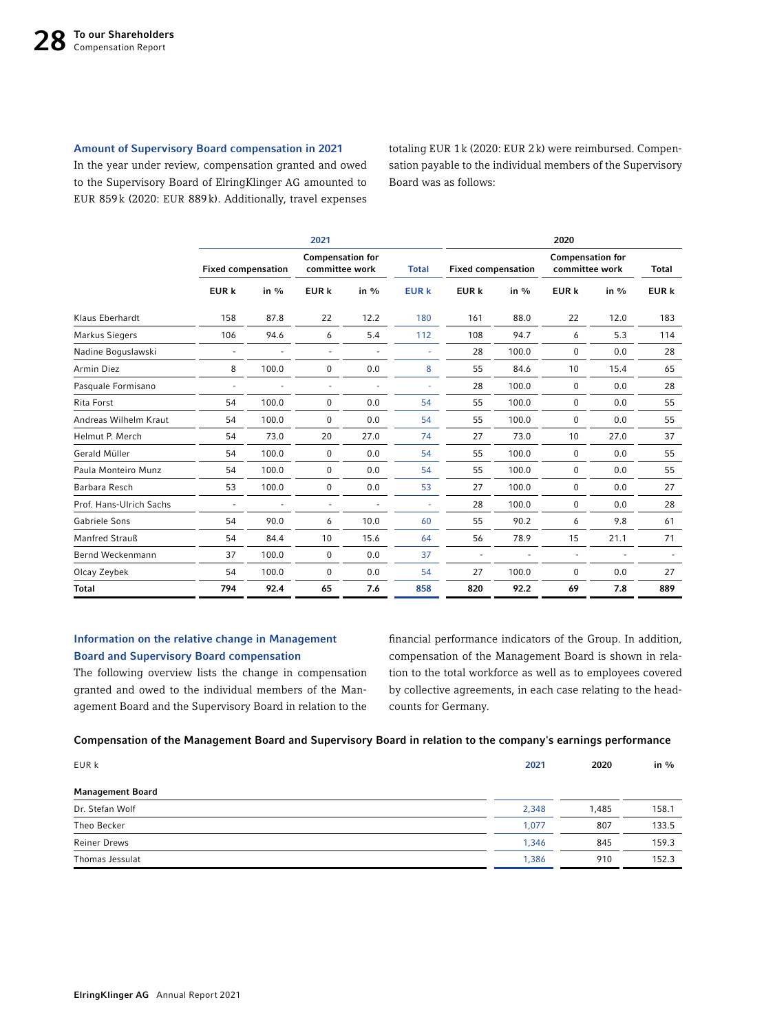### Amount of Supervisory Board compensation in 2021

In the year under review, compensation granted and owed to the Supervisory Board of ElringKlinger AG amounted to EUR 859k (2020: EUR 889k). Additionally, travel expenses totaling EUR 1k (2020: EUR 2k) were reimbursed. Compensation payable to the individual members of the Supervisory Board was as follows:

|                         | 2021                      |        |                                           |                          | 2020         |                           |        |                                           |        |              |
|-------------------------|---------------------------|--------|-------------------------------------------|--------------------------|--------------|---------------------------|--------|-------------------------------------------|--------|--------------|
|                         | <b>Fixed compensation</b> |        | <b>Compensation for</b><br>committee work |                          | <b>Total</b> | <b>Fixed compensation</b> |        | <b>Compensation for</b><br>committee work |        | Total        |
|                         | <b>EUR k</b>              | in $%$ | <b>EUR</b> k                              | in $%$                   | <b>EUR k</b> | <b>EUR k</b>              | in $%$ | <b>EUR k</b>                              | in $%$ | <b>EUR k</b> |
| Klaus Eberhardt         | 158                       | 87.8   | 22                                        | 12.2                     | 180          | 161                       | 88.0   | 22                                        | 12.0   | 183          |
| <b>Markus Siegers</b>   | 106                       | 94.6   | 6                                         | 5.4                      | 112          | 108                       | 94.7   | 6                                         | 5.3    | 114          |
| Nadine Boguslawski      |                           |        |                                           | $\overline{a}$           |              | 28                        | 100.0  | $\mathbf{0}$                              | 0.0    | 28           |
| Armin Diez              | 8                         | 100.0  | 0                                         | 0.0                      | 8            | 55                        | 84.6   | 10                                        | 15.4   | 65           |
| Pasquale Formisano      |                           |        | ٠                                         | $\overline{\phantom{a}}$ |              | 28                        | 100.0  | $\mathbf{0}$                              | 0.0    | 28           |
| Rita Forst              | 54                        | 100.0  | 0                                         | 0.0                      | 54           | 55                        | 100.0  | $\mathbf{0}$                              | 0.0    | 55           |
| Andreas Wilhelm Kraut   | 54                        | 100.0  | 0                                         | 0.0                      | 54           | 55                        | 100.0  | $\mathbf{0}$                              | 0.0    | 55           |
| Helmut P. Merch         | 54                        | 73.0   | 20                                        | 27.0                     | 74           | 27                        | 73.0   | 10 <sup>1</sup>                           | 27.0   | 37           |
| Gerald Müller           | 54                        | 100.0  | 0                                         | 0.0                      | 54           | 55                        | 100.0  | $\mathbf{0}$                              | 0.0    | 55           |
| Paula Monteiro Munz     | 54                        | 100.0  | $\Omega$                                  | 0.0                      | 54           | 55                        | 100.0  | $\mathbf 0$                               | 0.0    | 55           |
| Barbara Resch           | 53                        | 100.0  | $\mathbf 0$                               | 0.0                      | 53           | 27                        | 100.0  | $\Omega$                                  | 0.0    | 27           |
| Prof. Hans-Ulrich Sachs |                           |        | ٠                                         | $\overline{\phantom{a}}$ |              | 28                        | 100.0  | $\mathbf 0$                               | 0.0    | 28           |
| Gabriele Sons           | 54                        | 90.0   | 6                                         | 10.0                     | 60           | 55                        | 90.2   | 6                                         | 9.8    | 61           |
| Manfred Strauß          | 54                        | 84.4   | 10                                        | 15.6                     | 64           | 56                        | 78.9   | 15                                        | 21.1   | 71           |
| Bernd Weckenmann        | 37                        | 100.0  | $\mathbf 0$                               | 0.0                      | 37           | $\overline{a}$            |        | $\overline{a}$                            |        |              |
| Olcay Zeybek            | 54                        | 100.0  | $\mathbf 0$                               | 0.0                      | 54           | 27                        | 100.0  | 0                                         | 0.0    | 27           |
| <b>Total</b>            | 794                       | 92.4   | 65                                        | 7.6                      | 858          | 820                       | 92.2   | 69                                        | 7.8    | 889          |

# Information on the relative change in Management Board and Supervisory Board compensation

The following overview lists the change in compensation granted and owed to the individual members of the Management Board and the Supervisory Board in relation to the

financial performance indicators of the Group. In addition, compensation of the Management Board is shown in relation to the total workforce as well as to employees covered by collective agreements, in each case relating to the headcounts for Germany.

### Compensation of the Management Board and Supervisory Board in relation to the company's earnings performance

| EUR k                   | 2021  | 2020  | in $%$ |
|-------------------------|-------|-------|--------|
| <b>Management Board</b> |       |       |        |
| Dr. Stefan Wolf         | 2,348 | 1,485 | 158.1  |
| Theo Becker             | 1.077 | 807   | 133.5  |
| <b>Reiner Drews</b>     | 1.346 | 845   | 159.3  |
| Thomas Jessulat         | 1.386 | 910   | 152.3  |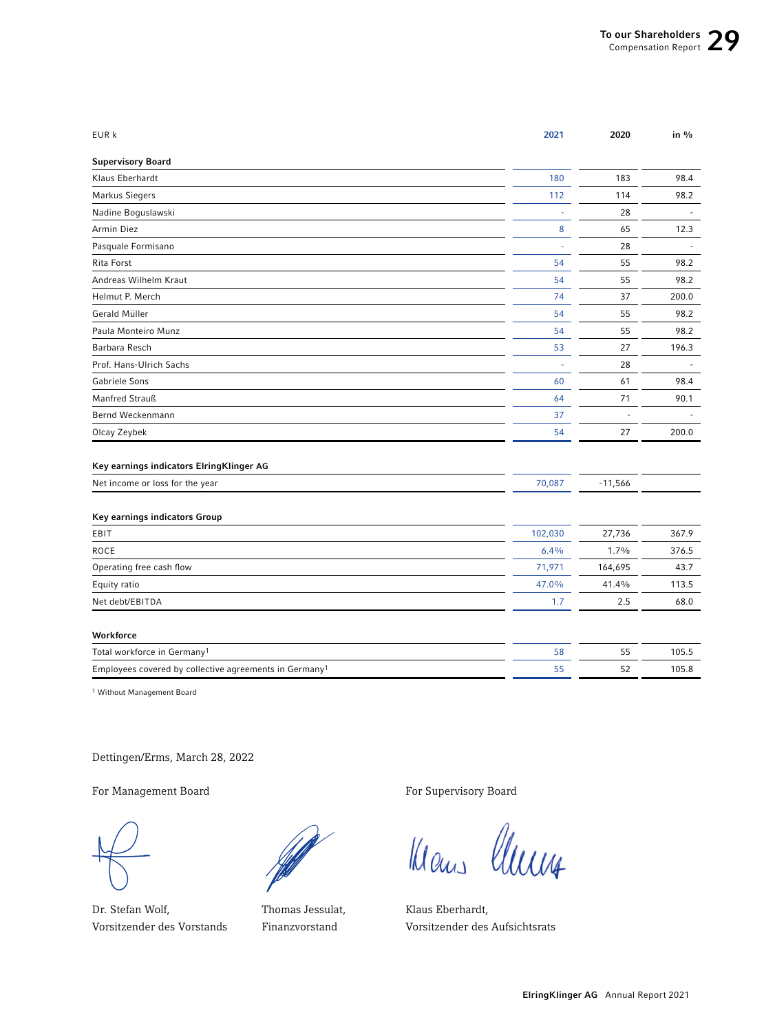| EUR k                                                              | 2021    | 2020      | in %  |
|--------------------------------------------------------------------|---------|-----------|-------|
| <b>Supervisory Board</b>                                           |         |           |       |
| Klaus Eberhardt                                                    | 180     | 183       | 98.4  |
| <b>Markus Siegers</b>                                              | 112     | 114       | 98.2  |
| Nadine Boguslawski                                                 |         | 28        |       |
| Armin Diez                                                         | 8       | 65        | 12.3  |
| Pasquale Formisano                                                 |         | 28        |       |
| Rita Forst                                                         | 54      | 55        | 98.2  |
| Andreas Wilhelm Kraut                                              | 54      | 55        | 98.2  |
| Helmut P. Merch                                                    | 74      | 37        | 200.0 |
| Gerald Müller                                                      | 54      | 55        | 98.2  |
| Paula Monteiro Munz                                                | 54      | 55        | 98.2  |
| Barbara Resch                                                      | 53      | 27        | 196.3 |
| Prof. Hans-Ulrich Sachs                                            |         | 28        |       |
| Gabriele Sons                                                      | 60      | 61        | 98.4  |
| Manfred Strauß                                                     | 64      | 71        | 90.1  |
| Bernd Weckenmann                                                   | 37      |           |       |
| Olcay Zeybek                                                       | 54      | 27        | 200.0 |
| Key earnings indicators ElringKlinger AG                           |         |           |       |
| Net income or loss for the year                                    | 70,087  | $-11,566$ |       |
| Key earnings indicators Group                                      |         |           |       |
| EBIT                                                               | 102,030 | 27,736    | 367.9 |
| ROCE                                                               | 6.4%    | 1.7%      | 376.5 |
| Operating free cash flow                                           | 71,971  | 164,695   | 43.7  |
| Equity ratio                                                       | 47.0%   | 41.4%     | 113.5 |
| Net debt/EBITDA                                                    | 1.7     | 2.5       | 68.0  |
| Workforce                                                          |         |           |       |
| Total workforce in Germany <sup>1</sup>                            | 58      | 55        | 105.5 |
| Employees covered by collective agreements in Germany <sup>1</sup> | 55      | 52        | 105.8 |
|                                                                    |         |           |       |

1 Without Management Board

Dettingen/Erms, March 28, 2022

For Management Board **For Supervisory Board** For Supervisory Board



Dr. Stefan Wolf, Vorsitzender des Vorstands



Thomas Jessulat, Finanzvorstand

Klaus Clum

Klaus Eberhardt, Vorsitzender des Aufsichtsrats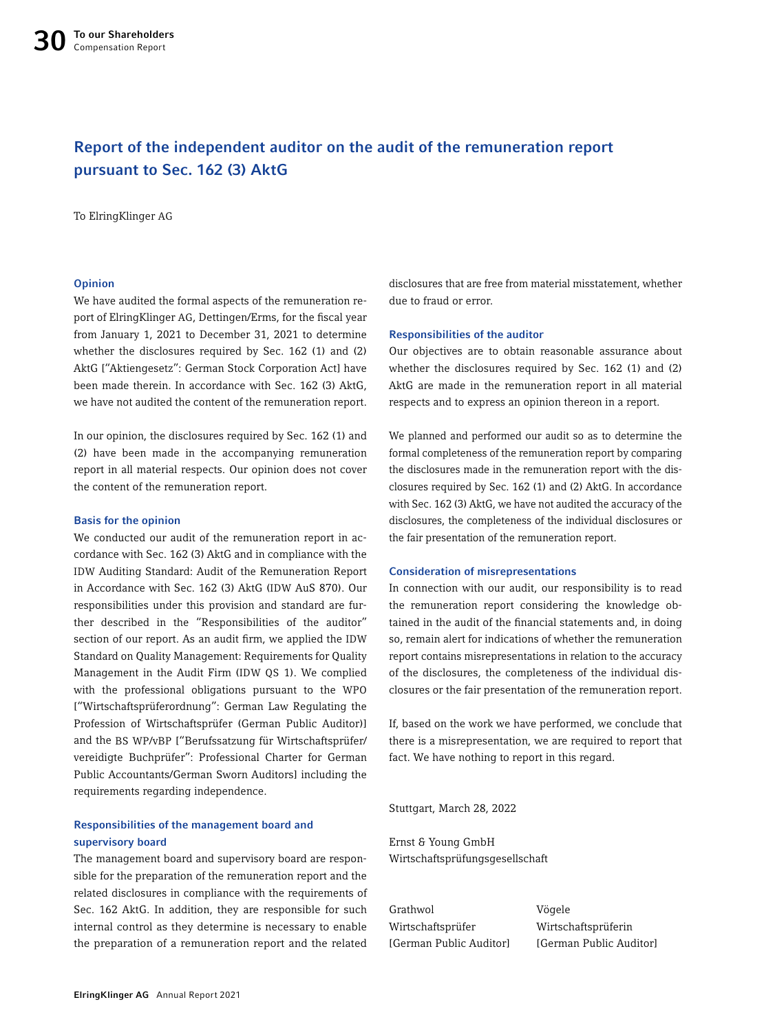# Report of the independent auditor on the audit of the remuneration report pursuant to Sec. 162 (3) AktG

To ElringKlinger AG

### **Opinion**

We have audited the formal aspects of the remuneration report of ElringKlinger AG, Dettingen/Erms, for the fiscal year from January 1, 2021 to December 31, 2021 to determine whether the disclosures required by Sec. 162 (1) and (2) AktG ["Aktiengesetz": German Stock Corporation Act] have been made therein. In accordance with Sec. 162 (3) AktG, we have not audited the content of the remuneration report.

In our opinion, the disclosures required by Sec. 162 (1) and (2) have been made in the accompanying remuneration report in all material respects. Our opinion does not cover the content of the remuneration report.

#### Basis for the opinion

We conducted our audit of the remuneration report in accordance with Sec. 162 (3) AktG and in compliance with the IDW Auditing Standard: Audit of the Remuneration Report in Accordance with Sec. 162 (3) AktG (IDW AuS 870). Our responsibilities under this provision and standard are further described in the "Responsibilities of the auditor" section of our report. As an audit firm, we applied the IDW Standard on Quality Management: Requirements for Quality Management in the Audit Firm (IDW QS 1). We complied with the professional obligations pursuant to the WPO ["Wirtschaftsprüferordnung": German Law Regulating the Profession of Wirtschaftsprüfer (German Public Auditor)] and the BS WP/vBP ["Berufssatzung für Wirtschaftsprüfer/ vereidigte Buchprüfer": Professional Charter for German Public Accountants/German Sworn Auditors] including the requirements regarding independence.

# Responsibilities of the management board and supervisory board

The management board and supervisory board are responsible for the preparation of the remuneration report and the related disclosures in compliance with the requirements of Sec. 162 AktG. In addition, they are responsible for such internal control as they determine is necessary to enable the preparation of a remuneration report and the related

disclosures that are free from material misstatement, whether due to fraud or error.

#### Responsibilities of the auditor

Our objectives are to obtain reasonable assurance about whether the disclosures required by Sec. 162 (1) and (2) AktG are made in the remuneration report in all material respects and to express an opinion thereon in a report.

We planned and performed our audit so as to determine the formal completeness of the remuneration report by comparing the disclosures made in the remuneration report with the disclosures required by Sec. 162 (1) and (2) AktG. In accordance with Sec. 162 (3) AktG, we have not audited the accuracy of the disclosures, the completeness of the individual disclosures or the fair presentation of the remuneration report.

#### Consideration of misrepresentations

In connection with our audit, our responsibility is to read the remuneration report considering the knowledge obtained in the audit of the financial statements and, in doing so, remain alert for indications of whether the remuneration report contains misrepresentations in relation to the accuracy of the disclosures, the completeness of the individual disclosures or the fair presentation of the remuneration report.

If, based on the work we have performed, we conclude that there is a misrepresentation, we are required to report that fact. We have nothing to report in this regard.

Stuttgart, March 28, 2022

Ernst & Young GmbH Wirtschaftsprüfungsgesellschaft

Grathwol Vögele Wirtschaftsprüfer Wirtschaftsprüferin

[German Public Auditor] [German Public Auditor]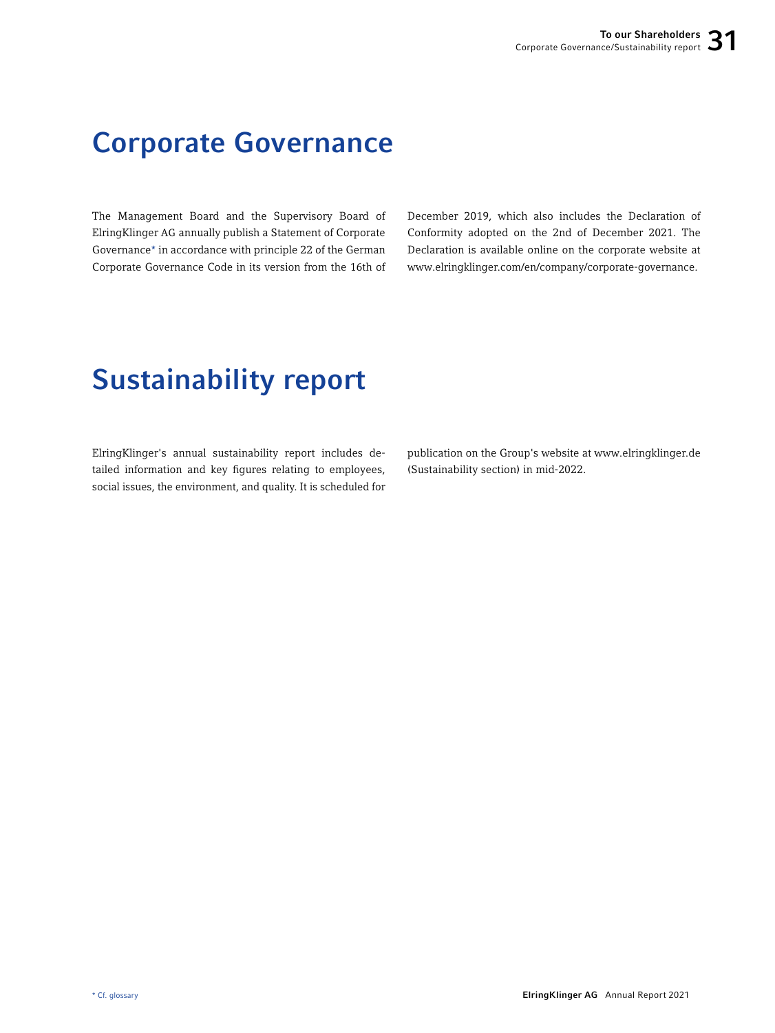# Corporate Governance

The Management Board and the Supervisory Board of ElringKlinger AG annually publish a Statement of Corporate Governance\* in accordance with principle 22 of the German Corporate Governance Code in its version from the 16th of December 2019, which also includes the Declaration of Conformity adopted on the 2nd of December 2021. The Declaration is available online on the corporate website at www.elringklinger.com/en/company/corporate-governance.

# Sustainability report

ElringKlinger's annual sustainability report includes detailed information and key figures relating to employees, social issues, the environment, and quality. It is scheduled for publication on the Group's website at www.elringklinger.de (Sustainability section) in mid-2022.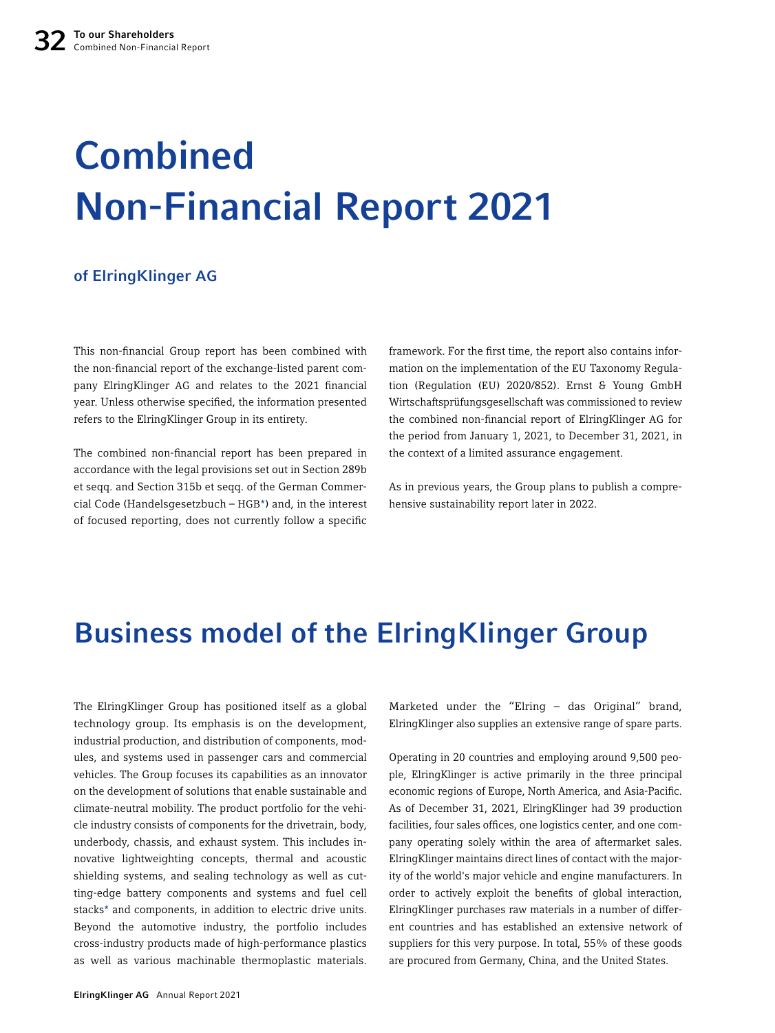# Combined Non-Financial Report 2021

# of ElringKlinger AG

This non-financial Group report has been combined with the non-financial report of the exchange-listed parent company ElringKlinger AG and relates to the 2021 financial year. Unless otherwise specified, the information presented refers to the ElringKlinger Group in its entirety.

The combined non-financial report has been prepared in accordance with the legal provisions set out in Section 289b et seqq. and Section 315b et seqq. of the German Commercial Code (Handelsgesetzbuch – HGB\*) and, in the interest of focused reporting, does not currently follow a specific

framework. For the first time, the report also contains information on the implementation of the EU Taxonomy Regulation (Regulation (EU) 2020/852). Ernst & Young GmbH Wirtschaftsprüfungsgesellschaft was commissioned to review the combined non-financial report of ElringKlinger AG for the period from January 1, 2021, to December 31, 2021, in the context of a limited assurance engagement.

As in previous years, the Group plans to publish a comprehensive sustainability report later in 2022.

# Business model of the ElringKlinger Group

The ElringKlinger Group has positioned itself as a global technology group. Its emphasis is on the development, industrial production, and distribution of components, modules, and systems used in passenger cars and commercial vehicles. The Group focuses its capabilities as an innovator on the development of solutions that enable sustainable and climate-neutral mobility. The product portfolio for the vehicle industry consists of components for the drivetrain, body, underbody, chassis, and exhaust system. This includes innovative lightweighting concepts, thermal and acoustic shielding systems, and sealing technology as well as cutting-edge battery components and systems and fuel cell stacks\* and components, in addition to electric drive units. Beyond the automotive industry, the portfolio includes cross-industry products made of high-performance plastics as well as various machinable thermoplastic materials.

ElringKlinger also supplies an extensive range of spare parts.

Operating in 20 countries and employing around 9,500 people, ElringKlinger is active primarily in the three principal economic regions of Europe, North America, and Asia-Pacific. As of December 31, 2021, ElringKlinger had 39 production facilities, four sales offices, one logistics center, and one company operating solely within the area of aftermarket sales. ElringKlinger maintains direct lines of contact with the majority of the world's major vehicle and engine manufacturers. In order to actively exploit the benefits of global interaction, ElringKlinger purchases raw materials in a number of different countries and has established an extensive network of suppliers for this very purpose. In total, 55% of these goods are procured from Germany, China, and the United States.

Marketed under the "Elring – das Original" brand,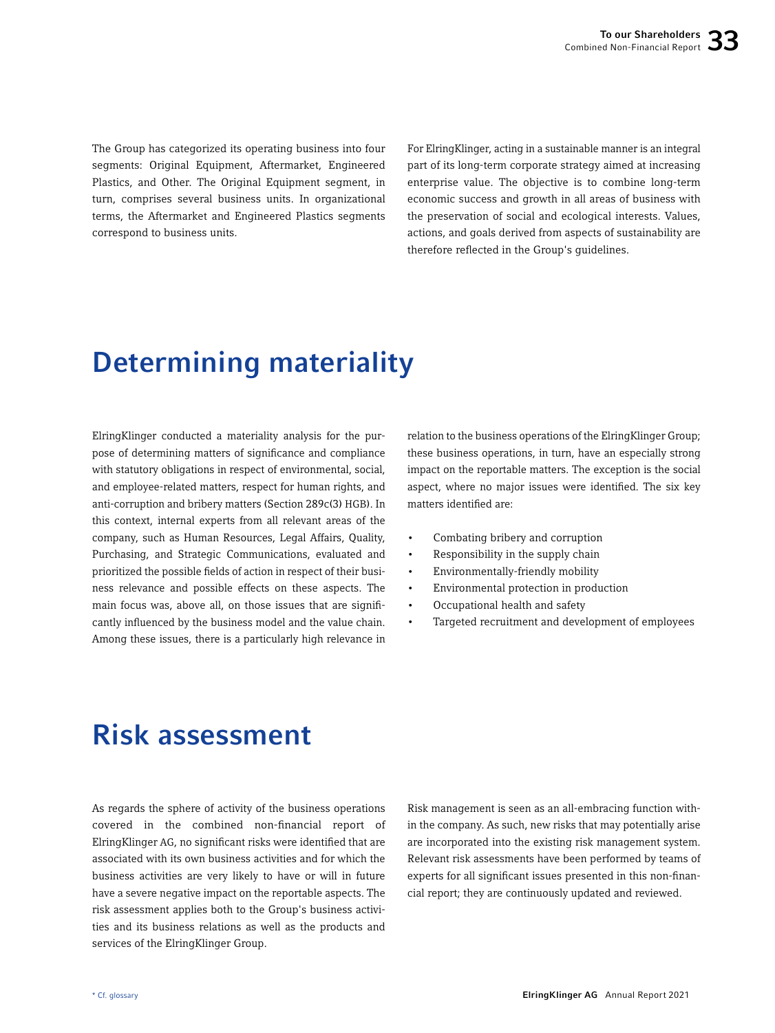The Group has categorized its operating business into four segments: Original Equipment, Aftermarket, Engineered Plastics, and Other. The Original Equipment segment, in turn, comprises several business units. In organizational terms, the Aftermarket and Engineered Plastics segments correspond to business units.

For ElringKlinger, acting in a sustainable manner is an integral part of its long-term corporate strategy aimed at increasing enterprise value. The objective is to combine long-term economic success and growth in all areas of business with the preservation of social and ecological interests. Values, actions, and goals derived from aspects of sustainability are therefore reflected in the Group's guidelines.

# Determining materiality

ElringKlinger conducted a materiality analysis for the purpose of determining matters of significance and compliance with statutory obligations in respect of environmental, social, and employee-related matters, respect for human rights, and anti-corruption and bribery matters (Section 289c(3) HGB). In this context, internal experts from all relevant areas of the company, such as Human Resources, Legal Affairs, Quality, Purchasing, and Strategic Communications, evaluated and prioritized the possible fields of action in respect of their business relevance and possible effects on these aspects. The main focus was, above all, on those issues that are significantly influenced by the business model and the value chain. Among these issues, there is a particularly high relevance in relation to the business operations of the ElringKlinger Group; these business operations, in turn, have an especially strong impact on the reportable matters. The exception is the social aspect, where no major issues were identified. The six key matters identified are:

- Combating bribery and corruption
- Responsibility in the supply chain
- Environmentally-friendly mobility
- Environmental protection in production
- Occupational health and safety
- Targeted recruitment and development of employees

# Risk assessment

As regards the sphere of activity of the business operations covered in the combined non-financial report of ElringKlinger AG, no significant risks were identified that are associated with its own business activities and for which the business activities are very likely to have or will in future have a severe negative impact on the reportable aspects. The risk assessment applies both to the Group's business activities and its business relations as well as the products and services of the ElringKlinger Group.

Risk management is seen as an all-embracing function within the company. As such, new risks that may potentially arise are incorporated into the existing risk management system. Relevant risk assessments have been performed by teams of experts for all significant issues presented in this non-financial report; they are continuously updated and reviewed.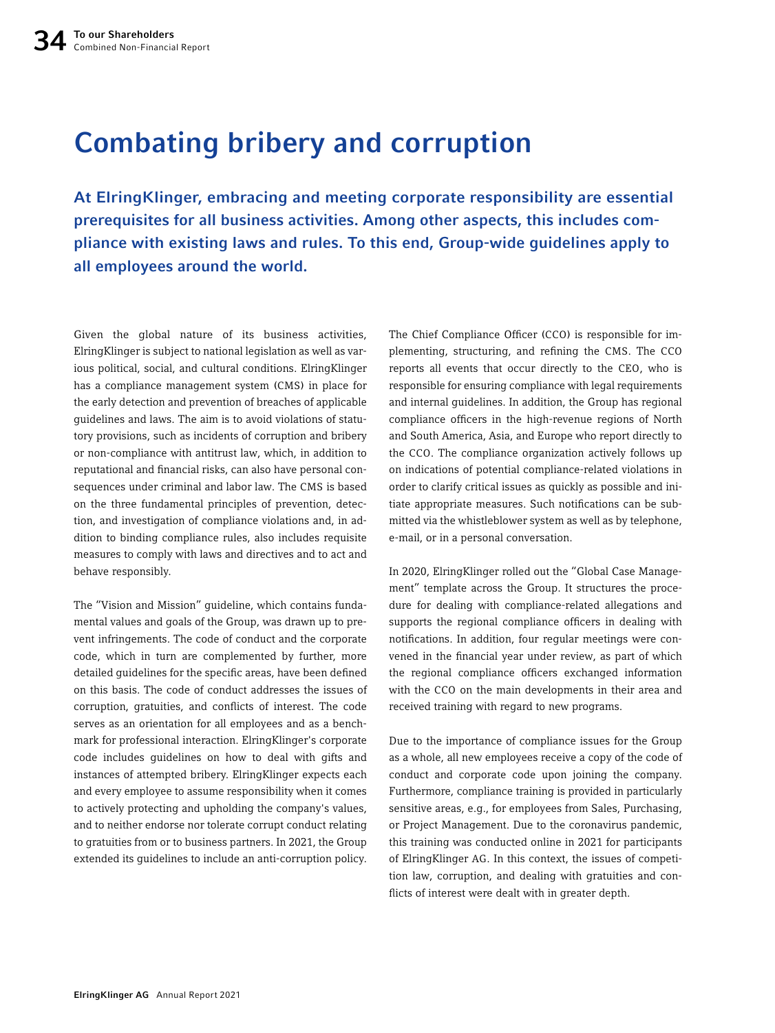# Combating bribery and corruption

At ElringKlinger, embracing and meeting corporate responsibility are essential prerequisites for all business activities. Among other aspects, this includes compliance with existing laws and rules. To this end, Group-wide guidelines apply to all employees around the world.

Given the global nature of its business activities, ElringKlinger is subject to national legislation as well as various political, social, and cultural conditions. ElringKlinger has a compliance management system (CMS) in place for the early detection and prevention of breaches of applicable guidelines and laws. The aim is to avoid violations of statutory provisions, such as incidents of corruption and bribery or non-compliance with antitrust law, which, in addition to reputational and financial risks, can also have personal consequences under criminal and labor law. The CMS is based on the three fundamental principles of prevention, detection, and investigation of compliance violations and, in addition to binding compliance rules, also includes requisite measures to comply with laws and directives and to act and behave responsibly.

The "Vision and Mission" guideline, which contains fundamental values and goals of the Group, was drawn up to prevent infringements. The code of conduct and the corporate code, which in turn are complemented by further, more detailed guidelines for the specific areas, have been defined on this basis. The code of conduct addresses the issues of corruption, gratuities, and conflicts of interest. The code serves as an orientation for all employees and as a benchmark for professional interaction. ElringKlinger's corporate code includes guidelines on how to deal with gifts and instances of attempted bribery. ElringKlinger expects each and every employee to assume responsibility when it comes to actively protecting and upholding the company's values, and to neither endorse nor tolerate corrupt conduct relating to gratuities from or to business partners. In 2021, the Group extended its guidelines to include an anti-corruption policy.

The Chief Compliance Officer (CCO) is responsible for implementing, structuring, and refining the CMS. The CCO reports all events that occur directly to the CEO, who is responsible for ensuring compliance with legal requirements and internal guidelines. In addition, the Group has regional compliance officers in the high-revenue regions of North and South America, Asia, and Europe who report directly to the CCO. The compliance organization actively follows up on indications of potential compliance-related violations in order to clarify critical issues as quickly as possible and initiate appropriate measures. Such notifications can be submitted via the whistleblower system as well as by telephone, e-mail, or in a personal conversation.

In 2020, ElringKlinger rolled out the "Global Case Management" template across the Group. It structures the procedure for dealing with compliance-related allegations and supports the regional compliance officers in dealing with notifications. In addition, four regular meetings were convened in the financial year under review, as part of which the regional compliance officers exchanged information with the CCO on the main developments in their area and received training with regard to new programs.

Due to the importance of compliance issues for the Group as a whole, all new employees receive a copy of the code of conduct and corporate code upon joining the company. Furthermore, compliance training is provided in particularly sensitive areas, e.g., for employees from Sales, Purchasing, or Project Management. Due to the coronavirus pandemic, this training was conducted online in 2021 for participants of ElringKlinger AG. In this context, the issues of competition law, corruption, and dealing with gratuities and conflicts of interest were dealt with in greater depth.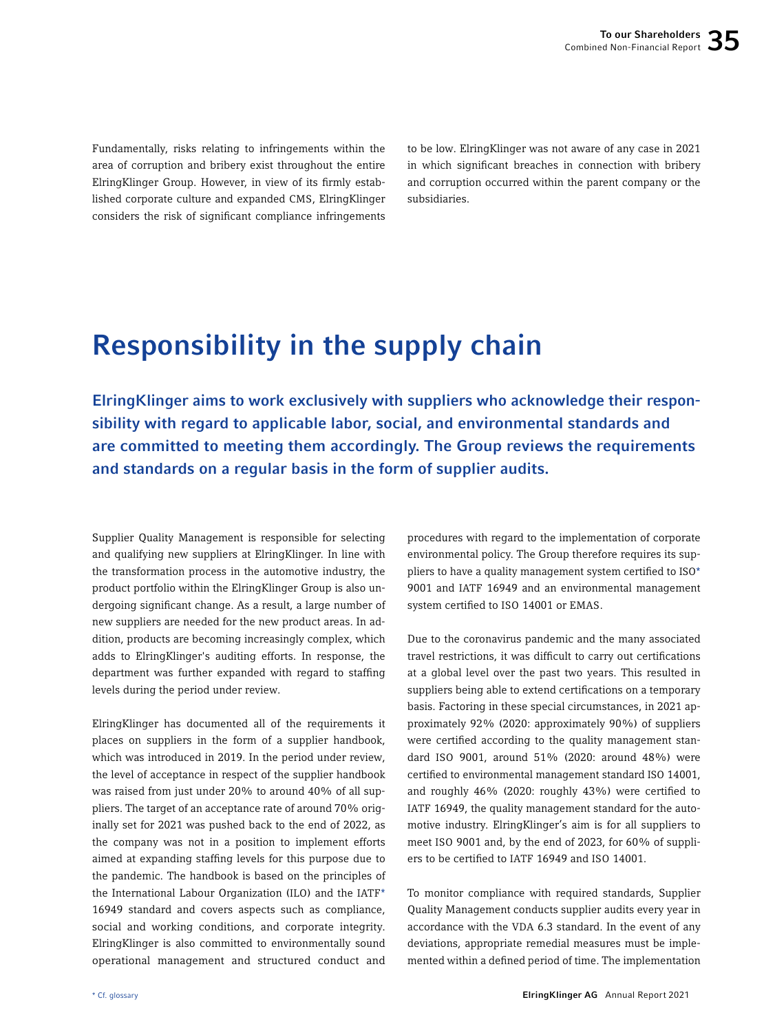Fundamentally, risks relating to infringements within the area of corruption and bribery exist throughout the entire ElringKlinger Group. However, in view of its firmly established corporate culture and expanded CMS, ElringKlinger considers the risk of significant compliance infringements to be low. ElringKlinger was not aware of any case in 2021 in which significant breaches in connection with bribery and corruption occurred within the parent company or the subsidiaries.

# Responsibility in the supply chain

ElringKlinger aims to work exclusively with suppliers who acknowledge their responsibility with regard to applicable labor, social, and environmental standards and are committed to meeting them accordingly. The Group reviews the requirements and standards on a regular basis in the form of supplier audits.

Supplier Quality Management is responsible for selecting and qualifying new suppliers at ElringKlinger. In line with the transformation process in the automotive industry, the product portfolio within the ElringKlinger Group is also undergoing significant change. As a result, a large number of new suppliers are needed for the new product areas. In addition, products are becoming increasingly complex, which adds to ElringKlinger's auditing efforts. In response, the department was further expanded with regard to staffing levels during the period under review.

ElringKlinger has documented all of the requirements it places on suppliers in the form of a supplier handbook, which was introduced in 2019. In the period under review, the level of acceptance in respect of the supplier handbook was raised from just under 20% to around 40% of all suppliers. The target of an acceptance rate of around 70% originally set for 2021 was pushed back to the end of 2022, as the company was not in a position to implement efforts aimed at expanding staffing levels for this purpose due to the pandemic. The handbook is based on the principles of the International Labour Organization (ILO) and the IATF\* 16949 standard and covers aspects such as compliance, social and working conditions, and corporate integrity. ElringKlinger is also committed to environmentally sound operational management and structured conduct and procedures with regard to the implementation of corporate environmental policy. The Group therefore requires its suppliers to have a quality management system certified to ISO\* 9001 and IATF 16949 and an environmental management system certified to ISO 14001 or EMAS.

Due to the coronavirus pandemic and the many associated travel restrictions, it was difficult to carry out certifications at a global level over the past two years. This resulted in suppliers being able to extend certifications on a temporary basis. Factoring in these special circumstances, in 2021 approximately 92% (2020: approximately 90%) of suppliers were certified according to the quality management standard ISO 9001, around 51% (2020: around 48%) were certified to environmental management standard ISO 14001, and roughly 46% (2020: roughly 43%) were certified to IATF 16949, the quality management standard for the automotive industry. ElringKlinger's aim is for all suppliers to meet ISO 9001 and, by the end of 2023, for 60% of suppliers to be certified to IATF 16949 and ISO 14001.

To monitor compliance with required standards, Supplier Quality Management conducts supplier audits every year in accordance with the VDA 6.3 standard. In the event of any deviations, appropriate remedial measures must be implemented within a defined period of time. The implementation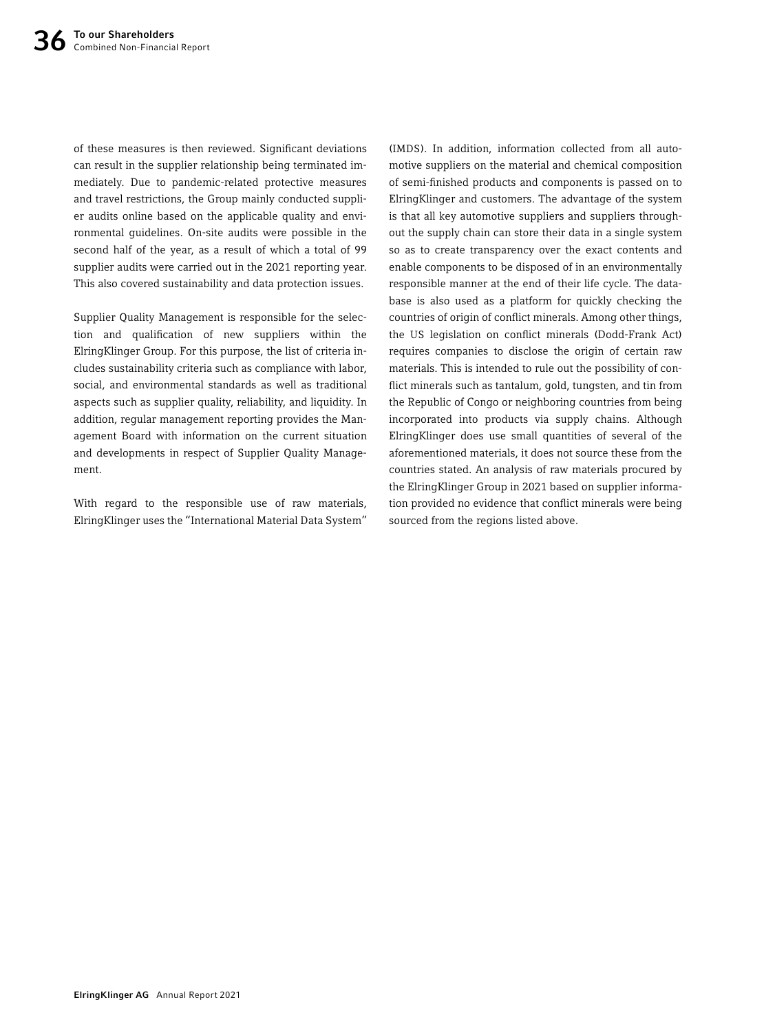of these measures is then reviewed. Significant deviations can result in the supplier relationship being terminated immediately. Due to pandemic-related protective measures and travel restrictions, the Group mainly conducted supplier audits online based on the applicable quality and environmental guidelines. On-site audits were possible in the second half of the year, as a result of which a total of 99 supplier audits were carried out in the 2021 reporting year. This also covered sustainability and data protection issues.

Supplier Quality Management is responsible for the selection and qualification of new suppliers within the ElringKlinger Group. For this purpose, the list of criteria includes sustainability criteria such as compliance with labor, social, and environmental standards as well as traditional aspects such as supplier quality, reliability, and liquidity. In addition, regular management reporting provides the Management Board with information on the current situation and developments in respect of Supplier Quality Management.

With regard to the responsible use of raw materials, ElringKlinger uses the "International Material Data System"

(IMDS). In addition, information collected from all automotive suppliers on the material and chemical composition of semi-finished products and components is passed on to ElringKlinger and customers. The advantage of the system is that all key automotive suppliers and suppliers throughout the supply chain can store their data in a single system so as to create transparency over the exact contents and enable components to be disposed of in an environmentally responsible manner at the end of their life cycle. The database is also used as a platform for quickly checking the countries of origin of conflict minerals. Among other things, the US legislation on conflict minerals (Dodd-Frank Act) requires companies to disclose the origin of certain raw materials. This is intended to rule out the possibility of conflict minerals such as tantalum, gold, tungsten, and tin from the Republic of Congo or neighboring countries from being incorporated into products via supply chains. Although ElringKlinger does use small quantities of several of the aforementioned materials, it does not source these from the countries stated. An analysis of raw materials procured by the ElringKlinger Group in 2021 based on supplier information provided no evidence that conflict minerals were being sourced from the regions listed above.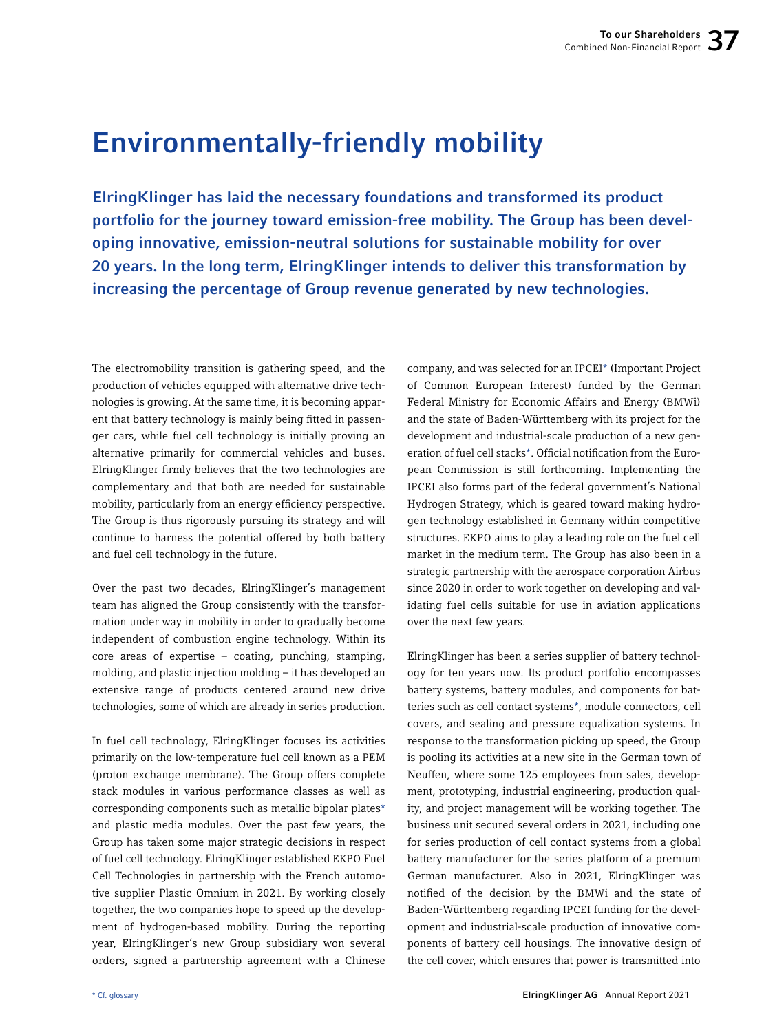# Environmentally-friendly mobility

ElringKlinger has laid the necessary foundations and transformed its product portfolio for the journey toward emission-free mobility. The Group has been developing innovative, emission-neutral solutions for sustainable mobility for over 20 years. In the long term, ElringKlinger intends to deliver this transformation by increasing the percentage of Group revenue generated by new technologies.

The electromobility transition is gathering speed, and the production of vehicles equipped with alternative drive technologies is growing. At the same time, it is becoming apparent that battery technology is mainly being fitted in passenger cars, while fuel cell technology is initially proving an alternative primarily for commercial vehicles and buses. ElringKlinger firmly believes that the two technologies are complementary and that both are needed for sustainable mobility, particularly from an energy efficiency perspective. The Group is thus rigorously pursuing its strategy and will continue to harness the potential offered by both battery and fuel cell technology in the future.

Over the past two decades, ElringKlinger's management team has aligned the Group consistently with the transformation under way in mobility in order to gradually become independent of combustion engine technology. Within its core areas of expertise – coating, punching, stamping, molding, and plastic injection molding – it has developed an extensive range of products centered around new drive technologies, some of which are already in series production.

In fuel cell technology, ElringKlinger focuses its activities primarily on the low-temperature fuel cell known as a PEM (proton exchange membrane). The Group offers complete stack modules in various performance classes as well as corresponding components such as metallic bipolar plates\* and plastic media modules. Over the past few years, the Group has taken some major strategic decisions in respect of fuel cell technology. ElringKlinger established EKPO Fuel Cell Technologies in partnership with the French automotive supplier Plastic Omnium in 2021. By working closely together, the two companies hope to speed up the development of hydrogen-based mobility. During the reporting year, ElringKlinger's new Group subsidiary won several orders, signed a partnership agreement with a Chinese company, and was selected for an IPCEI\* (Important Project of Common European Interest) funded by the German Federal Ministry for Economic Affairs and Energy (BMWi) and the state of Baden-Württemberg with its project for the development and industrial-scale production of a new generation of fuel cell stacks\*. Official notification from the European Commission is still forthcoming. Implementing the IPCEI also forms part of the federal government's National Hydrogen Strategy, which is geared toward making hydrogen technology established in Germany within competitive structures. EKPO aims to play a leading role on the fuel cell market in the medium term. The Group has also been in a strategic partnership with the aerospace corporation Airbus since 2020 in order to work together on developing and validating fuel cells suitable for use in aviation applications over the next few years.

ElringKlinger has been a series supplier of battery technology for ten years now. Its product portfolio encompasses battery systems, battery modules, and components for batteries such as cell contact systems\*, module connectors, cell covers, and sealing and pressure equalization systems. In response to the transformation picking up speed, the Group is pooling its activities at a new site in the German town of Neuffen, where some 125 employees from sales, development, prototyping, industrial engineering, production quality, and project management will be working together. The business unit secured several orders in 2021, including one for series production of cell contact systems from a global battery manufacturer for the series platform of a premium German manufacturer. Also in 2021, ElringKlinger was notified of the decision by the BMWi and the state of Baden-Württemberg regarding IPCEI funding for the development and industrial-scale production of innovative components of battery cell housings. The innovative design of the cell cover, which ensures that power is transmitted into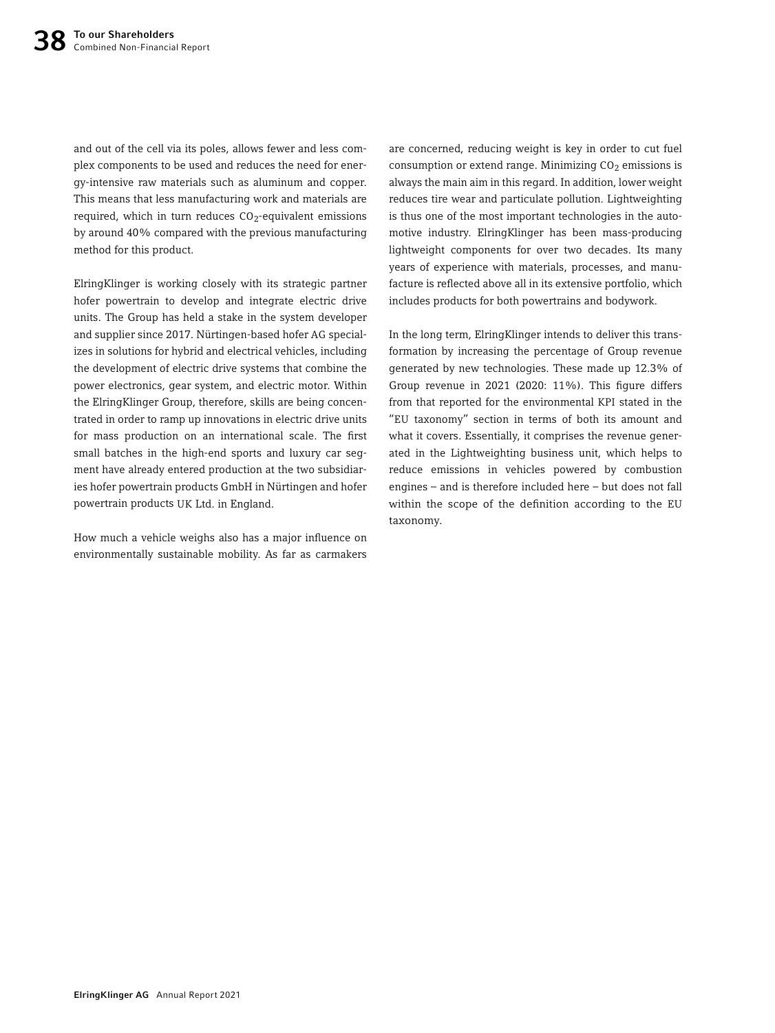and out of the cell via its poles, allows fewer and less complex components to be used and reduces the need for energy-intensive raw materials such as aluminum and copper. This means that less manufacturing work and materials are required, which in turn reduces  $CO<sub>2</sub>$ -equivalent emissions by around 40% compared with the previous manufacturing method for this product.

ElringKlinger is working closely with its strategic partner hofer powertrain to develop and integrate electric drive units. The Group has held a stake in the system developer and supplier since 2017. Nürtingen-based hofer AG specializes in solutions for hybrid and electrical vehicles, including the development of electric drive systems that combine the power electronics, gear system, and electric motor. Within the ElringKlinger Group, therefore, skills are being concentrated in order to ramp up innovations in electric drive units for mass production on an international scale. The first small batches in the high-end sports and luxury car segment have already entered production at the two subsidiaries hofer powertrain products GmbH in Nürtingen and hofer powertrain products UK Ltd. in England.

How much a vehicle weighs also has a major influence on environmentally sustainable mobility. As far as carmakers

are concerned, reducing weight is key in order to cut fuel consumption or extend range. Minimizing  $CO<sub>2</sub>$  emissions is always the main aim in this regard. In addition, lower weight reduces tire wear and particulate pollution. Lightweighting is thus one of the most important technologies in the automotive industry. ElringKlinger has been mass-producing lightweight components for over two decades. Its many years of experience with materials, processes, and manufacture is reflected above all in its extensive portfolio, which includes products for both powertrains and bodywork.

In the long term, ElringKlinger intends to deliver this transformation by increasing the percentage of Group revenue generated by new technologies. These made up 12.3% of Group revenue in 2021 (2020: 11%). This figure differs from that reported for the environmental KPI stated in the "EU taxonomy" section in terms of both its amount and what it covers. Essentially, it comprises the revenue generated in the Lightweighting business unit, which helps to reduce emissions in vehicles powered by combustion engines – and is therefore included here – but does not fall within the scope of the definition according to the EU taxonomy.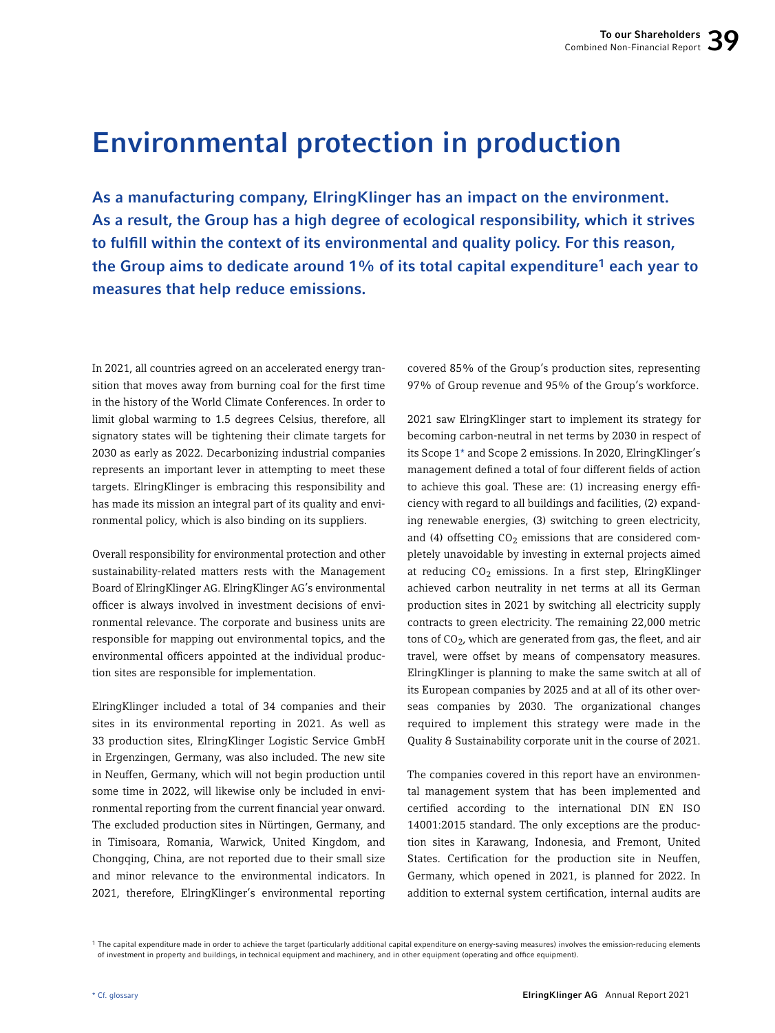# Environmental protection in production

As a manufacturing company, ElringKlinger has an impact on the environment. As a result, the Group has a high degree of ecological responsibility, which it strives to fulfill within the context of its environmental and quality policy. For this reason, the Group aims to dedicate around 1% of its total capital expenditure<sup>1</sup> each year to measures that help reduce emissions.

In 2021, all countries agreed on an accelerated energy transition that moves away from burning coal for the first time in the history of the World Climate Conferences. In order to limit global warming to 1.5 degrees Celsius, therefore, all signatory states will be tightening their climate targets for 2030 as early as 2022. Decarbonizing industrial companies represents an important lever in attempting to meet these targets. ElringKlinger is embracing this responsibility and has made its mission an integral part of its quality and environmental policy, which is also binding on its suppliers.

Overall responsibility for environmental protection and other sustainability-related matters rests with the Management Board of ElringKlinger AG. ElringKlinger AG's environmental officer is always involved in investment decisions of environmental relevance. The corporate and business units are responsible for mapping out environmental topics, and the environmental officers appointed at the individual production sites are responsible for implementation.

ElringKlinger included a total of 34 companies and their sites in its environmental reporting in 2021. As well as 33 production sites, ElringKlinger Logistic Service GmbH in Ergenzingen, Germany, was also included. The new site in Neuffen, Germany, which will not begin production until some time in 2022, will likewise only be included in environmental reporting from the current financial year onward. The excluded production sites in Nürtingen, Germany, and in Timisoara, Romania, Warwick, United Kingdom, and Chongqing, China, are not reported due to their small size and minor relevance to the environmental indicators. In 2021, therefore, ElringKlinger's environmental reporting

covered 85% of the Group's production sites, representing 97% of Group revenue and 95% of the Group's workforce.

2021 saw ElringKlinger start to implement its strategy for becoming carbon-neutral in net terms by 2030 in respect of its Scope 1\* and Scope 2 emissions. In 2020, ElringKlinger's management defined a total of four different fields of action to achieve this goal. These are: (1) increasing energy efficiency with regard to all buildings and facilities, (2) expanding renewable energies, (3) switching to green electricity, and (4) offsetting  $CO<sub>2</sub>$  emissions that are considered completely unavoidable by investing in external projects aimed at reducing  $CO<sub>2</sub>$  emissions. In a first step, ElringKlinger achieved carbon neutrality in net terms at all its German production sites in 2021 by switching all electricity supply contracts to green electricity. The remaining 22,000 metric tons of  $CO<sub>2</sub>$ , which are generated from gas, the fleet, and air travel, were offset by means of compensatory measures. ElringKlinger is planning to make the same switch at all of its European companies by 2025 and at all of its other overseas companies by 2030. The organizational changes required to implement this strategy were made in the Quality & Sustainability corporate unit in the course of 2021.

The companies covered in this report have an environmental management system that has been implemented and certified according to the international DIN EN ISO 14001:2015 standard. The only exceptions are the production sites in Karawang, Indonesia, and Fremont, United States. Certification for the production site in Neuffen, Germany, which opened in 2021, is planned for 2022. In addition to external system certification, internal audits are

<sup>1</sup> The capital expenditure made in order to achieve the target (particularly additional capital expenditure on energy-saving measures) involves the emission-reducing elements of investment in property and buildings, in technical equipment and machinery, and in other equipment (operating and office equipment).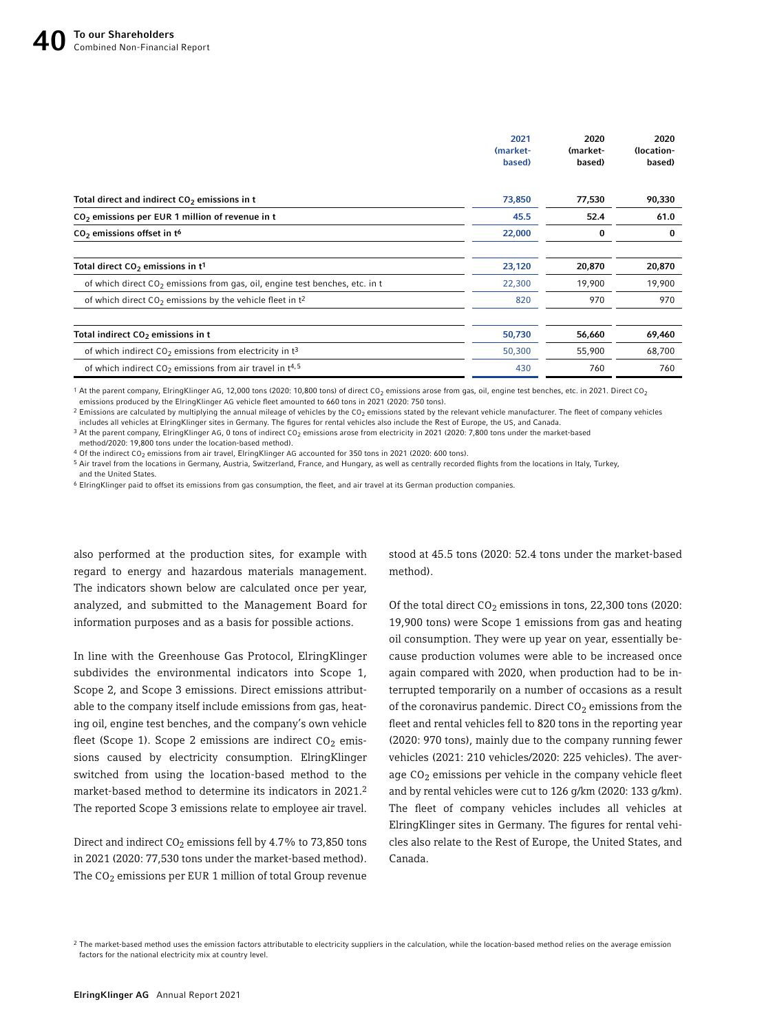|                                                                               | 2021<br>(market-<br>based) | 2020<br>(market-<br>based) | 2020<br>(location-<br>based) |
|-------------------------------------------------------------------------------|----------------------------|----------------------------|------------------------------|
| Total direct and indirect $CO2$ emissions in t                                | 73,850                     | 77,530                     | 90,330                       |
| $CO2$ emissions per EUR 1 million of revenue in t                             | 45.5                       | 52.4                       | 61.0                         |
| $CO2$ emissions offset in t <sup>6</sup>                                      | 22,000                     | 0                          | 0                            |
|                                                                               |                            |                            |                              |
| Total direct $CO2$ emissions in $t1$                                          | 23,120                     | 20,870                     | 20,870                       |
| of which direct $CO2$ emissions from gas, oil, engine test benches, etc. in t | 22,300                     | 19,900                     | 19,900                       |
| of which direct $CO2$ emissions by the vehicle fleet in $t2$                  | 820                        | 970                        | 970                          |
|                                                                               |                            |                            |                              |
| Total indirect CO <sub>2</sub> emissions in t                                 | 50,730                     | 56,660                     | 69,460                       |
| of which indirect $CO2$ emissions from electricity in t <sup>3</sup>          | 50,300                     | 55,900                     | 68,700                       |
| of which indirect $CO2$ emissions from air travel in $t^{4,5}$                | 430                        | 760                        | 760                          |

1 At the parent company, ElringKlinger AG, 12,000 tons (2020: 10,800 tons) of direct CO<sub>2</sub> emissions arose from gas, oil, engine test benches, etc. in 2021. Direct CO<sub>2</sub> emissions produced by the ElringKlinger AG vehicle fleet amounted to 660 tons in 2021 (2020: 750 tons).

 $2$  Emissions are calculated by multiplying the annual mileage of vehicles by the CO<sub>2</sub> emissions stated by the relevant vehicle manufacturer. The fleet of company vehicles includes all vehicles at ElringKlinger sites in Germany. The figures for rental vehicles also include the Rest of Europe, the US, and Canada.

3 At the parent company, ElringKlinger AG, 0 tons of indirect CO<sub>2</sub> emissions arose from electricity in 2021 (2020: 7,800 tons under the market-based

method/2020: 19,800 tons under the location-based method).

4 Of the indirect CO<sub>2</sub> emissions from air travel, ElringKlinger AG accounted for 350 tons in 2021 (2020: 600 tons).

5 Air travel from the locations in Germany, Austria, Switzerland, France, and Hungary, as well as centrally recorded flights from the locations in Italy, Turkey,

and the United States.

6 ElringKlinger paid to offset its emissions from gas consumption, the fleet, and air travel at its German production companies.

also performed at the production sites, for example with regard to energy and hazardous materials management. The indicators shown below are calculated once per year, analyzed, and submitted to the Management Board for information purposes and as a basis for possible actions.

In line with the Greenhouse Gas Protocol, ElringKlinger subdivides the environmental indicators into Scope 1, Scope 2, and Scope 3 emissions. Direct emissions attributable to the company itself include emissions from gas, heating oil, engine test benches, and the company's own vehicle fleet (Scope 1). Scope 2 emissions are indirect  $CO<sub>2</sub>$  emissions caused by electricity consumption. ElringKlinger switched from using the location-based method to the market-based method to determine its indicators in 2021.2 The reported Scope 3 emissions relate to employee air travel.

Direct and indirect  $CO<sub>2</sub>$  emissions fell by 4.7% to 73,850 tons in 2021 (2020: 77,530 tons under the market-based method). The  $CO<sub>2</sub>$  emissions per EUR 1 million of total Group revenue

stood at 45.5 tons (2020: 52.4 tons under the market-based method).

Of the total direct  $CO<sub>2</sub>$  emissions in tons, 22,300 tons (2020: 19,900 tons) were Scope 1 emissions from gas and heating oil consumption. They were up year on year, essentially because production volumes were able to be increased once again compared with 2020, when production had to be interrupted temporarily on a number of occasions as a result of the coronavirus pandemic. Direct  $CO<sub>2</sub>$  emissions from the fleet and rental vehicles fell to 820 tons in the reporting year (2020: 970 tons), mainly due to the company running fewer vehicles (2021: 210 vehicles/2020: 225 vehicles). The average  $CO<sub>2</sub>$  emissions per vehicle in the company vehicle fleet and by rental vehicles were cut to 126 g/km (2020: 133 g/km). The fleet of company vehicles includes all vehicles at ElringKlinger sites in Germany. The figures for rental vehicles also relate to the Rest of Europe, the United States, and Canada.

<sup>&</sup>lt;sup>2</sup> The market-based method uses the emission factors attributable to electricity suppliers in the calculation, while the location-based method relies on the average emission factors for the national electricity mix at country level.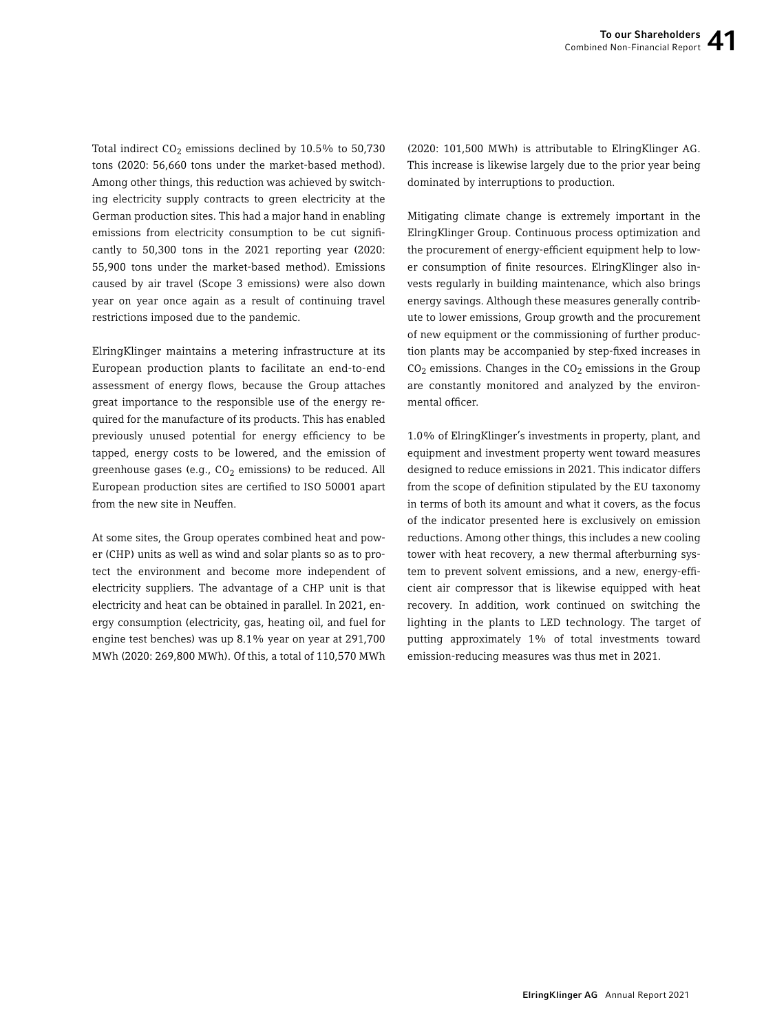Total indirect  $CO<sub>2</sub>$  emissions declined by 10.5% to 50,730 tons (2020: 56,660 tons under the market-based method). Among other things, this reduction was achieved by switching electricity supply contracts to green electricity at the German production sites. This had a major hand in enabling emissions from electricity consumption to be cut significantly to 50,300 tons in the 2021 reporting year (2020: 55,900 tons under the market-based method). Emissions caused by air travel (Scope 3 emissions) were also down year on year once again as a result of continuing travel restrictions imposed due to the pandemic.

ElringKlinger maintains a metering infrastructure at its European production plants to facilitate an end-to-end assessment of energy flows, because the Group attaches great importance to the responsible use of the energy required for the manufacture of its products. This has enabled previously unused potential for energy efficiency to be tapped, energy costs to be lowered, and the emission of greenhouse gases (e.g.,  $CO<sub>2</sub>$  emissions) to be reduced. All European production sites are certified to ISO 50001 apart from the new site in Neuffen.

At some sites, the Group operates combined heat and power (CHP) units as well as wind and solar plants so as to protect the environment and become more independent of electricity suppliers. The advantage of a CHP unit is that electricity and heat can be obtained in parallel. In 2021, energy consumption (electricity, gas, heating oil, and fuel for engine test benches) was up 8.1% year on year at 291,700 MWh (2020: 269,800 MWh). Of this, a total of 110,570 MWh

(2020: 101,500 MWh) is attributable to ElringKlinger AG. This increase is likewise largely due to the prior year being dominated by interruptions to production.

Mitigating climate change is extremely important in the ElringKlinger Group. Continuous process optimization and the procurement of energy-efficient equipment help to lower consumption of finite resources. ElringKlinger also invests regularly in building maintenance, which also brings energy savings. Although these measures generally contribute to lower emissions, Group growth and the procurement of new equipment or the commissioning of further production plants may be accompanied by step-fixed increases in  $CO<sub>2</sub>$  emissions. Changes in the  $CO<sub>2</sub>$  emissions in the Group are constantly monitored and analyzed by the environmental officer.

1.0% of ElringKlinger's investments in property, plant, and equipment and investment property went toward measures designed to reduce emissions in 2021. This indicator differs from the scope of definition stipulated by the EU taxonomy in terms of both its amount and what it covers, as the focus of the indicator presented here is exclusively on emission reductions. Among other things, this includes a new cooling tower with heat recovery, a new thermal afterburning system to prevent solvent emissions, and a new, energy-efficient air compressor that is likewise equipped with heat recovery. In addition, work continued on switching the lighting in the plants to LED technology. The target of putting approximately 1% of total investments toward emission-reducing measures was thus met in 2021.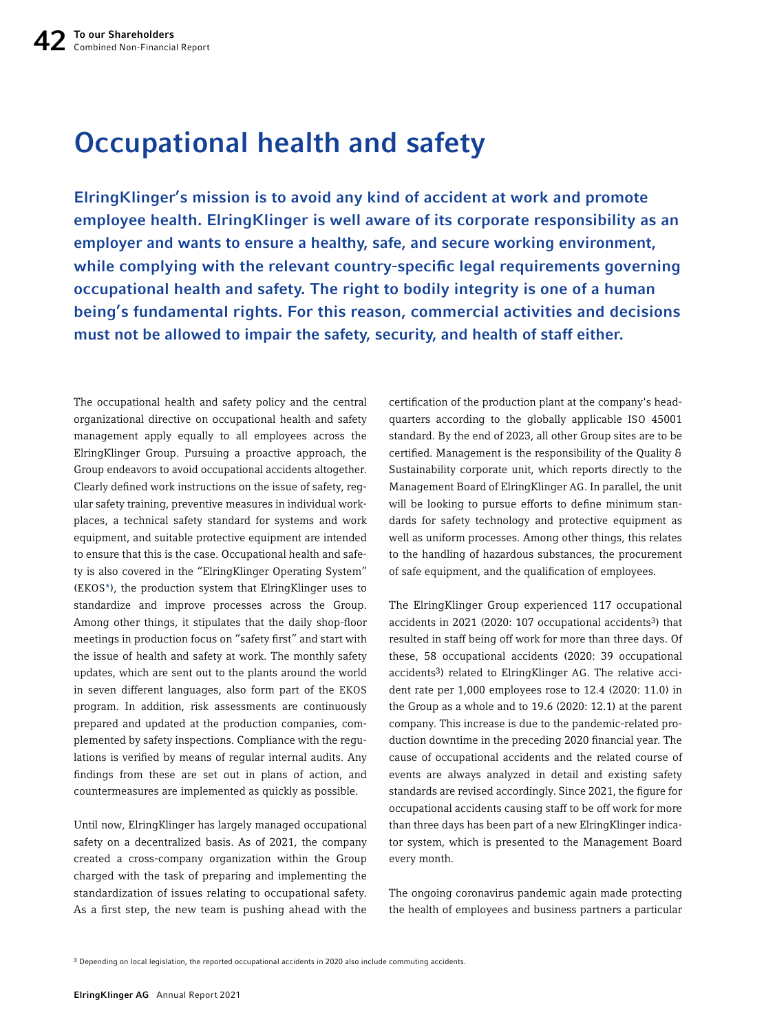# Occupational health and safety

ElringKlinger's mission is to avoid any kind of accident at work and promote employee health. ElringKlinger is well aware of its corporate responsibility as an employer and wants to ensure a healthy, safe, and secure working environment, while complying with the relevant country-specific legal requirements governing occupational health and safety. The right to bodily integrity is one of a human being's fundamental rights. For this reason, commercial activities and decisions must not be allowed to impair the safety, security, and health of staff either.

The occupational health and safety policy and the central organizational directive on occupational health and safety management apply equally to all employees across the ElringKlinger Group. Pursuing a proactive approach, the Group endeavors to avoid occupational accidents altogether. Clearly defined work instructions on the issue of safety, regular safety training, preventive measures in individual workplaces, a technical safety standard for systems and work equipment, and suitable protective equipment are intended to ensure that this is the case. Occupational health and safety is also covered in the "ElringKlinger Operating System" (EKOS\*), the production system that ElringKlinger uses to standardize and improve processes across the Group. Among other things, it stipulates that the daily shop-floor meetings in production focus on "safety first" and start with the issue of health and safety at work. The monthly safety updates, which are sent out to the plants around the world in seven different languages, also form part of the EKOS program. In addition, risk assessments are continuously prepared and updated at the production companies, complemented by safety inspections. Compliance with the regulations is verified by means of regular internal audits. Any findings from these are set out in plans of action, and countermeasures are implemented as quickly as possible.

Until now, ElringKlinger has largely managed occupational safety on a decentralized basis. As of 2021, the company created a cross-company organization within the Group charged with the task of preparing and implementing the standardization of issues relating to occupational safety. As a first step, the new team is pushing ahead with the

certification of the production plant at the company's headquarters according to the globally applicable ISO 45001 standard. By the end of 2023, all other Group sites are to be certified. Management is the responsibility of the Quality & Sustainability corporate unit, which reports directly to the Management Board of ElringKlinger AG. In parallel, the unit will be looking to pursue efforts to define minimum standards for safety technology and protective equipment as well as uniform processes. Among other things, this relates to the handling of hazardous substances, the procurement of safe equipment, and the qualification of employees.

The ElringKlinger Group experienced 117 occupational accidents in 2021 (2020: 107 occupational accidents<sup>3</sup>) that resulted in staff being off work for more than three days. Of these, 58 occupational accidents (2020: 39 occupational accidents3) related to ElringKlinger AG. The relative accident rate per 1,000 employees rose to 12.4 (2020: 11.0) in the Group as a whole and to 19.6 (2020: 12.1) at the parent company. This increase is due to the pandemic-related production downtime in the preceding 2020 financial year. The cause of occupational accidents and the related course of events are always analyzed in detail and existing safety standards are revised accordingly. Since 2021, the figure for occupational accidents causing staff to be off work for more than three days has been part of a new ElringKlinger indicator system, which is presented to the Management Board every month.

The ongoing coronavirus pandemic again made protecting the health of employees and business partners a particular

3 Depending on local legislation, the reported occupational accidents in 2020 also include commuting accidents.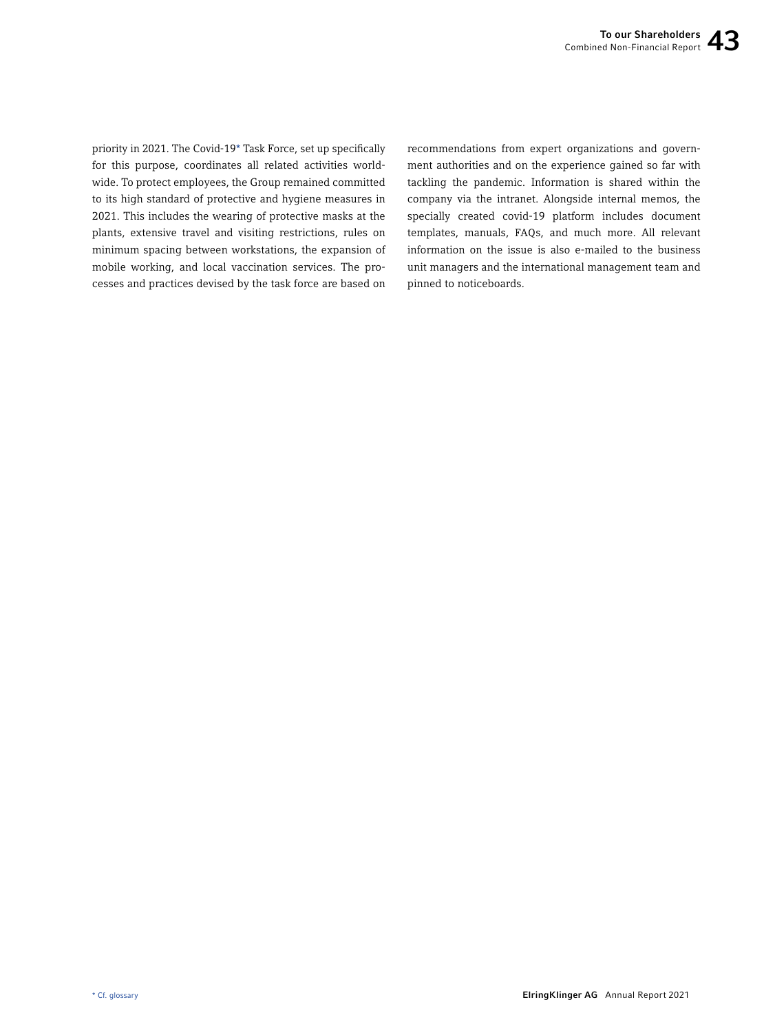priority in 2021. The Covid-19\* Task Force, set up specifically for this purpose, coordinates all related activities worldwide. To protect employees, the Group remained committed to its high standard of protective and hygiene measures in 2021. This includes the wearing of protective masks at the plants, extensive travel and visiting restrictions, rules on minimum spacing between workstations, the expansion of mobile working, and local vaccination services. The processes and practices devised by the task force are based on recommendations from expert organizations and government authorities and on the experience gained so far with tackling the pandemic. Information is shared within the company via the intranet. Alongside internal memos, the specially created covid-19 platform includes document templates, manuals, FAQs, and much more. All relevant information on the issue is also e-mailed to the business unit managers and the international management team and pinned to noticeboards.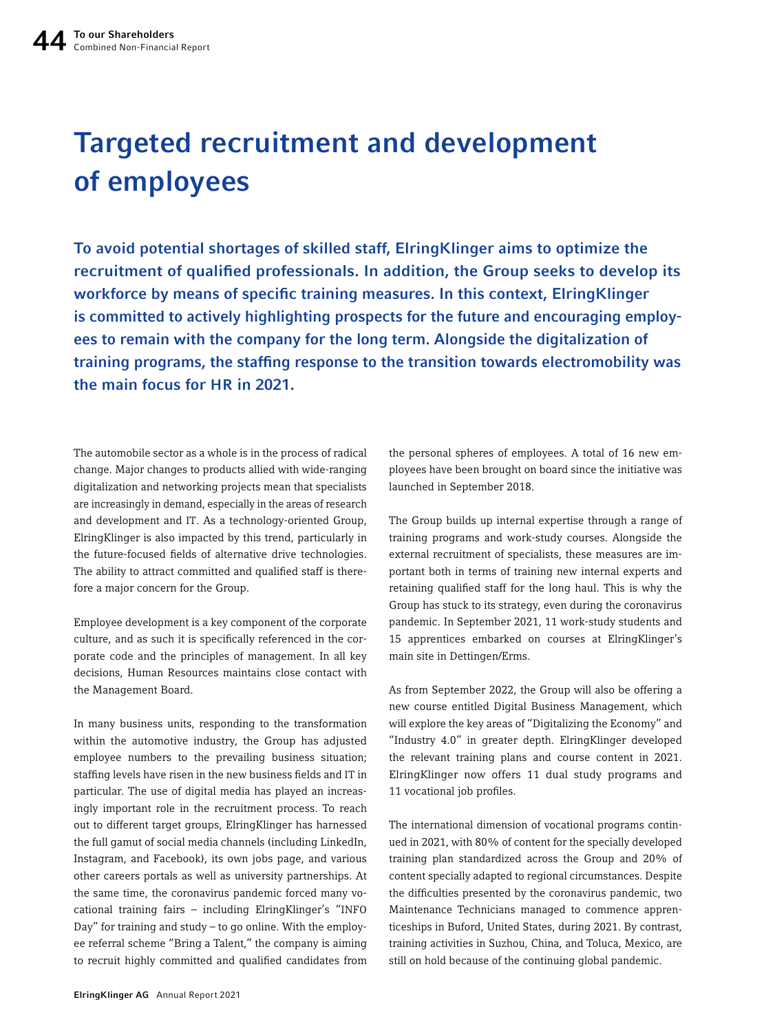# Targeted recruitment and development of employees

To avoid potential shortages of skilled staff, ElringKlinger aims to optimize the recruitment of qualified professionals. In addition, the Group seeks to develop its workforce by means of specific training measures. In this context, ElringKlinger is committed to actively highlighting prospects for the future and encouraging employees to remain with the company for the long term. Alongside the digitalization of training programs, the staffing response to the transition towards electromobility was the main focus for HR in 2021.

The automobile sector as a whole is in the process of radical change. Major changes to products allied with wide-ranging digitalization and networking projects mean that specialists are increasingly in demand, especially in the areas of research and development and IT. As a technology-oriented Group, ElringKlinger is also impacted by this trend, particularly in the future-focused fields of alternative drive technologies. The ability to attract committed and qualified staff is therefore a major concern for the Group.

Employee development is a key component of the corporate culture, and as such it is specifically referenced in the corporate code and the principles of management. In all key decisions, Human Resources maintains close contact with the Management Board.

In many business units, responding to the transformation within the automotive industry, the Group has adjusted employee numbers to the prevailing business situation; staffing levels have risen in the new business fields and IT in particular. The use of digital media has played an increasingly important role in the recruitment process. To reach out to different target groups, ElringKlinger has harnessed the full gamut of social media channels (including LinkedIn, Instagram, and Facebook), its own jobs page, and various other careers portals as well as university partnerships. At the same time, the coronavirus pandemic forced many vocational training fairs – including ElringKlinger's "INFO Day" for training and study – to go online. With the employee referral scheme "Bring a Talent," the company is aiming to recruit highly committed and qualified candidates from

the personal spheres of employees. A total of 16 new employees have been brought on board since the initiative was launched in September 2018.

The Group builds up internal expertise through a range of training programs and work-study courses. Alongside the external recruitment of specialists, these measures are important both in terms of training new internal experts and retaining qualified staff for the long haul. This is why the Group has stuck to its strategy, even during the coronavirus pandemic. In September 2021, 11 work-study students and 15 apprentices embarked on courses at ElringKlinger's main site in Dettingen/Erms.

As from September 2022, the Group will also be offering a new course entitled Digital Business Management, which will explore the key areas of "Digitalizing the Economy" and "Industry 4.0" in greater depth. ElringKlinger developed the relevant training plans and course content in 2021. ElringKlinger now offers 11 dual study programs and 11 vocational job profiles.

The international dimension of vocational programs continued in 2021, with 80% of content for the specially developed training plan standardized across the Group and 20% of content specially adapted to regional circumstances. Despite the difficulties presented by the coronavirus pandemic, two Maintenance Technicians managed to commence apprenticeships in Buford, United States, during 2021. By contrast, training activities in Suzhou, China, and Toluca, Mexico, are still on hold because of the continuing global pandemic.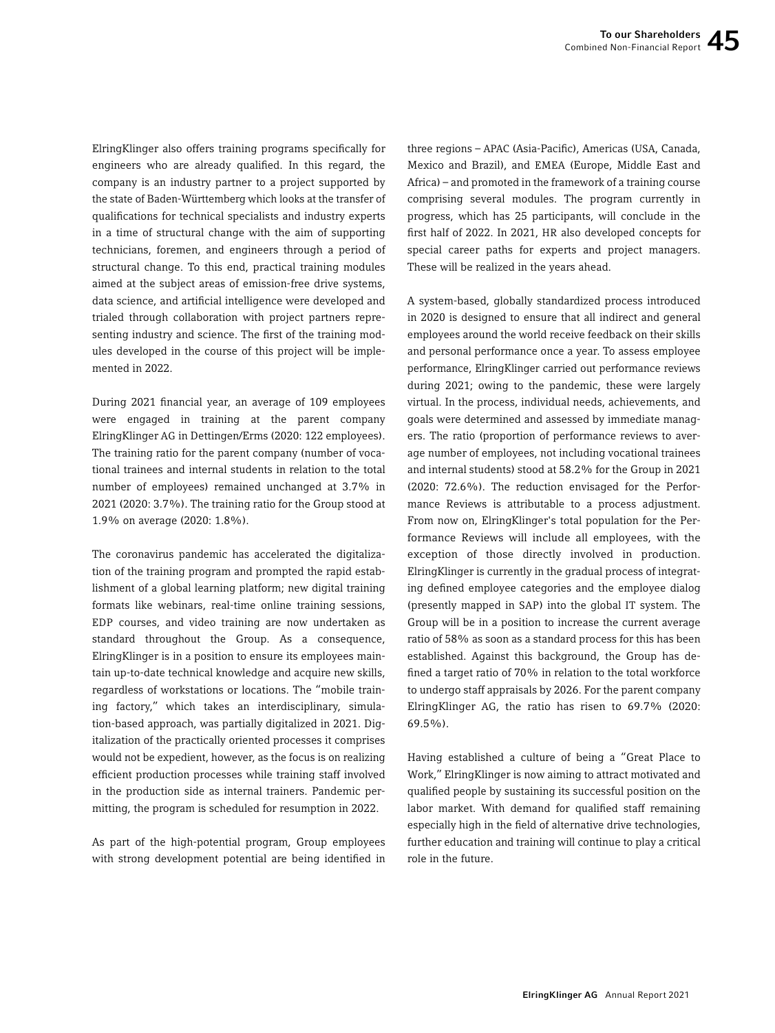ElringKlinger also offers training programs specifically for engineers who are already qualified. In this regard, the company is an industry partner to a project supported by the state of Baden-Württemberg which looks at the transfer of qualifications for technical specialists and industry experts in a time of structural change with the aim of supporting technicians, foremen, and engineers through a period of structural change. To this end, practical training modules aimed at the subject areas of emission-free drive systems, data science, and artificial intelligence were developed and trialed through collaboration with project partners representing industry and science. The first of the training modules developed in the course of this project will be implemented in 2022.

During 2021 financial year, an average of 109 employees were engaged in training at the parent company ElringKlinger AG in Dettingen/Erms (2020: 122 employees). The training ratio for the parent company (number of vocational trainees and internal students in relation to the total number of employees) remained unchanged at 3.7% in 2021 (2020: 3.7%). The training ratio for the Group stood at 1.9% on average (2020: 1.8%).

The coronavirus pandemic has accelerated the digitalization of the training program and prompted the rapid establishment of a global learning platform; new digital training formats like webinars, real-time online training sessions, EDP courses, and video training are now undertaken as standard throughout the Group. As a consequence, ElringKlinger is in a position to ensure its employees maintain up-to-date technical knowledge and acquire new skills, regardless of workstations or locations. The "mobile training factory," which takes an interdisciplinary, simulation-based approach, was partially digitalized in 2021. Digitalization of the practically oriented processes it comprises would not be expedient, however, as the focus is on realizing efficient production processes while training staff involved in the production side as internal trainers. Pandemic permitting, the program is scheduled for resumption in 2022.

As part of the high-potential program, Group employees with strong development potential are being identified in three regions – APAC (Asia-Pacific), Americas (USA, Canada, Mexico and Brazil), and EMEA (Europe, Middle East and Africa) – and promoted in the framework of a training course comprising several modules. The program currently in progress, which has 25 participants, will conclude in the first half of 2022. In 2021, HR also developed concepts for special career paths for experts and project managers. These will be realized in the years ahead.

A system-based, globally standardized process introduced in 2020 is designed to ensure that all indirect and general employees around the world receive feedback on their skills and personal performance once a year. To assess employee performance, ElringKlinger carried out performance reviews during 2021; owing to the pandemic, these were largely virtual. In the process, individual needs, achievements, and goals were determined and assessed by immediate managers. The ratio (proportion of performance reviews to average number of employees, not including vocational trainees and internal students) stood at 58.2% for the Group in 2021 (2020: 72.6%). The reduction envisaged for the Performance Reviews is attributable to a process adjustment. From now on, ElringKlinger's total population for the Performance Reviews will include all employees, with the exception of those directly involved in production. ElringKlinger is currently in the gradual process of integrating defined employee categories and the employee dialog (presently mapped in SAP) into the global IT system. The Group will be in a position to increase the current average ratio of 58% as soon as a standard process for this has been established. Against this background, the Group has defined a target ratio of 70% in relation to the total workforce to undergo staff appraisals by 2026. For the parent company ElringKlinger AG, the ratio has risen to 69.7% (2020: 69.5%).

Having established a culture of being a "Great Place to Work," ElringKlinger is now aiming to attract motivated and qualified people by sustaining its successful position on the labor market. With demand for qualified staff remaining especially high in the field of alternative drive technologies, further education and training will continue to play a critical role in the future.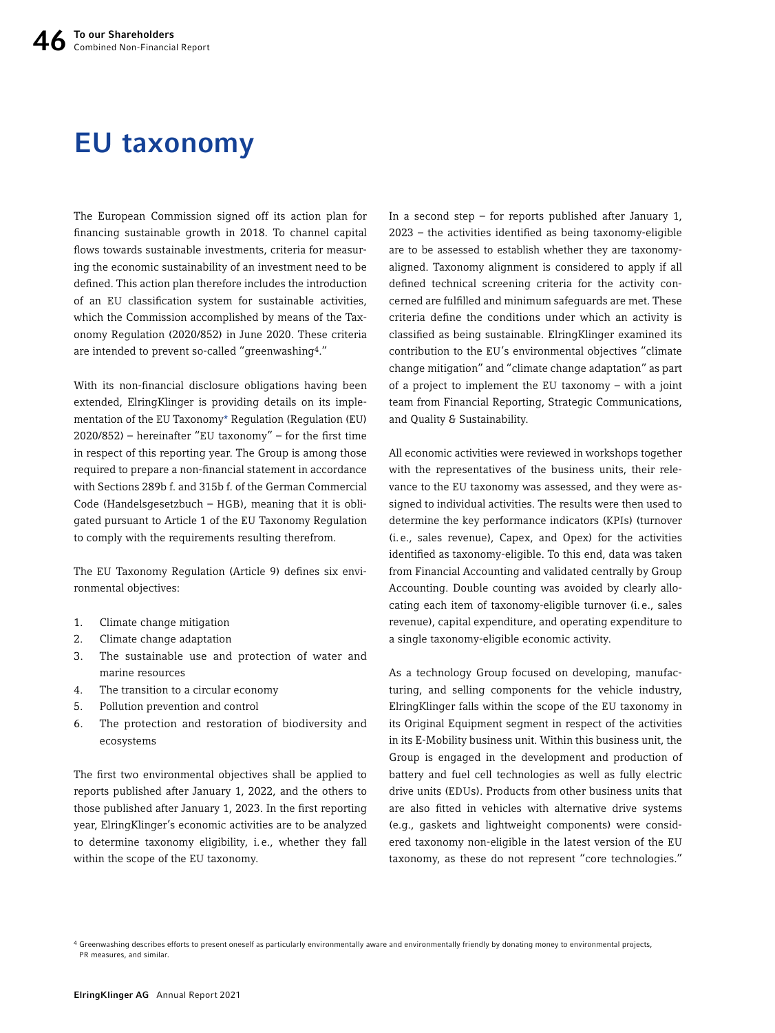# EU taxonomy

The European Commission signed off its action plan for financing sustainable growth in 2018. To channel capital flows towards sustainable investments, criteria for measuring the economic sustainability of an investment need to be defined. This action plan therefore includes the introduction of an EU classification system for sustainable activities, which the Commission accomplished by means of the Taxonomy Regulation (2020/852) in June 2020. These criteria are intended to prevent so-called "greenwashing4."

With its non-financial disclosure obligations having been extended, ElringKlinger is providing details on its implementation of the EU Taxonomy\* Regulation (Regulation (EU) 2020/852) – hereinafter "EU taxonomy" – for the first time in respect of this reporting year. The Group is among those required to prepare a non-financial statement in accordance with Sections 289b f. and 315b f. of the German Commercial Code (Handelsgesetzbuch – HGB), meaning that it is obligated pursuant to Article 1 of the EU Taxonomy Regulation to comply with the requirements resulting therefrom.

The EU Taxonomy Regulation (Article 9) defines six environmental objectives:

- 1. Climate change mitigation
- 2. Climate change adaptation
- 3. The sustainable use and protection of water and marine resources
- 4. The transition to a circular economy
- 5. Pollution prevention and control
- 6. The protection and restoration of biodiversity and ecosystems

The first two environmental objectives shall be applied to reports published after January 1, 2022, and the others to those published after January 1, 2023. In the first reporting year, ElringKlinger's economic activities are to be analyzed to determine taxonomy eligibility, i.e., whether they fall within the scope of the EU taxonomy.

In a second step – for reports published after January 1, 2023 – the activities identified as being taxonomy-eligible are to be assessed to establish whether they are taxonomyaligned. Taxonomy alignment is considered to apply if all defined technical screening criteria for the activity concerned are fulfilled and minimum safeguards are met. These criteria define the conditions under which an activity is classified as being sustainable. ElringKlinger examined its contribution to the EU's environmental objectives "climate change mitigation" and "climate change adaptation" as part of a project to implement the EU taxonomy – with a joint team from Financial Reporting, Strategic Communications, and Quality & Sustainability.

All economic activities were reviewed in workshops together with the representatives of the business units, their relevance to the EU taxonomy was assessed, and they were assigned to individual activities. The results were then used to determine the key performance indicators (KPIs) (turnover (i.e., sales revenue), Capex, and Opex) for the activities identified as taxonomy-eligible. To this end, data was taken from Financial Accounting and validated centrally by Group Accounting. Double counting was avoided by clearly allocating each item of taxonomy-eligible turnover (i.e., sales revenue), capital expenditure, and operating expenditure to a single taxonomy-eligible economic activity.

As a technology Group focused on developing, manufacturing, and selling components for the vehicle industry, ElringKlinger falls within the scope of the EU taxonomy in its Original Equipment segment in respect of the activities in its E-Mobility business unit. Within this business unit, the Group is engaged in the development and production of battery and fuel cell technologies as well as fully electric drive units (EDUs). Products from other business units that are also fitted in vehicles with alternative drive systems (e.g., gaskets and lightweight components) were considered taxonomy non-eligible in the latest version of the EU taxonomy, as these do not represent "core technologies."

<sup>4</sup> Greenwashing describes efforts to present oneself as particularly environmentally aware and environmentally friendly by donating money to environmental projects, PR measures, and similar.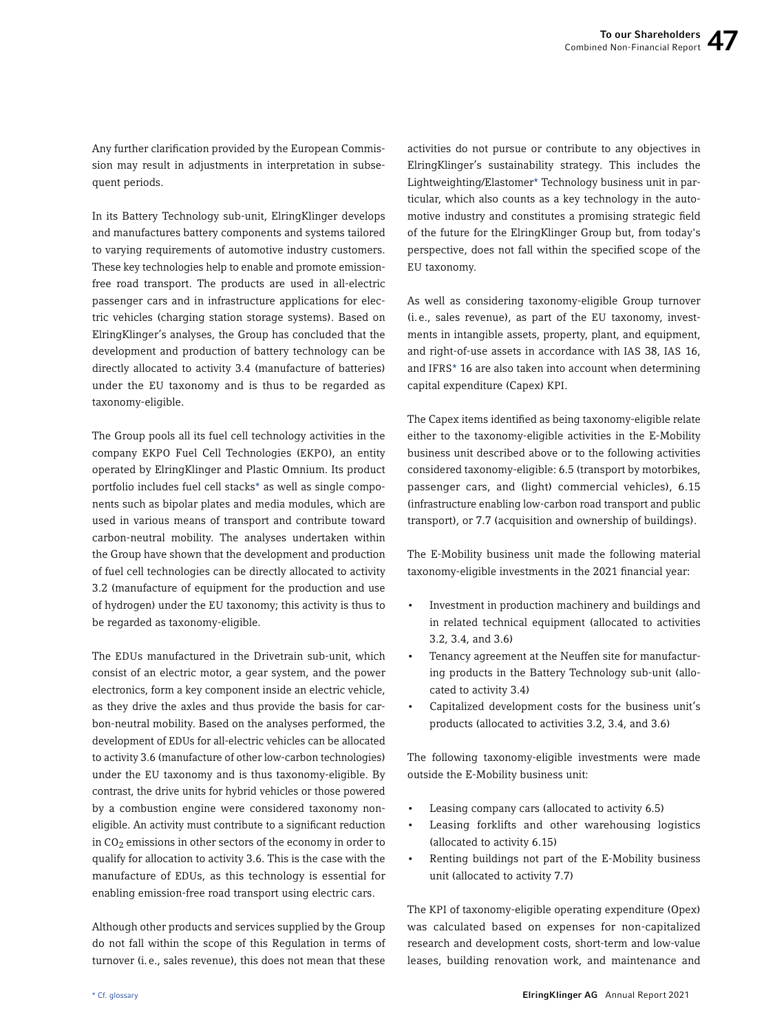Any further clarification provided by the European Commission may result in adjustments in interpretation in subsequent periods.

In its Battery Technology sub-unit, ElringKlinger develops and manufactures battery components and systems tailored to varying requirements of automotive industry customers. These key technologies help to enable and promote emissionfree road transport. The products are used in all-electric passenger cars and in infrastructure applications for electric vehicles (charging station storage systems). Based on ElringKlinger's analyses, the Group has concluded that the development and production of battery technology can be directly allocated to activity 3.4 (manufacture of batteries) under the EU taxonomy and is thus to be regarded as taxonomy-eligible.

The Group pools all its fuel cell technology activities in the company EKPO Fuel Cell Technologies (EKPO), an entity operated by ElringKlinger and Plastic Omnium. Its product portfolio includes fuel cell stacks\* as well as single components such as bipolar plates and media modules, which are used in various means of transport and contribute toward carbon-neutral mobility. The analyses undertaken within the Group have shown that the development and production of fuel cell technologies can be directly allocated to activity 3.2 (manufacture of equipment for the production and use of hydrogen) under the EU taxonomy; this activity is thus to be regarded as taxonomy-eligible.

The EDUs manufactured in the Drivetrain sub-unit, which consist of an electric motor, a gear system, and the power electronics, form a key component inside an electric vehicle, as they drive the axles and thus provide the basis for carbon-neutral mobility. Based on the analyses performed, the development of EDUs for all-electric vehicles can be allocated to activity 3.6 (manufacture of other low-carbon technologies) under the EU taxonomy and is thus taxonomy-eligible. By contrast, the drive units for hybrid vehicles or those powered by a combustion engine were considered taxonomy noneligible. An activity must contribute to a significant reduction in  $CO<sub>2</sub>$  emissions in other sectors of the economy in order to qualify for allocation to activity 3.6. This is the case with the manufacture of EDUs, as this technology is essential for enabling emission-free road transport using electric cars.

Although other products and services supplied by the Group do not fall within the scope of this Regulation in terms of turnover (i.e., sales revenue), this does not mean that these

activities do not pursue or contribute to any objectives in ElringKlinger's sustainability strategy. This includes the Lightweighting/Elastomer\* Technology business unit in particular, which also counts as a key technology in the automotive industry and constitutes a promising strategic field of the future for the ElringKlinger Group but, from today's perspective, does not fall within the specified scope of the EU taxonomy.

As well as considering taxonomy-eligible Group turnover (i.e., sales revenue), as part of the EU taxonomy, investments in intangible assets, property, plant, and equipment, and right-of-use assets in accordance with IAS 38, IAS 16, and IFRS\* 16 are also taken into account when determining capital expenditure (Capex) KPI.

The Capex items identified as being taxonomy-eligible relate either to the taxonomy-eligible activities in the E-Mobility business unit described above or to the following activities considered taxonomy-eligible: 6.5 (transport by motorbikes, passenger cars, and (light) commercial vehicles), 6.15 (infrastructure enabling low-carbon road transport and public transport), or 7.7 (acquisition and ownership of buildings).

The E-Mobility business unit made the following material taxonomy-eligible investments in the 2021 financial year:

- Investment in production machinery and buildings and in related technical equipment (allocated to activities 3.2, 3.4, and 3.6)
- Tenancy agreement at the Neuffen site for manufacturing products in the Battery Technology sub-unit (allocated to activity 3.4)
- Capitalized development costs for the business unit's products (allocated to activities 3.2, 3.4, and 3.6)

The following taxonomy-eligible investments were made outside the E-Mobility business unit:

- Leasing company cars (allocated to activity 6.5)
- Leasing forklifts and other warehousing logistics (allocated to activity 6.15)
- Renting buildings not part of the E-Mobility business unit (allocated to activity 7.7)

The KPI of taxonomy-eligible operating expenditure (Opex) was calculated based on expenses for non-capitalized research and development costs, short-term and low-value leases, building renovation work, and maintenance and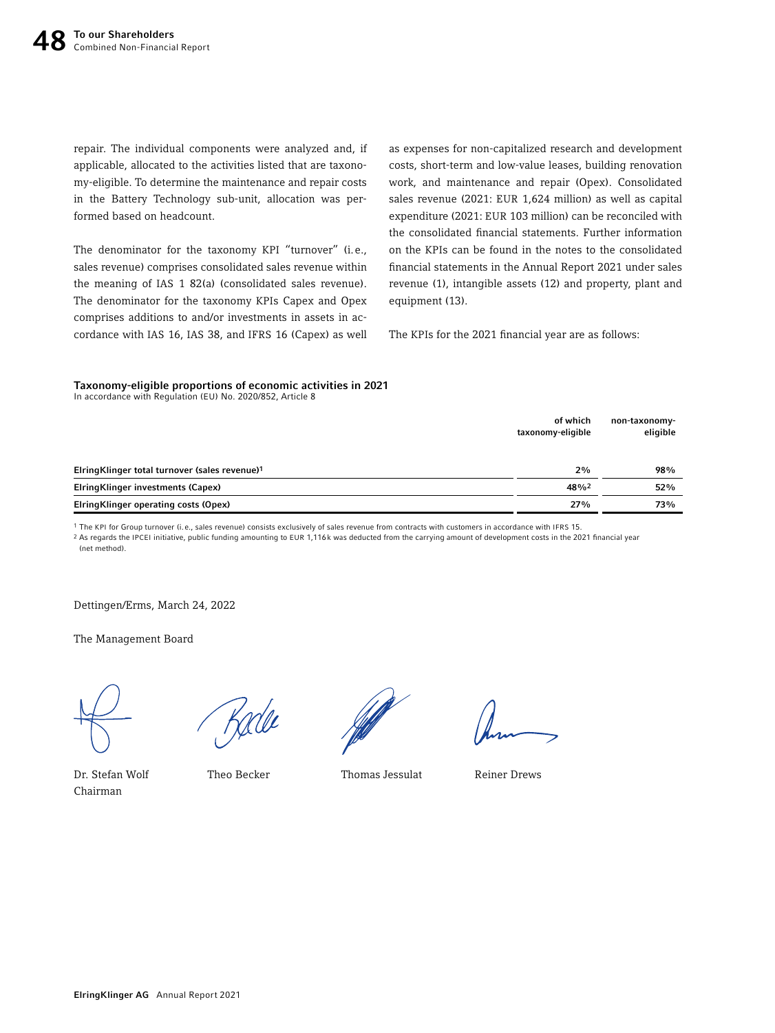repair. The individual components were analyzed and, if applicable, allocated to the activities listed that are taxonomy-eligible. To determine the maintenance and repair costs in the Battery Technology sub-unit, allocation was performed based on headcount.

The denominator for the taxonomy KPI "turnover" (i.e., sales revenue) comprises consolidated sales revenue within the meaning of IAS 1 82(a) (consolidated sales revenue). The denominator for the taxonomy KPIs Capex and Opex comprises additions to and/or investments in assets in accordance with IAS 16, IAS 38, and IFRS 16 (Capex) as well as expenses for non-capitalized research and development costs, short-term and low-value leases, building renovation work, and maintenance and repair (Opex). Consolidated sales revenue (2021: EUR 1,624 million) as well as capital expenditure (2021: EUR 103 million) can be reconciled with the consolidated financial statements. Further information on the KPIs can be found in the notes to the consolidated financial statements in the Annual Report 2021 under sales revenue (1), intangible assets (12) and property, plant and equipment (13).

The KPIs for the 2021 financial year are as follows:

# Taxonomy-eligible proportions of economic activities in 2021

In accordance with Regulation (EU) No. 2020/852, Article 8

|                                                            | of which<br>taxonomy-eligible |     |
|------------------------------------------------------------|-------------------------------|-----|
| Elring Klinger total turnover (sales revenue) <sup>1</sup> | 2%                            | 98% |
| Elring Klinger investments (Capex)                         | 48%2                          | 52% |
| Elring Klinger operating costs (Opex)                      | 27%                           | 73% |

1 The KPI for Group turnover (i.e., sales revenue) consists exclusively of sales revenue from contracts with customers in accordance with IFRS 15.

<sup>2</sup> As regards the IPCEI initiative, public funding amounting to EUR 1,116k was deducted from the carrying amount of development costs in the 2021 financial year (net method).

Dettingen/Erms, March 24, 2022

The Management Board

Dr. Stefan Wolf Chairman

Theo Becker Thomas Jessulat Reiner Drews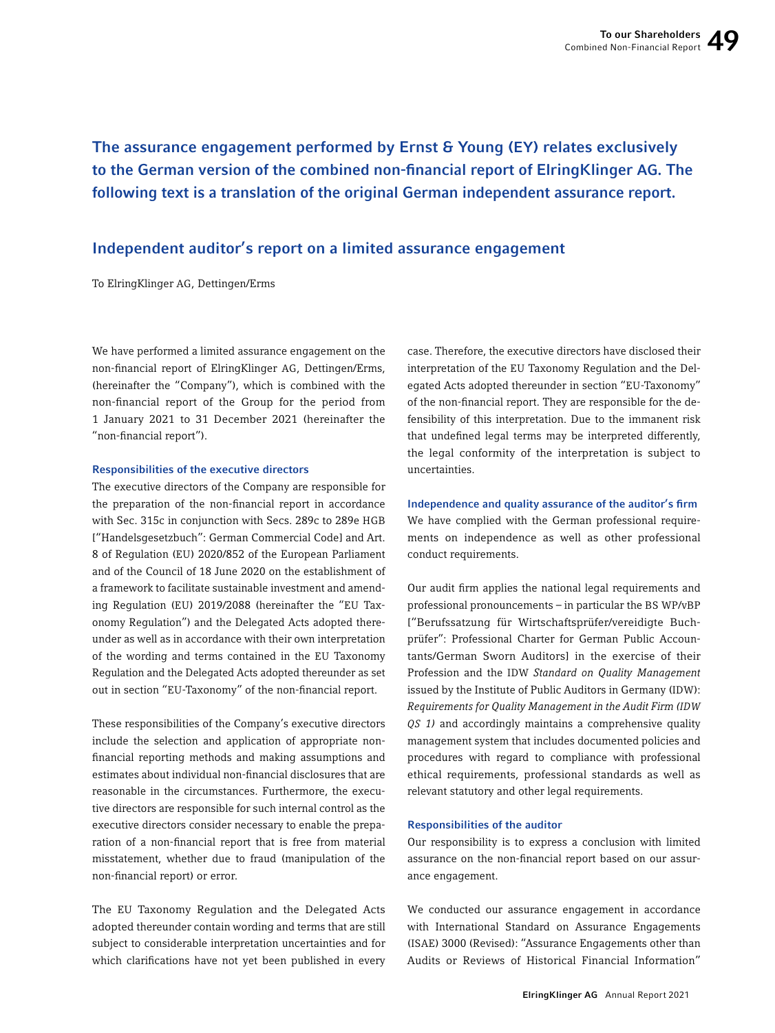The assurance engagement performed by Ernst & Young (EY) relates exclusively to the German version of the combined non-financial report of ElringKlinger AG. The following text is a translation of the original German independent assurance report.

# Independent auditor's report on a limited assurance engagement

To ElringKlinger AG, Dettingen/Erms

We have performed a limited assurance engagement on the non-financial report of ElringKlinger AG, Dettingen/Erms, (hereinafter the "Company"), which is combined with the non-financial report of the Group for the period from 1 January 2021 to 31 December 2021 (hereinafter the "non-financial report").

### Responsibilities of the executive directors

The executive directors of the Company are responsible for the preparation of the non-financial report in accordance with Sec. 315c in conjunction with Secs. 289c to 289e HGB ["Handelsgesetzbuch": German Commercial Code] and Art. 8 of Regulation (EU) 2020/852 of the European Parliament and of the Council of 18 June 2020 on the establishment of a framework to facilitate sustainable investment and amending Regulation (EU) 2019/2088 (hereinafter the "EU Taxonomy Regulation") and the Delegated Acts adopted thereunder as well as in accordance with their own interpretation of the wording and terms contained in the EU Taxonomy Regulation and the Delegated Acts adopted thereunder as set out in section "EU-Taxonomy" of the non-financial report.

These responsibilities of the Company's executive directors include the selection and application of appropriate nonfinancial reporting methods and making assumptions and estimates about individual non-financial disclosures that are reasonable in the circumstances. Furthermore, the executive directors are responsible for such internal control as the executive directors consider necessary to enable the preparation of a non-financial report that is free from material misstatement, whether due to fraud (manipulation of the non-financial report) or error.

The EU Taxonomy Regulation and the Delegated Acts adopted thereunder contain wording and terms that are still subject to considerable interpretation uncertainties and for which clarifications have not yet been published in every case. Therefore, the executive directors have disclosed their interpretation of the EU Taxonomy Regulation and the Delegated Acts adopted thereunder in section "EU-Taxonomy" of the non-financial report. They are responsible for the defensibility of this interpretation. Due to the immanent risk that undefined legal terms may be interpreted differently, the legal conformity of the interpretation is subject to uncertainties.

Independence and quality assurance of the auditor's firm We have complied with the German professional requirements on independence as well as other professional conduct requirements.

Our audit firm applies the national legal requirements and professional pronouncements – in particular the BS WP/vBP ["Berufssatzung für Wirtschaftsprüfer/vereidigte Buchprüfer": Professional Charter for German Public Accountants/German Sworn Auditors] in the exercise of their Profession and the IDW *Standard on Quality Management*  issued by the Institute of Public Auditors in Germany (IDW): *Requirements for Quality Management in the Audit Firm (IDW QS 1)* and accordingly maintains a comprehensive quality management system that includes documented policies and procedures with regard to compliance with professional ethical requirements, professional standards as well as relevant statutory and other legal requirements.

#### Responsibilities of the auditor

Our responsibility is to express a conclusion with limited assurance on the non-financial report based on our assurance engagement.

We conducted our assurance engagement in accordance with International Standard on Assurance Engagements (ISAE) 3000 (Revised): "Assurance Engagements other than Audits or Reviews of Historical Financial Information"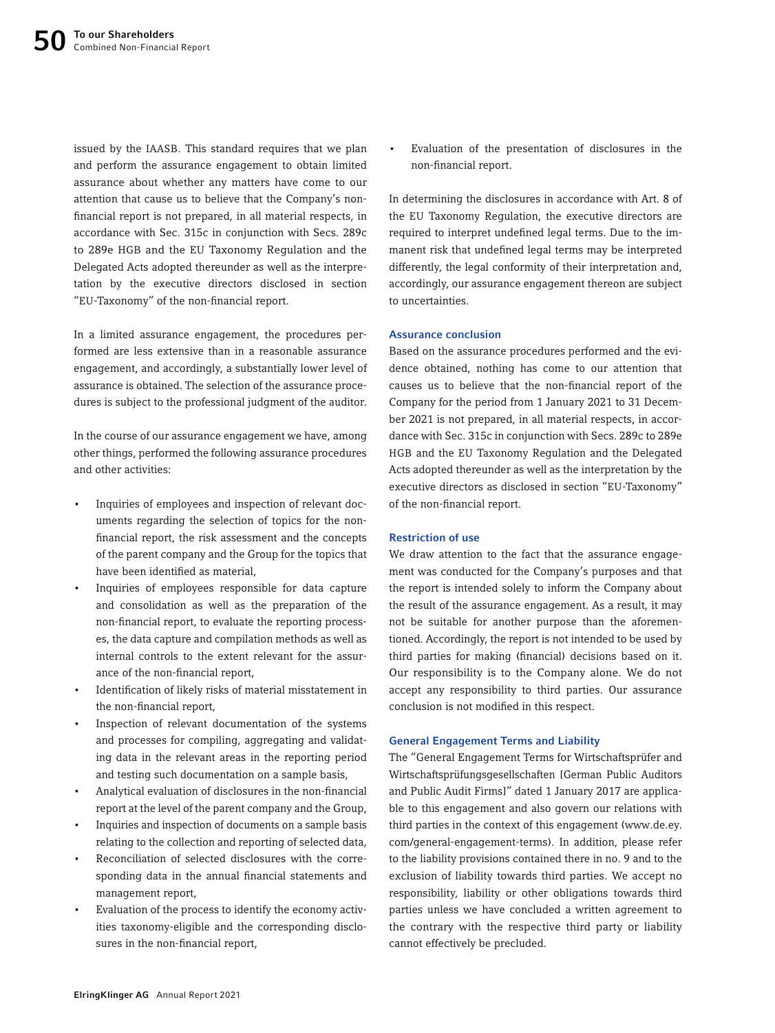issued by the IAASB. This standard requires that we plan and perform the assurance engagement to obtain limited assurance about whether any matters have come to our attention that cause us to believe that the Company's nonfinancial report is not prepared, in all material respects, in accordance with Sec. 315c in conjunction with Secs. 289c to 289e HGB and the EU Taxonomy Regulation and the Delegated Acts adopted thereunder as well as the interpretation by the executive directors disclosed in section "EU-Taxonomy" of the non-financial report.

In a limited assurance engagement, the procedures performed are less extensive than in a reasonable assurance engagement, and accordingly, a substantially lower level of assurance is obtained. The selection of the assurance procedures is subject to the professional judgment of the auditor.

In the course of our assurance engagement we have, among other things, performed the following assurance procedures and other activities:

- Inquiries of employees and inspection of relevant documents regarding the selection of topics for the nonfinancial report, the risk assessment and the concepts of the parent company and the Group for the topics that have been identified as material,
- Inquiries of employees responsible for data capture and consolidation as well as the preparation of the non-financial report, to evaluate the reporting processes, the data capture and compilation methods as well as internal controls to the extent relevant for the assurance of the non-financial report,
- Identification of likely risks of material misstatement in the non-financial report,
- Inspection of relevant documentation of the systems and processes for compiling, aggregating and validating data in the relevant areas in the reporting period and testing such documentation on a sample basis,
- Analytical evaluation of disclosures in the non-financial report at the level of the parent company and the Group,
- Inquiries and inspection of documents on a sample basis relating to the collection and reporting of selected data,
- Reconciliation of selected disclosures with the corresponding data in the annual financial statements and management report,
- Evaluation of the process to identify the economy activities taxonomy-eligible and the corresponding disclosures in the non-financial report,

• Evaluation of the presentation of disclosures in the non-financial report.

In determining the disclosures in accordance with Art. 8 of the EU Taxonomy Regulation, the executive directors are required to interpret undefined legal terms. Due to the immanent risk that undefined legal terms may be interpreted differently, the legal conformity of their interpretation and, accordingly, our assurance engagement thereon are subject to uncertainties.

### Assurance conclusion

Based on the assurance procedures performed and the evidence obtained, nothing has come to our attention that causes us to believe that the non-financial report of the Company for the period from 1 January 2021 to 31 December 2021 is not prepared, in all material respects, in accordance with Sec. 315c in conjunction with Secs. 289c to 289e HGB and the EU Taxonomy Regulation and the Delegated Acts adopted thereunder as well as the interpretation by the executive directors as disclosed in section "EU-Taxonomy" of the non-financial report.

#### Restriction of use

We draw attention to the fact that the assurance engagement was conducted for the Company's purposes and that the report is intended solely to inform the Company about the result of the assurance engagement. As a result, it may not be suitable for another purpose than the aforementioned. Accordingly, the report is not intended to be used by third parties for making (financial) decisions based on it. Our responsibility is to the Company alone. We do not accept any responsibility to third parties. Our assurance conclusion is not modified in this respect.

#### General Engagement Terms and Liability

The "General Engagement Terms for Wirtschaftsprüfer and Wirtschaftsprüfungsgesellschaften [German Public Auditors and Public Audit Firms]" dated 1 January 2017 are applicable to this engagement and also govern our relations with third parties in the context of this engagement (www.de.ey. com/general-engagement-terms). In addition, please refer to the liability provisions contained there in no. 9 and to the exclusion of liability towards third parties. We accept no responsibility, liability or other obligations towards third parties unless we have concluded a written agreement to the contrary with the respective third party or liability cannot effectively be precluded.